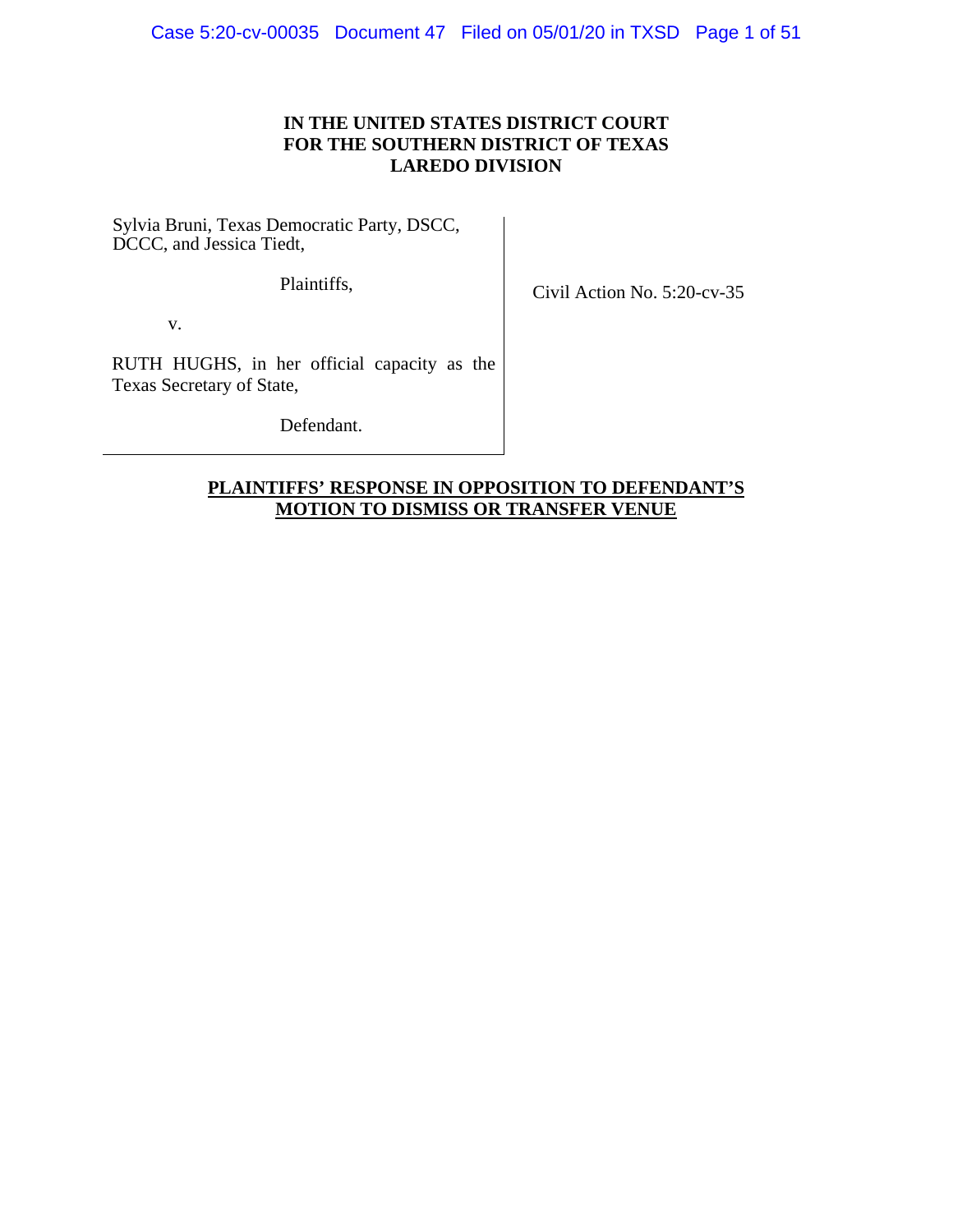## **IN THE UNITED STATES DISTRICT COURT FOR THE SOUTHERN DISTRICT OF TEXAS LAREDO DIVISION**

Sylvia Bruni, Texas Democratic Party, DSCC, DCCC, and Jessica Tiedt,

Plaintiffs,

Civil Action No. 5:20-cv-35

v.

RUTH HUGHS, in her official capacity as the Texas Secretary of State,

Defendant.

## **PLAINTIFFS' RESPONSE IN OPPOSITION TO DEFENDANT'S MOTION TO DISMISS OR TRANSFER VENUE**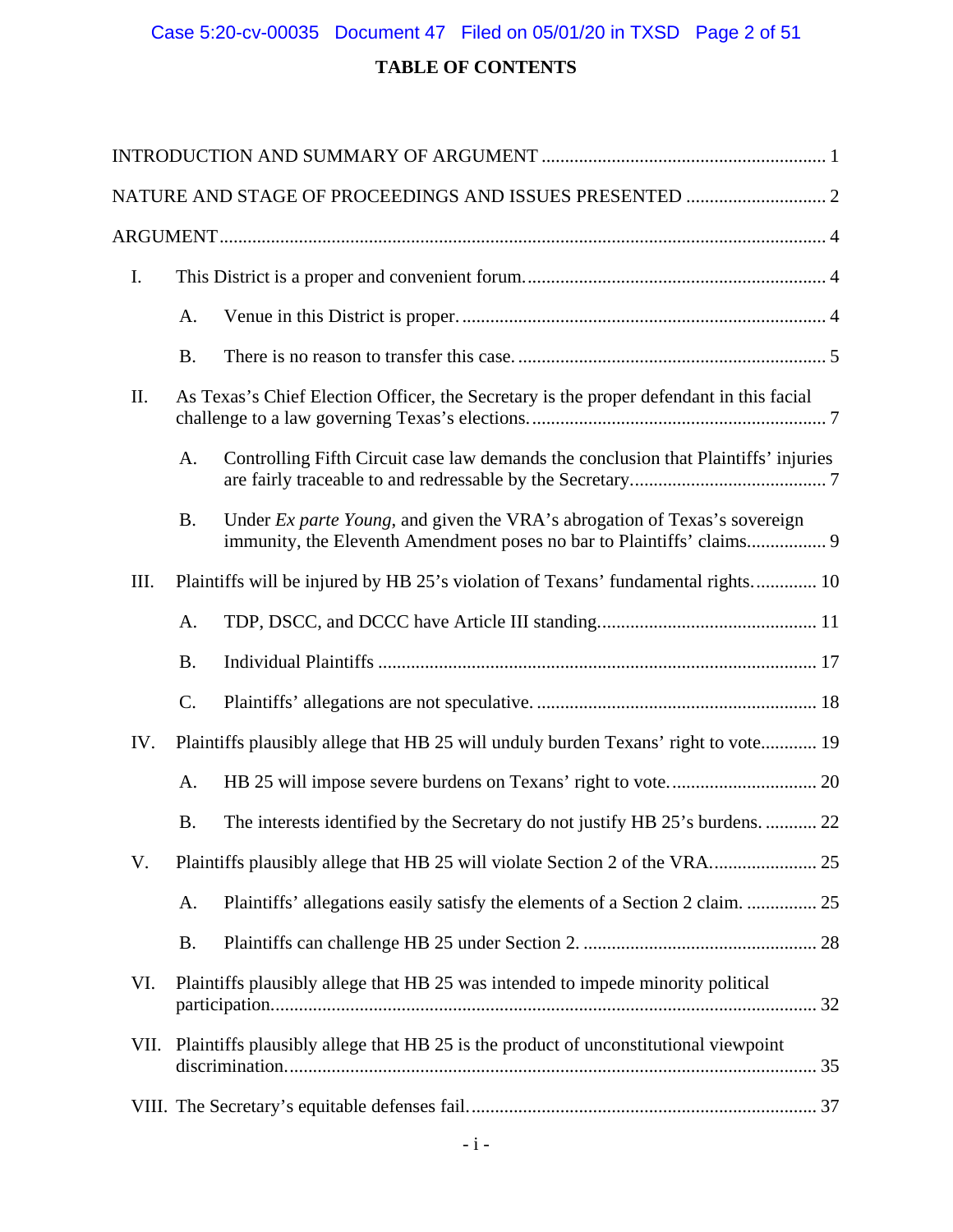## Case 5:20-cv-00035 Document 47 Filed on 05/01/20 in TXSD Page 2 of 51

## **TABLE OF CONTENTS**

| I.   |           |                                                                                                                                                            |  |
|------|-----------|------------------------------------------------------------------------------------------------------------------------------------------------------------|--|
|      | A.        |                                                                                                                                                            |  |
|      | <b>B.</b> |                                                                                                                                                            |  |
| Π.   |           | As Texas's Chief Election Officer, the Secretary is the proper defendant in this facial                                                                    |  |
|      | A.        | Controlling Fifth Circuit case law demands the conclusion that Plaintiffs' injuries                                                                        |  |
|      | <b>B.</b> | Under <i>Ex parte Young</i> , and given the VRA's abrogation of Texas's sovereign<br>immunity, the Eleventh Amendment poses no bar to Plaintiffs' claims 9 |  |
| III. |           | Plaintiffs will be injured by HB 25's violation of Texans' fundamental rights 10                                                                           |  |
|      | A.        |                                                                                                                                                            |  |
|      | <b>B.</b> |                                                                                                                                                            |  |
|      | C.        |                                                                                                                                                            |  |
| IV.  |           | Plaintiffs plausibly allege that HB 25 will unduly burden Texans' right to vote 19                                                                         |  |
|      | A.        |                                                                                                                                                            |  |
|      | <b>B.</b> | The interests identified by the Secretary do not justify HB 25's burdens.  22                                                                              |  |
| V.   |           | Plaintiffs plausibly allege that HB 25 will violate Section 2 of the VRA 25                                                                                |  |
|      | A.        | Plaintiffs' allegations easily satisfy the elements of a Section 2 claim.  25                                                                              |  |
|      | <b>B.</b> |                                                                                                                                                            |  |
| VI.  |           | Plaintiffs plausibly allege that HB 25 was intended to impede minority political                                                                           |  |
| VII. |           | Plaintiffs plausibly allege that HB 25 is the product of unconstitutional viewpoint                                                                        |  |
|      |           |                                                                                                                                                            |  |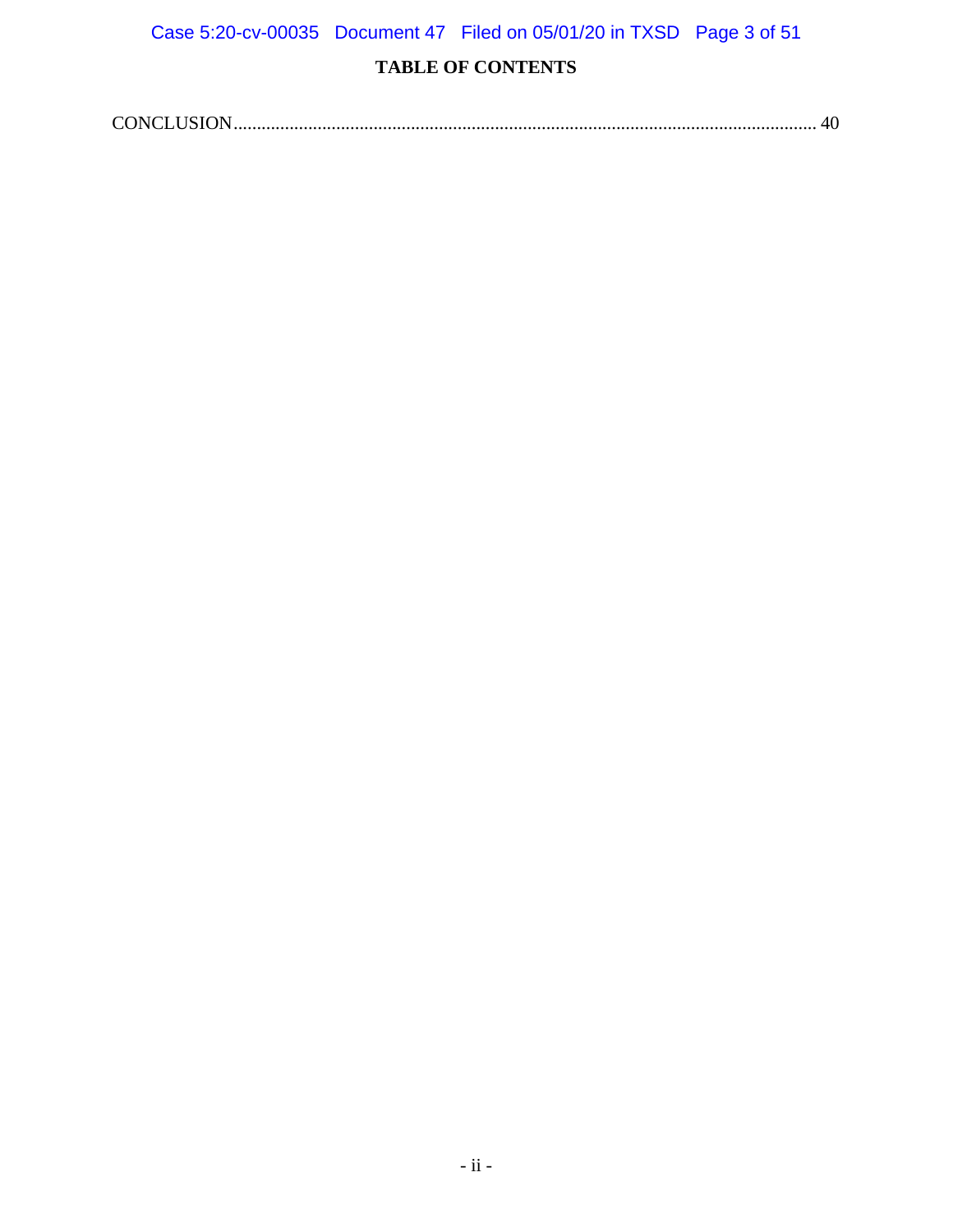Case 5:20-cv-00035 Document 47 Filed on 05/01/20 in TXSD Page 3 of 51

## **TABLE OF CONTENTS**

|--|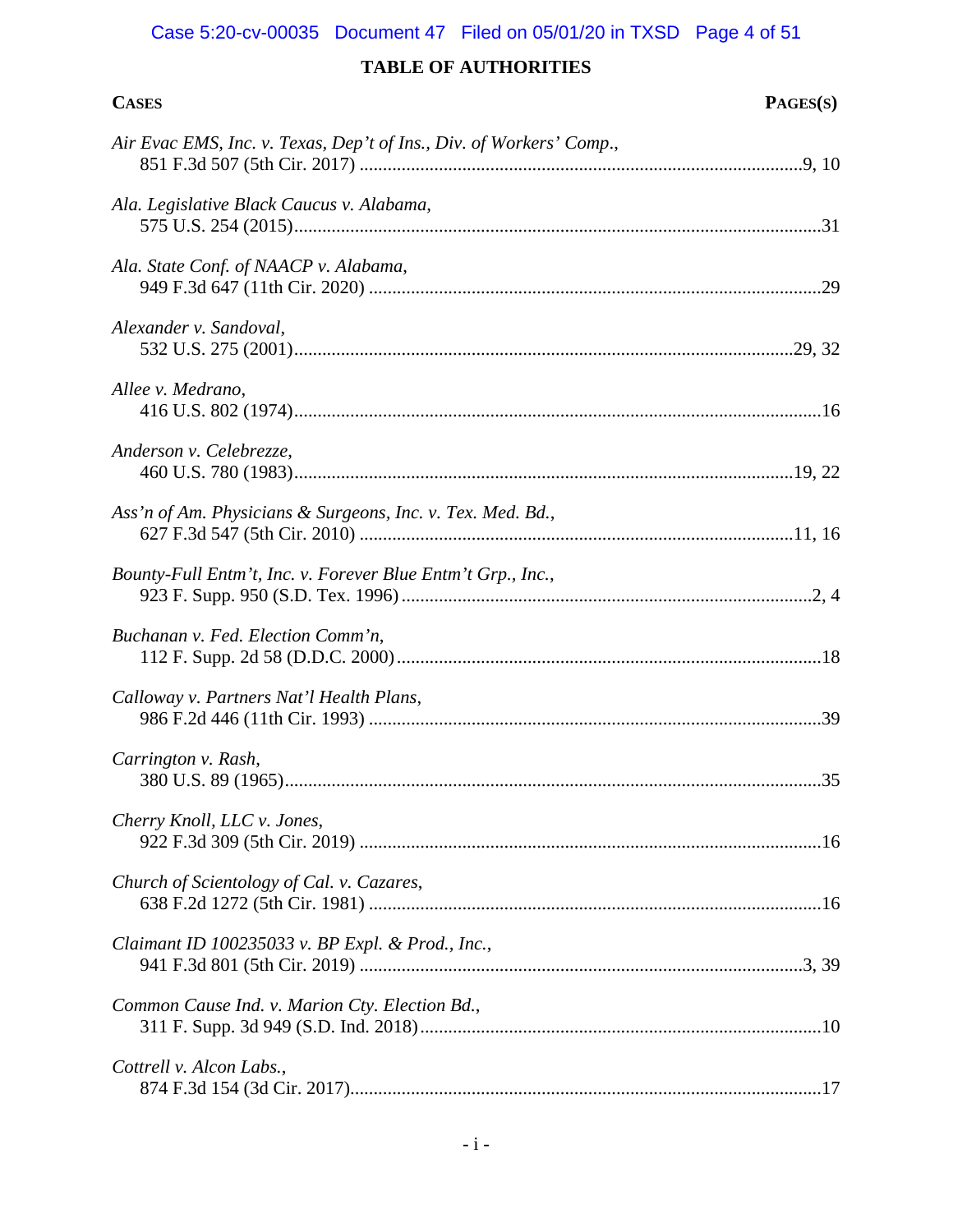## Case 5:20-cv-00035 Document 47 Filed on 05/01/20 in TXSD Page 4 of 51

| <b>CASES</b>                                                        | PAGES(S) |
|---------------------------------------------------------------------|----------|
| Air Evac EMS, Inc. v. Texas, Dep't of Ins., Div. of Workers' Comp., |          |
| Ala. Legislative Black Caucus v. Alabama,                           |          |
| Ala. State Conf. of NAACP v. Alabama,                               |          |
| Alexander v. Sandoval,                                              |          |
| Allee v. Medrano,                                                   |          |
| Anderson v. Celebrezze,                                             |          |
| Ass'n of Am. Physicians & Surgeons, Inc. v. Tex. Med. Bd.,          |          |
| Bounty-Full Entm't, Inc. v. Forever Blue Entm't Grp., Inc.,         |          |
| Buchanan v. Fed. Election Comm'n,                                   |          |
| Calloway v. Partners Nat'l Health Plans,                            |          |
| Carrington v. Rash,                                                 |          |
| Cherry Knoll, LLC v. Jones,                                         |          |
| Church of Scientology of Cal. v. Cazares,                           |          |
| Claimant ID 100235033 v. BP Expl. & Prod., Inc.,                    |          |
| Common Cause Ind. v. Marion Cty. Election Bd.,                      |          |
| Cottrell v. Alcon Labs.,                                            |          |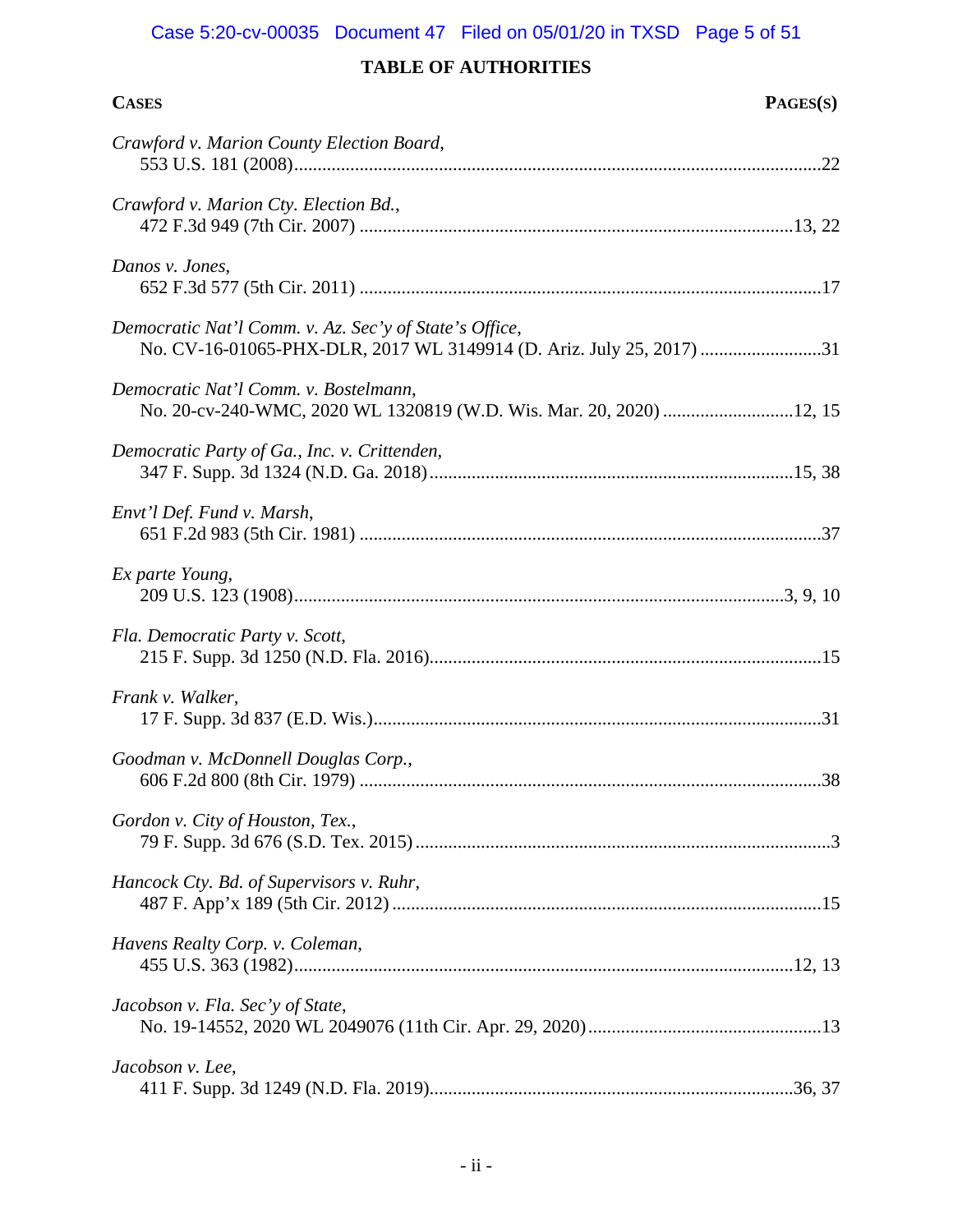| <b>CASES</b>                                                                                                                   | PAGES(S) |
|--------------------------------------------------------------------------------------------------------------------------------|----------|
| Crawford v. Marion County Election Board,                                                                                      |          |
| Crawford v. Marion Cty. Election Bd.,                                                                                          |          |
| Danos v. Jones,                                                                                                                |          |
| Democratic Nat'l Comm. v. Az. Sec'y of State's Office,<br>No. CV-16-01065-PHX-DLR, 2017 WL 3149914 (D. Ariz. July 25, 2017) 31 |          |
| Democratic Nat'l Comm. v. Bostelmann,<br>No. 20-cv-240-WMC, 2020 WL 1320819 (W.D. Wis. Mar. 20, 2020) 12, 15                   |          |
| Democratic Party of Ga., Inc. v. Crittenden,                                                                                   |          |
| Envt'l Def. Fund v. Marsh,                                                                                                     |          |
| Ex parte Young,                                                                                                                |          |
| Fla. Democratic Party v. Scott,                                                                                                |          |
| Frank v. Walker,                                                                                                               |          |
| Goodman v. McDonnell Douglas Corp.,                                                                                            |          |
| Gordon v. City of Houston, Tex.,                                                                                               |          |
| Hancock Cty. Bd. of Supervisors v. Ruhr,                                                                                       |          |
| Havens Realty Corp. v. Coleman,                                                                                                |          |
| Jacobson v. Fla. Sec'y of State,                                                                                               |          |
| Jacobson v. Lee,                                                                                                               |          |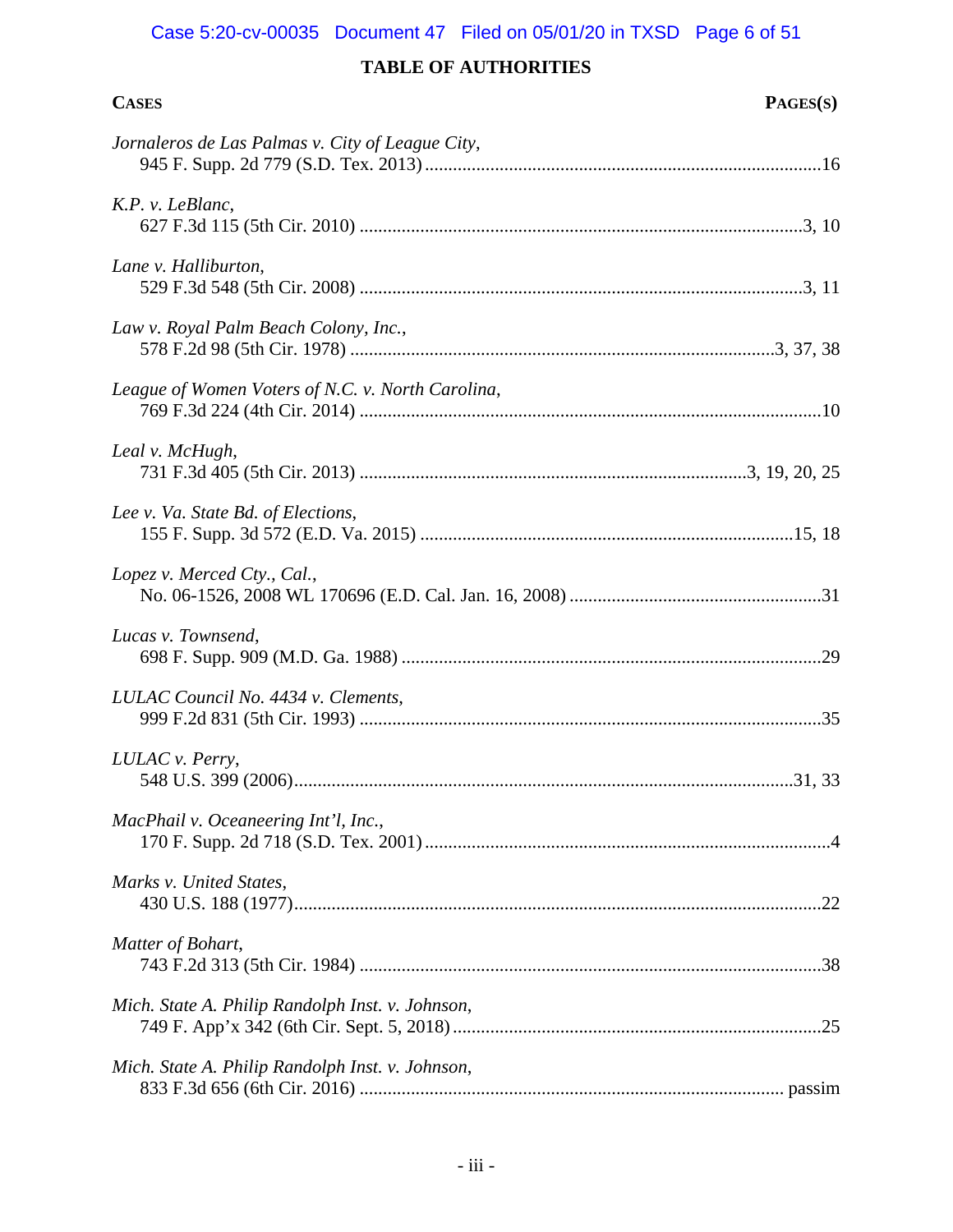# Case 5:20-cv-00035 Document 47 Filed on 05/01/20 in TXSD Page 6 of 51

| <b>CASES</b>                                      | PAGES(S) |
|---------------------------------------------------|----------|
| Jornaleros de Las Palmas v. City of League City,  |          |
| K.P. v. LeBlanc,                                  |          |
| Lane v. Halliburton,                              |          |
| Law v. Royal Palm Beach Colony, Inc.,             |          |
| League of Women Voters of N.C. v. North Carolina, |          |
| Leal v. McHugh,                                   |          |
| Lee v. Va. State Bd. of Elections,                |          |
| Lopez v. Merced Cty., Cal.,                       |          |
| Lucas v. Townsend,                                |          |
| LULAC Council No. 4434 v. Clements,               |          |
| LULAC v. Perry,                                   |          |
| MacPhail v. Oceaneering Int'l, Inc.,              |          |
| Marks v. United States,                           |          |
| Matter of Bohart,                                 |          |
| Mich. State A. Philip Randolph Inst. v. Johnson,  |          |
| Mich. State A. Philip Randolph Inst. v. Johnson,  |          |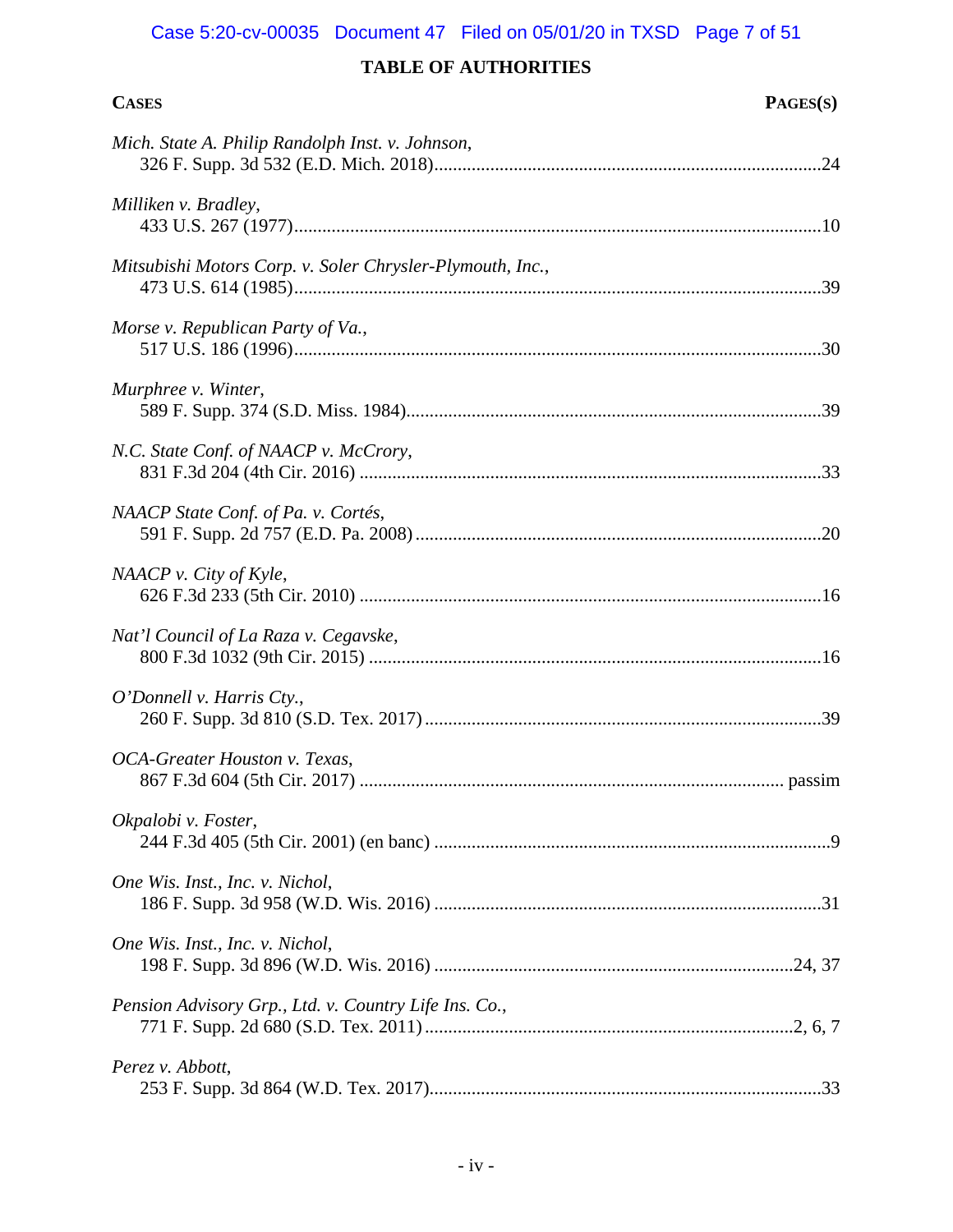# Case 5:20-cv-00035 Document 47 Filed on 05/01/20 in TXSD Page 7 of 51

| <b>CASES</b>                                              | PAGES(S) |
|-----------------------------------------------------------|----------|
| Mich. State A. Philip Randolph Inst. v. Johnson,          |          |
| Milliken v. Bradley,                                      |          |
| Mitsubishi Motors Corp. v. Soler Chrysler-Plymouth, Inc., |          |
| Morse v. Republican Party of Va.,                         |          |
| Murphree v. Winter,                                       |          |
| N.C. State Conf. of NAACP v. McCrory,                     |          |
| NAACP State Conf. of Pa. v. Cortés,                       |          |
| NAACP v. City of Kyle,                                    |          |
| Nat'l Council of La Raza v. Cegavske,                     |          |
| $O'$ Donnell v. Harris Cty.,                              |          |
| OCA-Greater Houston v. Texas,                             |          |
| Okpalobi v. Foster,                                       |          |
| One Wis. Inst., Inc. v. Nichol,                           |          |
| One Wis. Inst., Inc. v. Nichol,                           |          |
| Pension Advisory Grp., Ltd. v. Country Life Ins. Co.,     |          |
| Perez v. Abbott,                                          |          |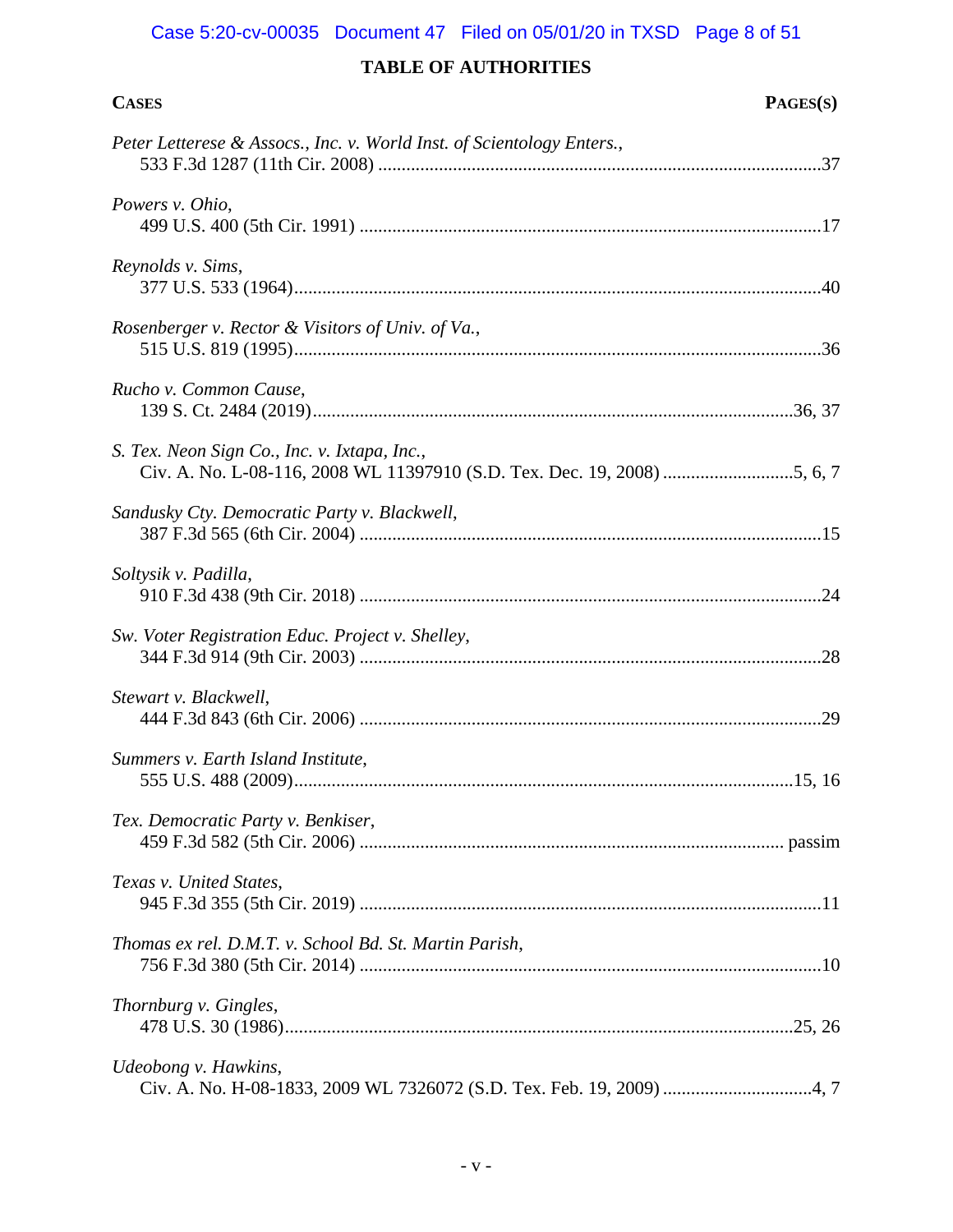# Case 5:20-cv-00035 Document 47 Filed on 05/01/20 in TXSD Page 8 of 51

| <b>CASES</b>                                                           | PAGES(S) |
|------------------------------------------------------------------------|----------|
| Peter Letterese & Assocs., Inc. v. World Inst. of Scientology Enters., |          |
| Powers v. Ohio,                                                        |          |
| Reynolds v. Sims,                                                      |          |
| Rosenberger v. Rector & Visitors of Univ. of Va.,                      |          |
| Rucho v. Common Cause,                                                 |          |
| S. Tex. Neon Sign Co., Inc. v. Ixtapa, Inc.,                           |          |
| Sandusky Cty. Democratic Party v. Blackwell,                           |          |
| Soltysik v. Padilla,                                                   |          |
| Sw. Voter Registration Educ. Project v. Shelley,                       |          |
| Stewart v. Blackwell,                                                  |          |
| Summers v. Earth Island Institute,                                     |          |
| Tex. Democratic Party v. Benkiser,                                     |          |
| Texas v. United States,                                                |          |
| Thomas ex rel. D.M.T. v. School Bd. St. Martin Parish,                 |          |
| Thornburg v. Gingles,                                                  |          |
| Udeobong v. Hawkins,                                                   |          |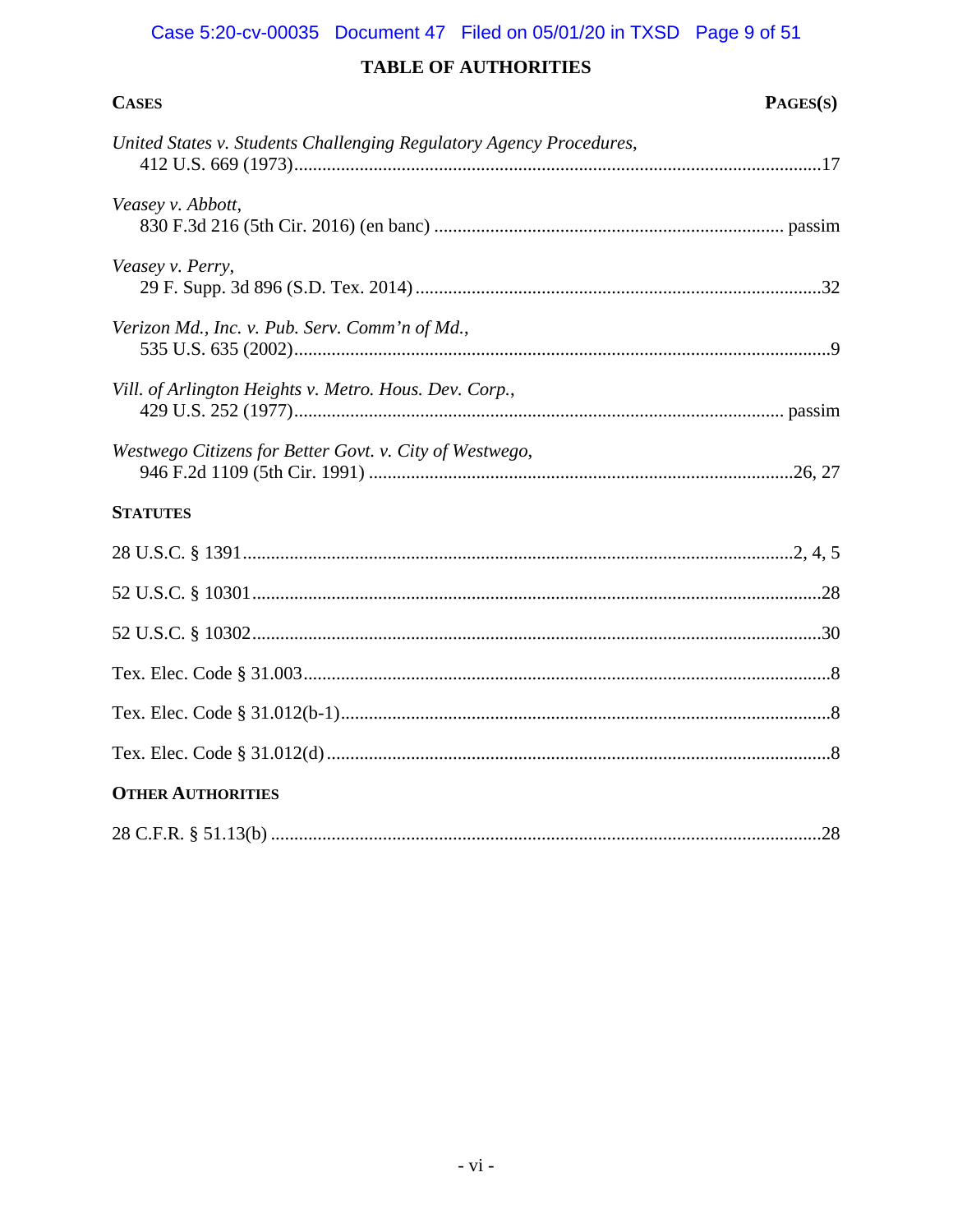## Case 5:20-cv-00035 Document 47 Filed on 05/01/20 in TXSD Page 9 of 51

| <b>CASES</b>                                                        | PAGES(S) |
|---------------------------------------------------------------------|----------|
| United States v. Students Challenging Regulatory Agency Procedures, |          |
| Veasey v. Abbott,                                                   |          |
| Veasey v. Perry,                                                    |          |
| Verizon Md., Inc. v. Pub. Serv. Comm'n of Md.,                      |          |
| Vill. of Arlington Heights v. Metro. Hous. Dev. Corp.,              |          |
| Westwego Citizens for Better Govt. v. City of Westwego,             |          |
| <b>STATUTES</b>                                                     |          |
|                                                                     |          |
|                                                                     |          |
|                                                                     |          |
|                                                                     |          |
|                                                                     |          |
|                                                                     |          |
| <b>OTHER AUTHORITIES</b>                                            |          |
|                                                                     |          |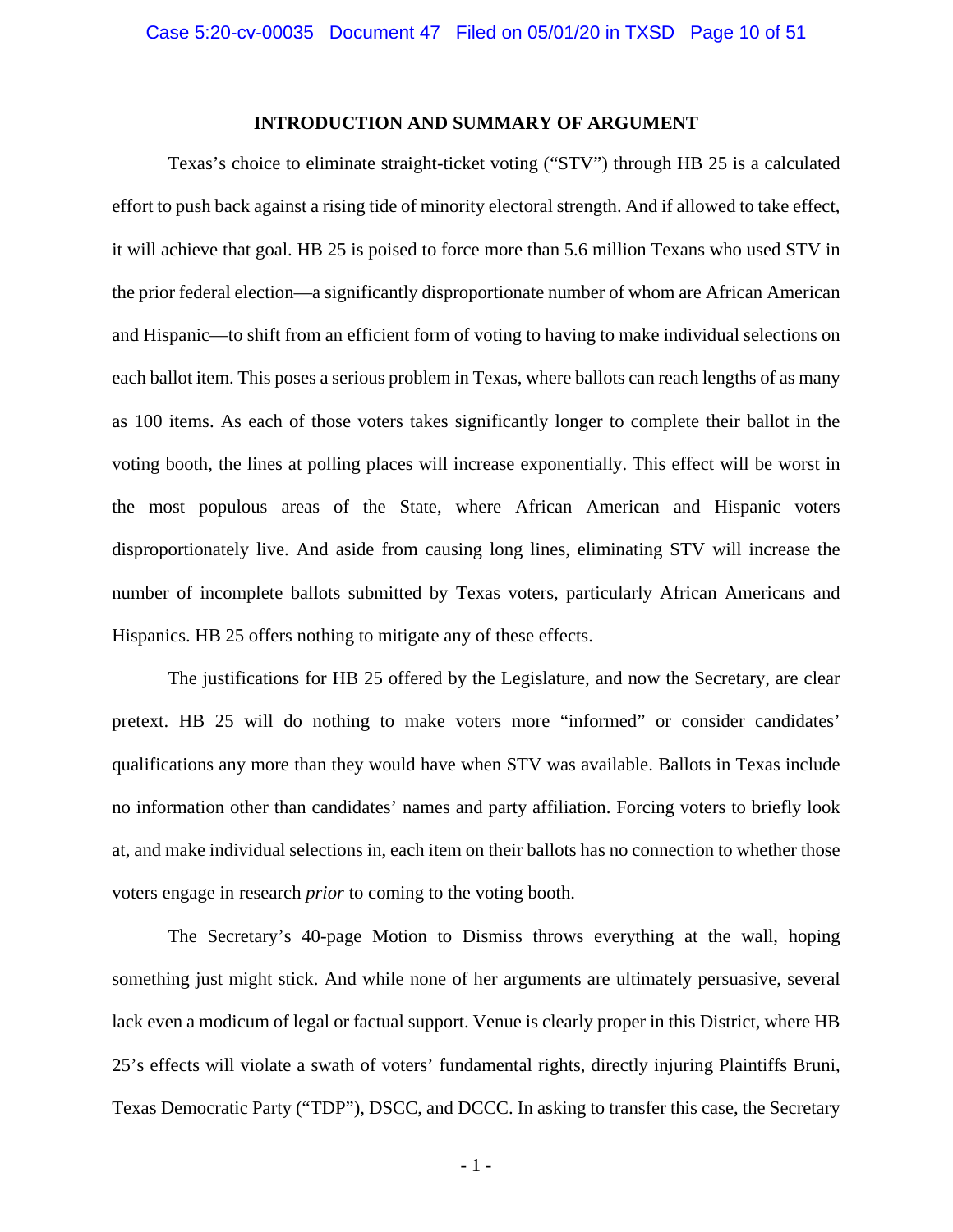## **INTRODUCTION AND SUMMARY OF ARGUMENT**

<span id="page-9-0"></span>Texas's choice to eliminate straight-ticket voting ("STV") through HB 25 is a calculated effort to push back against a rising tide of minority electoral strength. And if allowed to take effect, it will achieve that goal. HB 25 is poised to force more than 5.6 million Texans who used STV in the prior federal election—a significantly disproportionate number of whom are African American and Hispanic—to shift from an efficient form of voting to having to make individual selections on each ballot item. This poses a serious problem in Texas, where ballots can reach lengths of as many as 100 items. As each of those voters takes significantly longer to complete their ballot in the voting booth, the lines at polling places will increase exponentially. This effect will be worst in the most populous areas of the State, where African American and Hispanic voters disproportionately live. And aside from causing long lines, eliminating STV will increase the number of incomplete ballots submitted by Texas voters, particularly African Americans and Hispanics. HB 25 offers nothing to mitigate any of these effects.

The justifications for HB 25 offered by the Legislature, and now the Secretary, are clear pretext. HB 25 will do nothing to make voters more "informed" or consider candidates' qualifications any more than they would have when STV was available. Ballots in Texas include no information other than candidates' names and party affiliation. Forcing voters to briefly look at, and make individual selections in, each item on their ballots has no connection to whether those voters engage in research *prior* to coming to the voting booth.

The Secretary's 40-page Motion to Dismiss throws everything at the wall, hoping something just might stick. And while none of her arguments are ultimately persuasive, several lack even a modicum of legal or factual support. Venue is clearly proper in this District, where HB 25's effects will violate a swath of voters' fundamental rights, directly injuring Plaintiffs Bruni, Texas Democratic Party ("TDP"), DSCC, and DCCC. In asking to transfer this case, the Secretary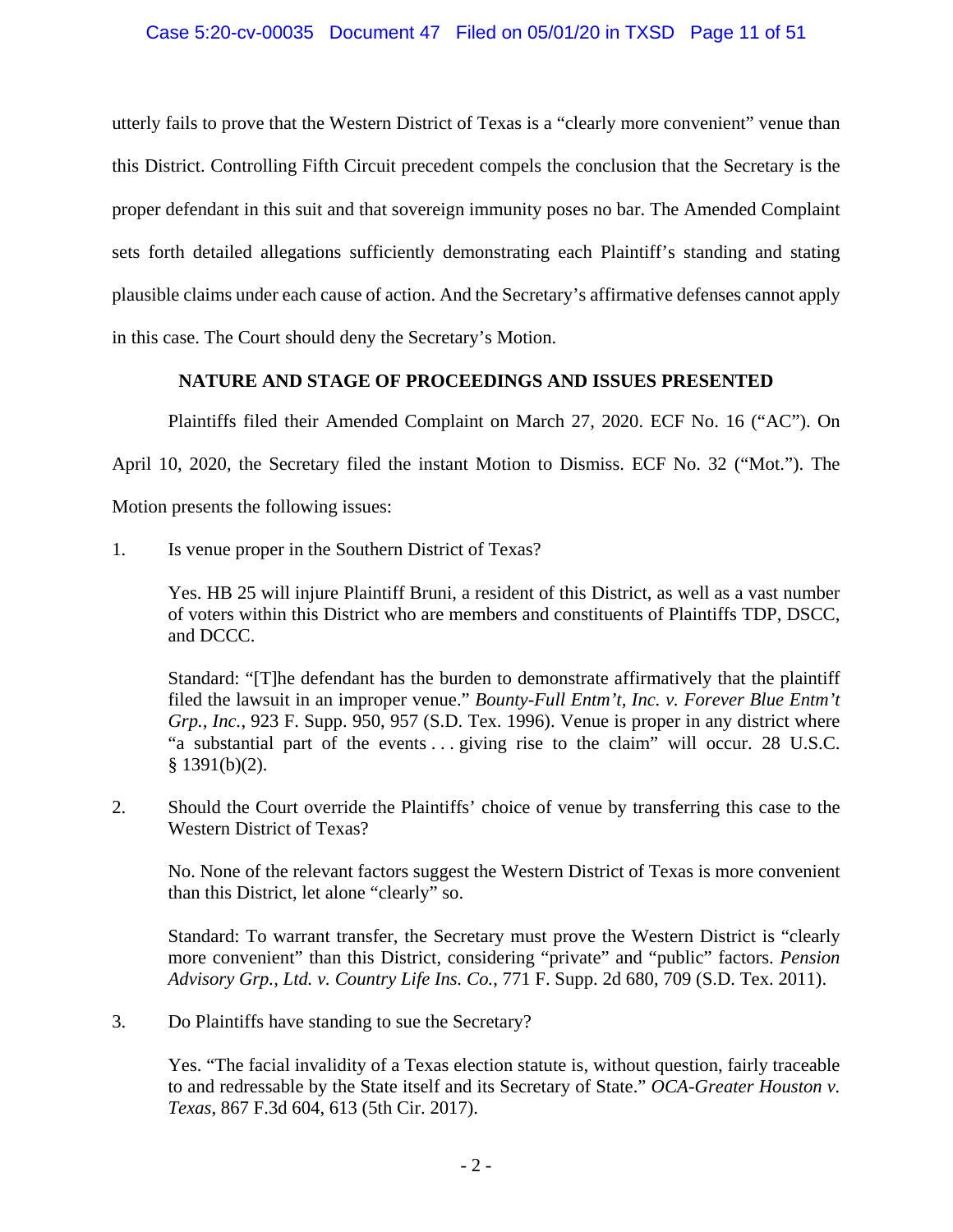## Case 5:20-cv-00035 Document 47 Filed on 05/01/20 in TXSD Page 11 of 51

utterly fails to prove that the Western District of Texas is a "clearly more convenient" venue than this District. Controlling Fifth Circuit precedent compels the conclusion that the Secretary is the proper defendant in this suit and that sovereign immunity poses no bar. The Amended Complaint sets forth detailed allegations sufficiently demonstrating each Plaintiff's standing and stating plausible claims under each cause of action. And the Secretary's affirmative defenses cannot apply in this case. The Court should deny the Secretary's Motion.

## <span id="page-10-0"></span>**NATURE AND STAGE OF PROCEEDINGS AND ISSUES PRESENTED**

Plaintiffs filed their Amended Complaint on March 27, 2020. ECF No. 16 ("AC"). On

April 10, 2020, the Secretary filed the instant Motion to Dismiss. ECF No. 32 ("Mot."). The

Motion presents the following issues:

1. Is venue proper in the Southern District of Texas?

Yes. HB 25 will injure Plaintiff Bruni, a resident of this District, as well as a vast number of voters within this District who are members and constituents of Plaintiffs TDP, DSCC, and DCCC.

<span id="page-10-4"></span><span id="page-10-1"></span>Standard: "[T]he defendant has the burden to demonstrate affirmatively that the plaintiff filed the lawsuit in an improper venue." *Bounty-Full Entm't, Inc. v. Forever Blue Entm't Grp., Inc.*, 923 F. Supp. 950, 957 (S.D. Tex. 1996). Venue is proper in any district where "a substantial part of the events . . . giving rise to the claim" will occur. 28 U.S.C.  $§$  1391(b)(2).

2. Should the Court override the Plaintiffs' choice of venue by transferring this case to the Western District of Texas?

No. None of the relevant factors suggest the Western District of Texas is more convenient than this District, let alone "clearly" so.

<span id="page-10-3"></span>Standard: To warrant transfer, the Secretary must prove the Western District is "clearly more convenient" than this District, considering "private" and "public" factors. *Pension Advisory Grp., Ltd. v. Country Life Ins. Co.*, 771 F. Supp. 2d 680, 709 (S.D. Tex. 2011).

3. Do Plaintiffs have standing to sue the Secretary?

<span id="page-10-2"></span>Yes. "The facial invalidity of a Texas election statute is, without question, fairly traceable to and redressable by the State itself and its Secretary of State." *OCA-Greater Houston v. Texas*, 867 F.3d 604, 613 (5th Cir. 2017).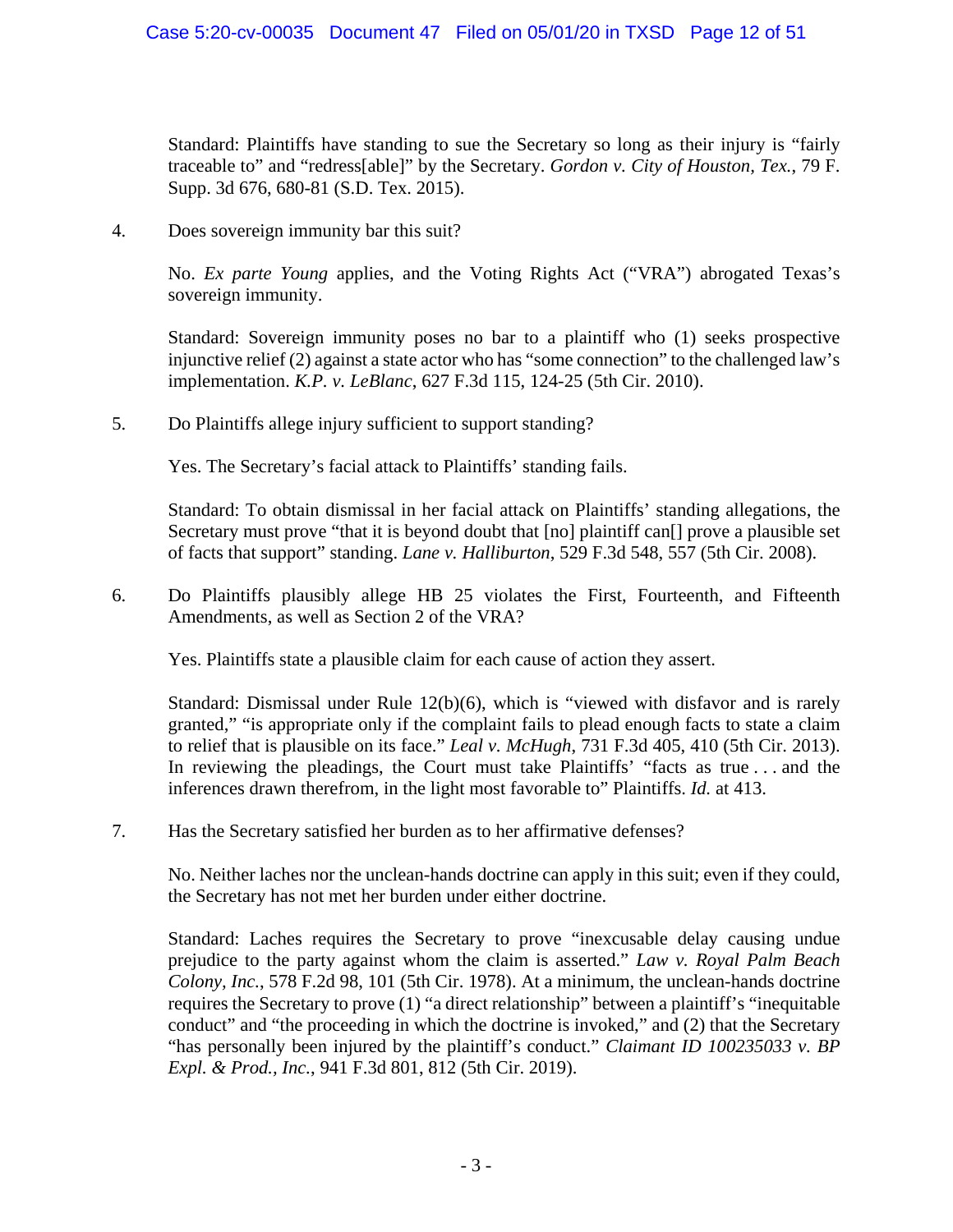<span id="page-11-2"></span>Standard: Plaintiffs have standing to sue the Secretary so long as their injury is "fairly traceable to" and "redress[able]" by the Secretary. *Gordon v. City of Houston, Tex.*, 79 F. Supp. 3d 676, 680-81 (S.D. Tex. 2015).

4. Does sovereign immunity bar this suit?

<span id="page-11-1"></span>No. *Ex parte Young* applies, and the Voting Rights Act ("VRA") abrogated Texas's sovereign immunity.

<span id="page-11-3"></span>Standard: Sovereign immunity poses no bar to a plaintiff who (1) seeks prospective injunctive relief (2) against a state actor who has "some connection" to the challenged law's implementation. *K.P. v. LeBlanc*, 627 F.3d 115, 124-25 (5th Cir. 2010).

5. Do Plaintiffs allege injury sufficient to support standing?

Yes. The Secretary's facial attack to Plaintiffs' standing fails.

<span id="page-11-4"></span>Standard: To obtain dismissal in her facial attack on Plaintiffs' standing allegations, the Secretary must prove "that it is beyond doubt that [no] plaintiff can<sup>[]</sup> prove a plausible set of facts that support" standing. *Lane v. Halliburton*, 529 F.3d 548, 557 (5th Cir. 2008).

6. Do Plaintiffs plausibly allege HB 25 violates the First, Fourteenth, and Fifteenth Amendments, as well as Section 2 of the VRA?

Yes. Plaintiffs state a plausible claim for each cause of action they assert.

<span id="page-11-6"></span>Standard: Dismissal under Rule 12(b)(6), which is "viewed with disfavor and is rarely granted," "is appropriate only if the complaint fails to plead enough facts to state a claim to relief that is plausible on its face." *Leal v. McHugh*, 731 F.3d 405, 410 (5th Cir. 2013). In reviewing the pleadings, the Court must take Plaintiffs' "facts as true . . . and the inferences drawn therefrom, in the light most favorable to" Plaintiffs. *Id.* at 413.

7. Has the Secretary satisfied her burden as to her affirmative defenses?

No. Neither laches nor the unclean-hands doctrine can apply in this suit; even if they could, the Secretary has not met her burden under either doctrine.

<span id="page-11-5"></span><span id="page-11-0"></span>Standard: Laches requires the Secretary to prove "inexcusable delay causing undue prejudice to the party against whom the claim is asserted." *Law v. Royal Palm Beach Colony, Inc.*, 578 F.2d 98, 101 (5th Cir. 1978). At a minimum, the unclean-hands doctrine requires the Secretary to prove (1) "a direct relationship" between a plaintiff's "inequitable conduct" and "the proceeding in which the doctrine is invoked," and (2) that the Secretary "has personally been injured by the plaintiff's conduct." *Claimant ID 100235033 v. BP Expl. & Prod., Inc.*, 941 F.3d 801, 812 (5th Cir. 2019).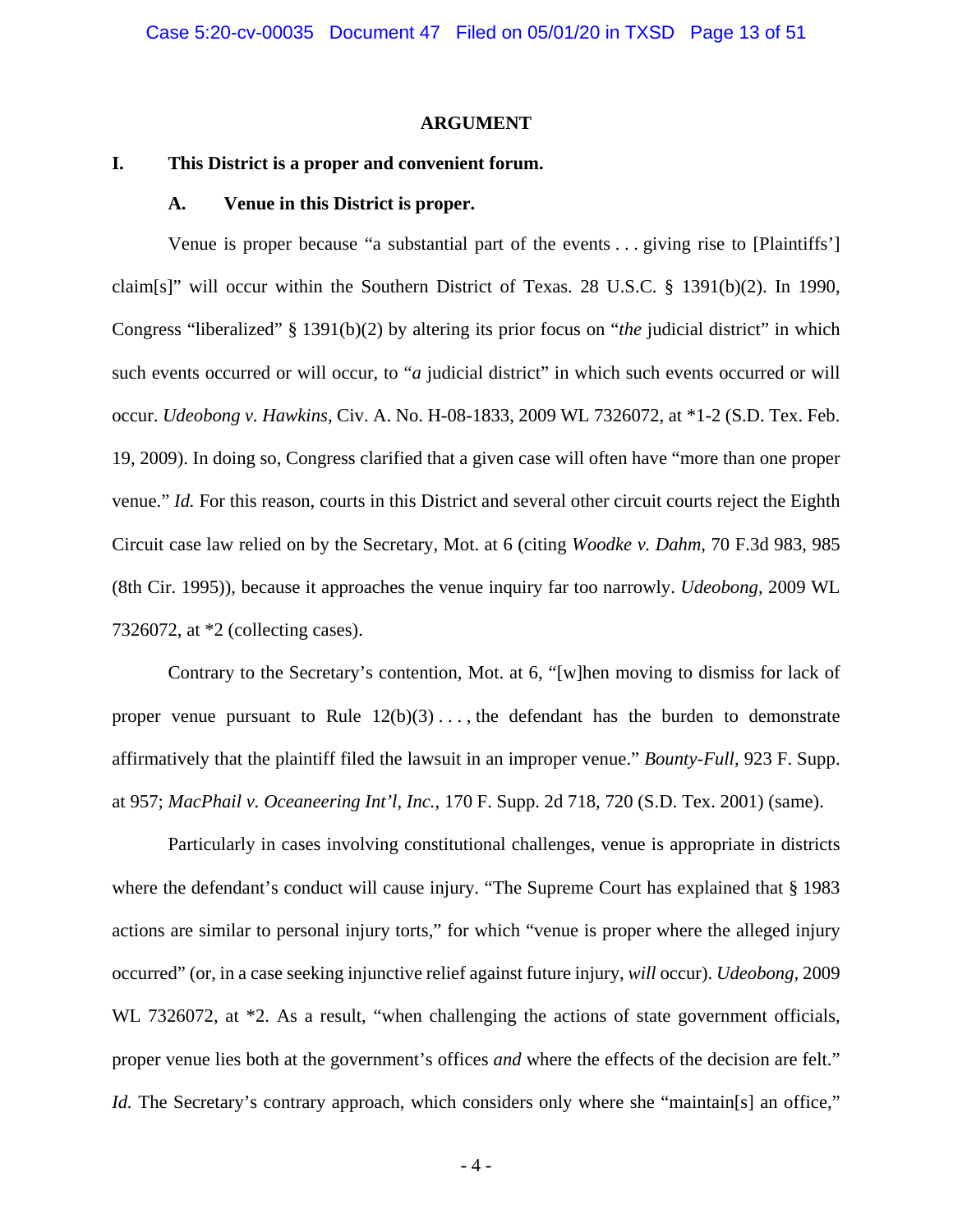### <span id="page-12-6"></span>**ARGUMENT**

## <span id="page-12-2"></span><span id="page-12-1"></span><span id="page-12-0"></span>**I. This District is a proper and convenient forum.**

### **A. Venue in this District is proper.**

<span id="page-12-5"></span>Venue is proper because "a substantial part of the events . . . giving rise to [Plaintiffs'] claim[s]" will occur within the Southern District of Texas. 28 U.S.C. § 1391(b)(2). In 1990, Congress "liberalized" § 1391(b)(2) by altering its prior focus on "*the* judicial district" in which such events occurred or will occur, to "*a* judicial district" in which such events occurred or will occur. *Udeobong v. Hawkins*, Civ. A. No. H-08-1833, 2009 WL 7326072, at \*1-2 (S.D. Tex. Feb. 19, 2009). In doing so, Congress clarified that a given case will often have "more than one proper venue." *Id.* For this reason, courts in this District and several other circuit courts reject the Eighth Circuit case law relied on by the Secretary, Mot. at 6 (citing *Woodke v. Dahm*, 70 F.3d 983, 985 (8th Cir. 1995)), because it approaches the venue inquiry far too narrowly. *Udeobong*, 2009 WL 7326072, at \*2 (collecting cases).

<span id="page-12-3"></span>Contrary to the Secretary's contention, Mot. at 6, "[w]hen moving to dismiss for lack of proper venue pursuant to Rule  $12(b)(3) \ldots$ , the defendant has the burden to demonstrate affirmatively that the plaintiff filed the lawsuit in an improper venue." *Bounty-Full*, 923 F. Supp. at 957; *MacPhail v. Oceaneering Int'l, Inc.*, 170 F. Supp. 2d 718, 720 (S.D. Tex. 2001) (same).

<span id="page-12-4"></span>Particularly in cases involving constitutional challenges, venue is appropriate in districts where the defendant's conduct will cause injury. "The Supreme Court has explained that § 1983 actions are similar to personal injury torts," for which "venue is proper where the alleged injury occurred" (or, in a case seeking injunctive relief against future injury, *will* occur). *Udeobong*, 2009 WL 7326072, at  $*2$ . As a result, "when challenging the actions of state government officials, proper venue lies both at the government's offices *and* where the effects of the decision are felt." *Id.* The Secretary's contrary approach, which considers only where she "maintain[s] an office,"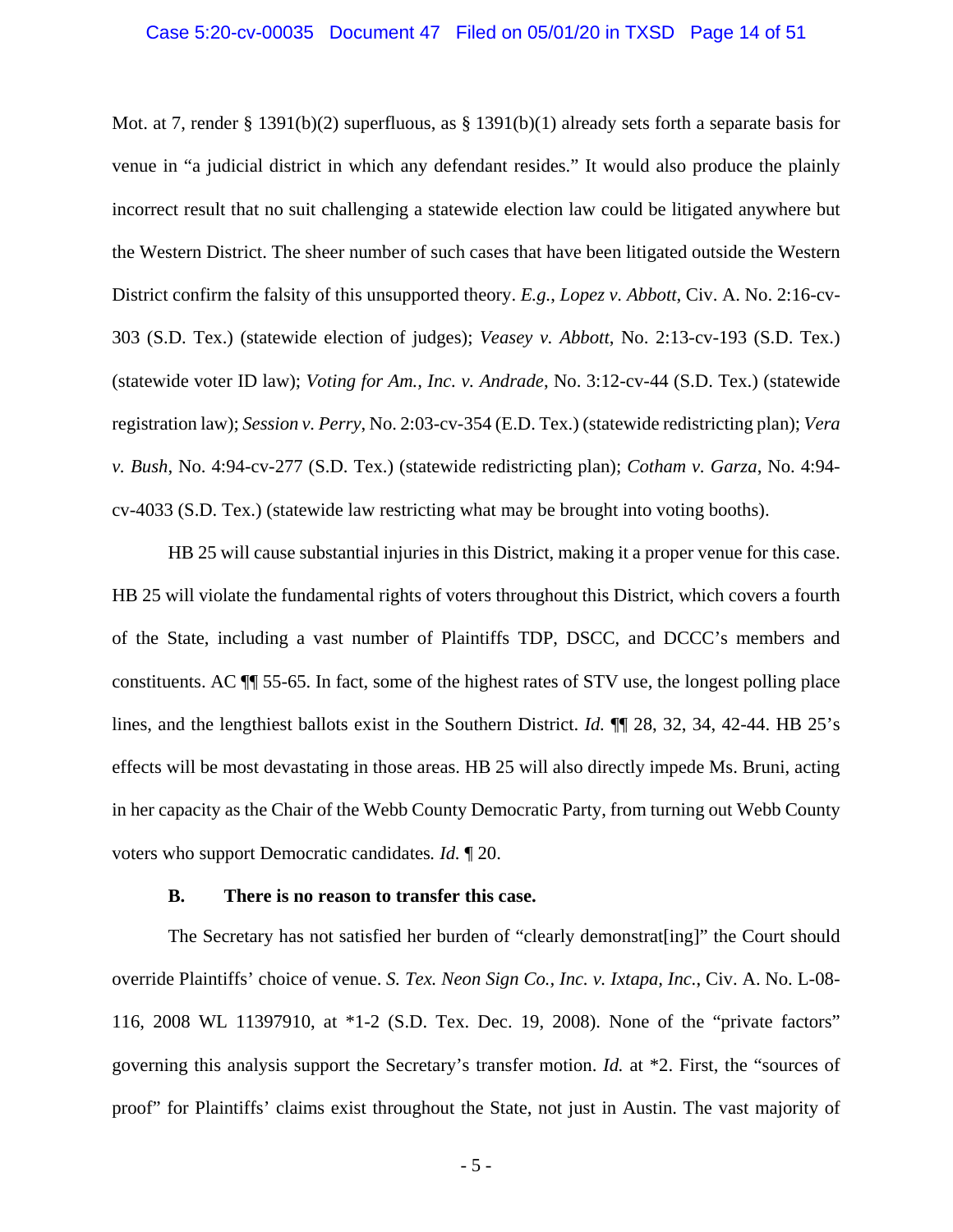<span id="page-13-2"></span>Mot. at 7, render § 1391(b)(2) superfluous, as § 1391(b)(1) already sets forth a separate basis for venue in "a judicial district in which any defendant resides." It would also produce the plainly incorrect result that no suit challenging a statewide election law could be litigated anywhere but the Western District. The sheer number of such cases that have been litigated outside the Western District confirm the falsity of this unsupported theory. *E.g.*, *Lopez v. Abbott*, Civ. A. No. 2:16-cv-303 (S.D. Tex.) (statewide election of judges); *Veasey v. Abbott*, No. 2:13-cv-193 (S.D. Tex.) (statewide voter ID law); *Voting for Am., Inc. v. Andrade*, No. 3:12-cv-44 (S.D. Tex.) (statewide registration law); *Session v. Perry*, No. 2:03-cv-354 (E.D. Tex.) (statewide redistricting plan); *Vera v. Bush*, No. 4:94-cv-277 (S.D. Tex.) (statewide redistricting plan); *Cotham v. Garza*, No. 4:94 cv-4033 (S.D. Tex.) (statewide law restricting what may be brought into voting booths).

HB 25 will cause substantial injuries in this District, making it a proper venue for this case. HB 25 will violate the fundamental rights of voters throughout this District, which covers a fourth of the State, including a vast number of Plaintiffs TDP, DSCC, and DCCC's members and constituents. AC ¶¶ 55-65. In fact, some of the highest rates of STV use, the longest polling place lines, and the lengthiest ballots exist in the Southern District. *Id.* ¶¶ 28, 32, 34, 42-44. HB 25's effects will be most devastating in those areas. HB 25 will also directly impede Ms. Bruni, acting in her capacity as the Chair of the Webb County Democratic Party, from turning out Webb County voters who support Democratic candidates*. Id.* ¶ 20.

### <span id="page-13-1"></span>**B. There is no reason to transfer this case.**

<span id="page-13-0"></span>The Secretary has not satisfied her burden of "clearly demonstrat[ing]" the Court should override Plaintiffs' choice of venue. *S. Tex. Neon Sign Co., Inc. v. Ixtapa, Inc.*, Civ. A. No. L-08- 116, 2008 WL 11397910, at \*1-2 (S.D. Tex. Dec. 19, 2008). None of the "private factors" governing this analysis support the Secretary's transfer motion. *Id.* at \*2. First, the "sources of proof" for Plaintiffs' claims exist throughout the State, not just in Austin. The vast majority of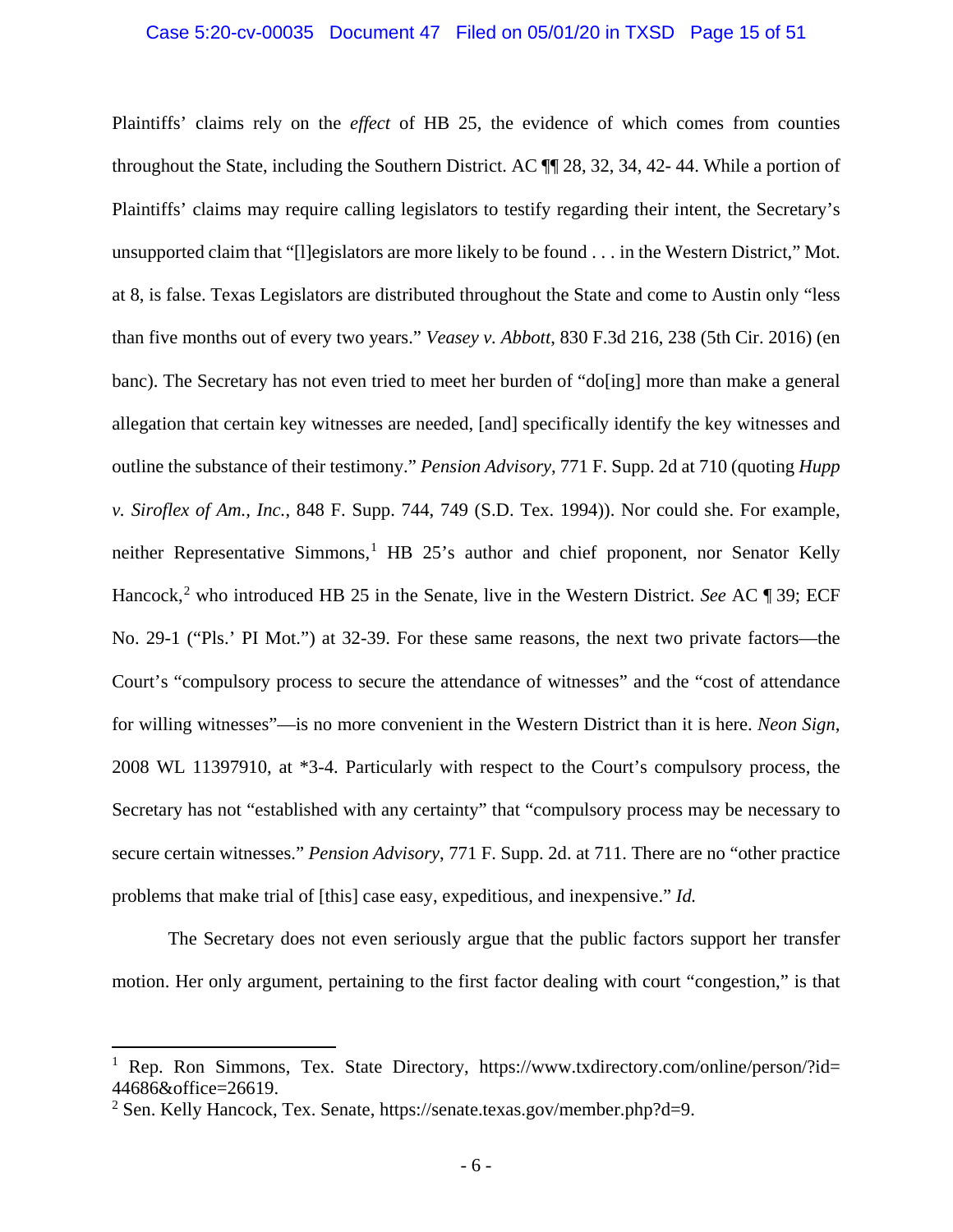### Case 5:20-cv-00035 Document 47 Filed on 05/01/20 in TXSD Page 15 of 51

<span id="page-14-2"></span><span id="page-14-0"></span>Plaintiffs' claims rely on the *effect* of HB 25, the evidence of which comes from counties throughout the State, including the Southern District. AC ¶¶ 28, 32, 34, 42- 44. While a portion of Plaintiffs' claims may require calling legislators to testify regarding their intent, the Secretary's unsupported claim that "[l]egislators are more likely to be found . . . in the Western District," Mot. at 8, is false. Texas Legislators are distributed throughout the State and come to Austin only "less than five months out of every two years." *Veasey v. Abbott*, 830 F.3d 216, 238 (5th Cir. 2016) (en banc). The Secretary has not even tried to meet her burden of "do[ing] more than make a general allegation that certain key witnesses are needed, [and] specifically identify the key witnesses and outline the substance of their testimony." *Pension Advisory*, 771 F. Supp. 2d at 710 (quoting *Hupp v. Siroflex of Am., Inc.*, 848 F. Supp. 744, 749 (S.D. Tex. 1994)). Nor could she. For example, neither Representative Simmons,  $\frac{1}{1}$  $\frac{1}{1}$  $\frac{1}{1}$  HB 25's author and chief proponent, nor Senator Kelly Hancock,<sup>[2](#page-14-4)</sup> who introduced HB 25 in the Senate, live in the Western District. *See* AC ¶ 39; ECF No. 29-1 ("Pls.' PI Mot.") at 32-39. For these same reasons, the next two private factors—the Court's "compulsory process to secure the attendance of witnesses" and the "cost of attendance for willing witnesses"—is no more convenient in the Western District than it is here. *Neon Sign*, 2008 WL 11397910, at \*3-4. Particularly with respect to the Court's compulsory process, the Secretary has not "established with any certainty" that "compulsory process may be necessary to secure certain witnesses." *Pension Advisory*, 771 F. Supp. 2d. at 711. There are no "other practice problems that make trial of [this] case easy, expeditious, and inexpensive." *Id.*

<span id="page-14-1"></span>The Secretary does not even seriously argue that the public factors support her transfer motion. Her only argument, pertaining to the first factor dealing with court "congestion," is that

<span id="page-14-3"></span><sup>&</sup>lt;sup>1</sup> Rep. Ron Simmons, Tex. State Directory, [https://www.txdirectory.com/online/person/?id=](https://www.txdirectory.com/online/person/?id=44686&office=26619) [44686&office=26619.](https://www.txdirectory.com/online/person/?id=44686&office=26619)<br><sup>2</sup> Sen. Kelly Hancock, Tex. Senate, [https://senate.texas.gov/member.php?d=9.](https://senate.texas.gov/member.php?d=9)

<span id="page-14-4"></span>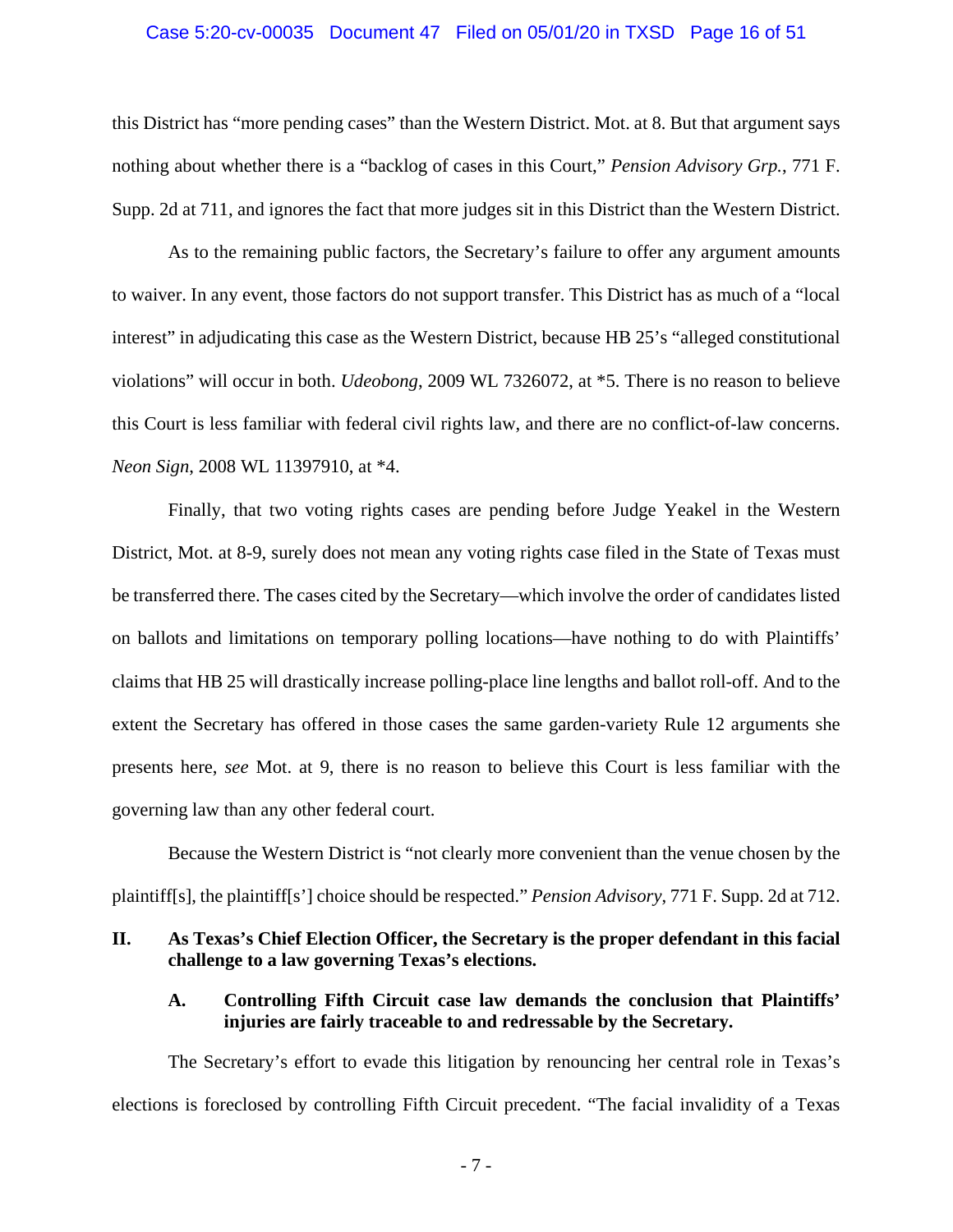### <span id="page-15-2"></span>Case 5:20-cv-00035 Document 47 Filed on 05/01/20 in TXSD Page 16 of 51

this District has "more pending cases" than the Western District. Mot. at 8. But that argument says nothing about whether there is a "backlog of cases in this Court," *Pension Advisory Grp.*, 771 F. Supp. 2d at 711, and ignores the fact that more judges sit in this District than the Western District.

<span id="page-15-4"></span>As to the remaining public factors, the Secretary's failure to offer any argument amounts to waiver. In any event, those factors do not support transfer. This District has as much of a "local interest" in adjudicating this case as the Western District, because HB 25's "alleged constitutional violations" will occur in both. *Udeobong*, 2009 WL 7326072, at \*5. There is no reason to believe this Court is less familiar with federal civil rights law, and there are no conflict-of-law concerns. *Neon Sign*, 2008 WL 11397910, at \*4.

<span id="page-15-3"></span>Finally, that two voting rights cases are pending before Judge Yeakel in the Western District, Mot. at 8-9, surely does not mean any voting rights case filed in the State of Texas must be transferred there. The cases cited by the Secretary—which involve the order of candidates listed on ballots and limitations on temporary polling locations—have nothing to do with Plaintiffs' claims that HB 25 will drastically increase polling-place line lengths and ballot roll-off. And to the extent the Secretary has offered in those cases the same garden-variety Rule 12 arguments she presents here, *see* Mot. at 9, there is no reason to believe this Court is less familiar with the governing law than any other federal court.

Because the Western District is "not clearly more convenient than the venue chosen by the plaintiff[s], the plaintiff[s'] choice should be respected." *Pension Advisory*, 771 F. Supp. 2d at 712.

## <span id="page-15-1"></span><span id="page-15-0"></span>**II. As Texas's Chief Election Officer, the Secretary is the proper defendant in this facial challenge to a law governing Texas's elections.**

## **A. Controlling Fifth Circuit case law demands the conclusion that Plaintiffs' injuries are fairly traceable to and redressable by the Secretary.**

The Secretary's effort to evade this litigation by renouncing her central role in Texas's elections is foreclosed by controlling Fifth Circuit precedent. "The facial invalidity of a Texas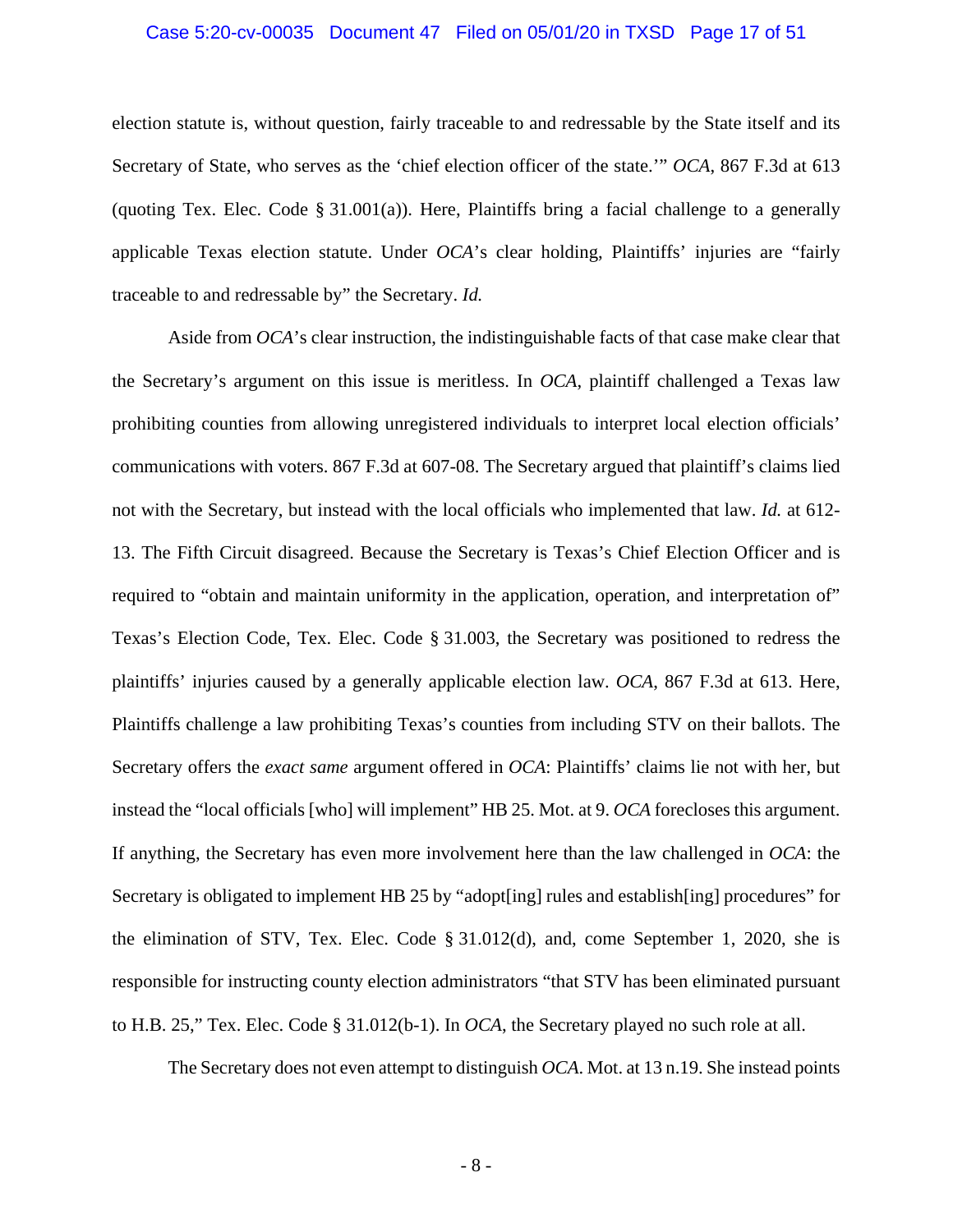### Case 5:20-cv-00035 Document 47 Filed on 05/01/20 in TXSD Page 17 of 51

election statute is, without question, fairly traceable to and redressable by the State itself and its Secretary of State, who serves as the 'chief election officer of the state.'" *OCA*, 867 F.3d at 613 (quoting Tex. Elec. Code  $\S 31.001(a)$ ). Here, Plaintiffs bring a facial challenge to a generally applicable Texas election statute. Under *OCA*'s clear holding, Plaintiffs' injuries are "fairly traceable to and redressable by" the Secretary. *Id.*

<span id="page-16-0"></span>Aside from *OCA*'s clear instruction, the indistinguishable facts of that case make clear that the Secretary's argument on this issue is meritless. In *OCA*, plaintiff challenged a Texas law prohibiting counties from allowing unregistered individuals to interpret local election officials' communications with voters. 867 F.3d at 607-08. The Secretary argued that plaintiff's claims lied not with the Secretary, but instead with the local officials who implemented that law. *Id.* at 612- 13. The Fifth Circuit disagreed. Because the Secretary is Texas's Chief Election Officer and is required to "obtain and maintain uniformity in the application, operation, and interpretation of" Texas's Election Code, Tex. Elec. Code § 31.003, the Secretary was positioned to redress the plaintiffs' injuries caused by a generally applicable election law. *OCA*, 867 F.3d at 613. Here, Plaintiffs challenge a law prohibiting Texas's counties from including STV on their ballots. The Secretary offers the *exact same* argument offered in *OCA*: Plaintiffs' claims lie not with her, but instead the "local officials [who] will implement" HB 25. Mot. at 9. *OCA* forecloses this argument. If anything, the Secretary has even more involvement here than the law challenged in *OCA*: the Secretary is obligated to implement HB 25 by "adopt[ing] rules and establish[ing] procedures" for the elimination of STV, Tex. Elec. Code § 31.012(d), and, come September 1, 2020, she is responsible for instructing county election administrators "that STV has been eliminated pursuant to H.B. 25," Tex. Elec. Code § 31.012(b-1). In *OCA*, the Secretary played no such role at all.

The Secretary does not even attempt to distinguish *OCA*. Mot. at 13 n.19. She instead points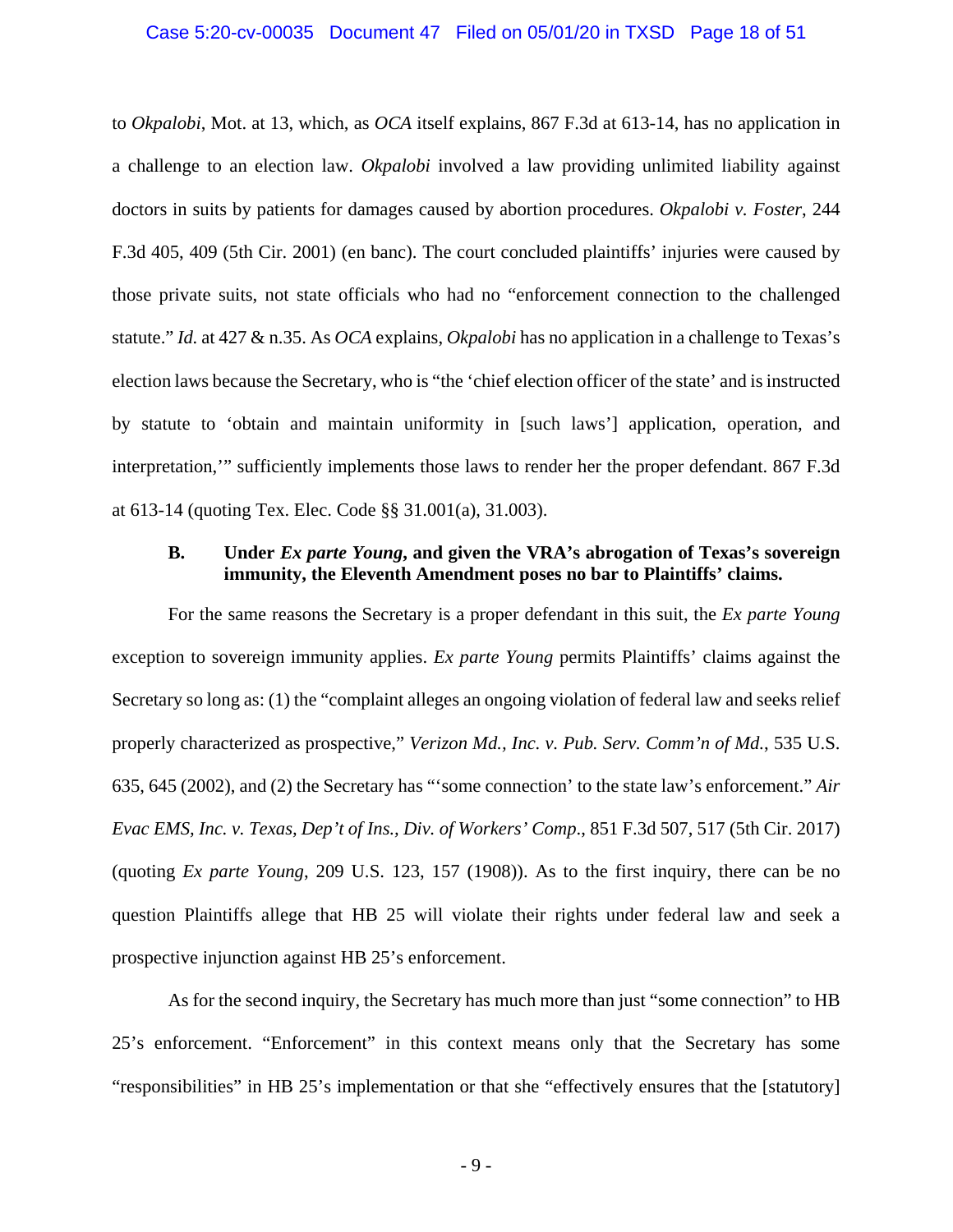### Case 5:20-cv-00035 Document 47 Filed on 05/01/20 in TXSD Page 18 of 51

<span id="page-17-3"></span>to *Okpalobi*, Mot. at 13, which, as *OCA* itself explains, 867 F.3d at 613-14, has no application in a challenge to an election law. *Okpalobi* involved a law providing unlimited liability against doctors in suits by patients for damages caused by abortion procedures. *Okpalobi v. Foster*, 244 F.3d 405, 409 (5th Cir. 2001) (en banc). The court concluded plaintiffs' injuries were caused by those private suits, not state officials who had no "enforcement connection to the challenged statute." *Id.* at 427 & n.35. As *OCA* explains, *Okpalobi* has no application in a challenge to Texas's election laws because the Secretary, who is "the 'chief election officer of the state' and is instructed by statute to 'obtain and maintain uniformity in [such laws'] application, operation, and interpretation,'" sufficiently implements those laws to render her the proper defendant. 867 F.3d at 613-14 (quoting Tex. Elec. Code §§ 31.001(a), 31.003).

## <span id="page-17-4"></span><span id="page-17-2"></span><span id="page-17-1"></span><span id="page-17-0"></span>**B. Under** *Ex parte Young***, and given the VRA's abrogation of Texas's sovereign immunity, the Eleventh Amendment poses no bar to Plaintiffs' claims.**

For the same reasons the Secretary is a proper defendant in this suit, the *Ex parte Young* exception to sovereign immunity applies. *Ex parte Young* permits Plaintiffs' claims against the Secretary so long as: (1) the "complaint alleges an ongoing violation of federal law and seeks relief properly characterized as prospective," *Verizon Md., Inc. v. Pub. Serv. Comm'n of Md.*, 535 U.S. 635, 645 (2002), and (2) the Secretary has "'some connection' to the state law's enforcement." *Air Evac EMS, Inc. v. Texas, Dep't of Ins., Div. of Workers' Comp*., 851 F.3d 507, 517 (5th Cir. 2017) (quoting *Ex parte Young*, 209 U.S. 123, 157 (1908)). As to the first inquiry, there can be no question Plaintiffs allege that HB 25 will violate their rights under federal law and seek a prospective injunction against HB 25's enforcement.

As for the second inquiry, the Secretary has much more than just "some connection" to HB 25's enforcement. "Enforcement" in this context means only that the Secretary has some "responsibilities" in HB 25's implementation or that she "effectively ensures that the [statutory]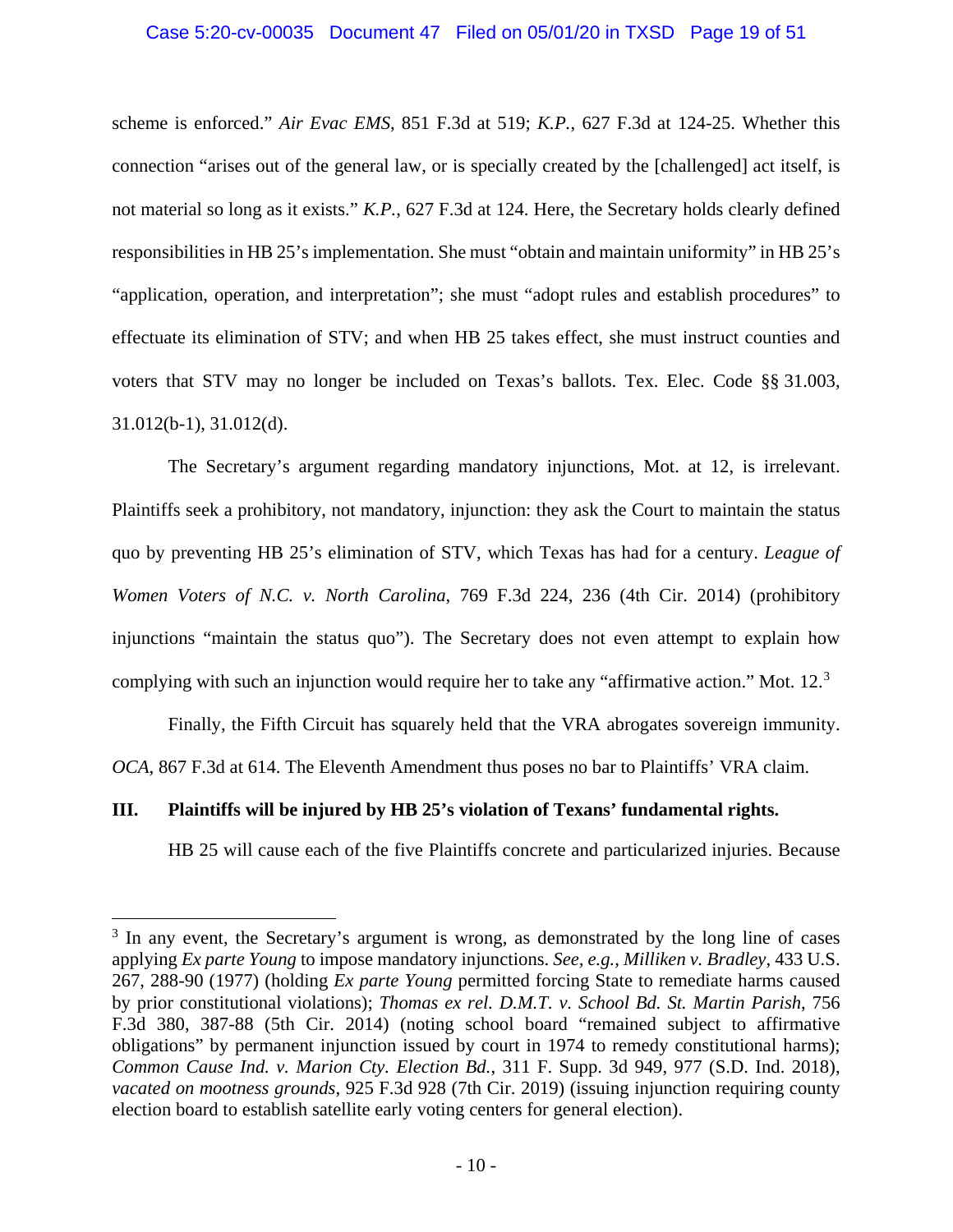## <span id="page-18-4"></span><span id="page-18-1"></span>Case 5:20-cv-00035 Document 47 Filed on 05/01/20 in TXSD Page 19 of 51

scheme is enforced." *Air Evac EMS*, 851 F.3d at 519; *K.P.*, 627 F.3d at 124-25. Whether this connection "arises out of the general law, or is specially created by the [challenged] act itself, is not material so long as it exists." *K.P.*, 627 F.3d at 124. Here, the Secretary holds clearly defined responsibilities in HB 25's implementation. She must "obtain and maintain uniformity" in HB 25's "application, operation, and interpretation"; she must "adopt rules and establish procedures" to effectuate its elimination of STV; and when HB 25 takes effect, she must instruct counties and voters that STV may no longer be included on Texas's ballots. Tex. Elec. Code §§ 31.003, 31.012(b-1), 31.012(d).

<span id="page-18-5"></span>The Secretary's argument regarding mandatory injunctions, Mot. at 12, is irrelevant. Plaintiffs seek a prohibitory, not mandatory, injunction: they ask the Court to maintain the status quo by preventing HB 25's elimination of STV, which Texas has had for a century. *League of Women Voters of N.C. v. North Carolina*, 769 F.3d 224, 236 (4th Cir. 2014) (prohibitory injunctions "maintain the status quo"). The Secretary does not even attempt to explain how complying with such an injunction would require her to take any "affirmative action." Mot. 12.<sup>[3](#page-18-8)</sup>

Finally, the Fifth Circuit has squarely held that the VRA abrogates sovereign immunity. *OCA*, 867 F.3d at 614. The Eleventh Amendment thus poses no bar to Plaintiffs' VRA claim.

## <span id="page-18-0"></span>**III. Plaintiffs will be injured by HB 25's violation of Texans' fundamental rights.**

<span id="page-18-7"></span><span id="page-18-6"></span>HB 25 will cause each of the five Plaintiffs concrete and particularized injuries. Because

<span id="page-18-8"></span><span id="page-18-3"></span><span id="page-18-2"></span> $3 \text{ In any event, the Secretary's argument is wrong, as demonstrated by the long line of cases.}$ applying *Ex parte Young* to impose mandatory injunctions. *See, e.g.*, *Milliken v. Bradley*, 433 U.S. 267, 288-90 (1977) (holding *Ex parte Young* permitted forcing State to remediate harms caused by prior constitutional violations); *Thomas ex rel. D.M.T. v. School Bd. St. Martin Parish*, 756 F.3d 380, 387-88 (5th Cir. 2014) (noting school board "remained subject to affirmative obligations" by permanent injunction issued by court in 1974 to remedy constitutional harms); *Common Cause Ind. v. Marion Cty. Election Bd.*, 311 F. Supp. 3d 949, 977 (S.D. Ind. 2018), *vacated on mootness grounds*, 925 F.3d 928 (7th Cir. 2019) (issuing injunction requiring county election board to establish satellite early voting centers for general election).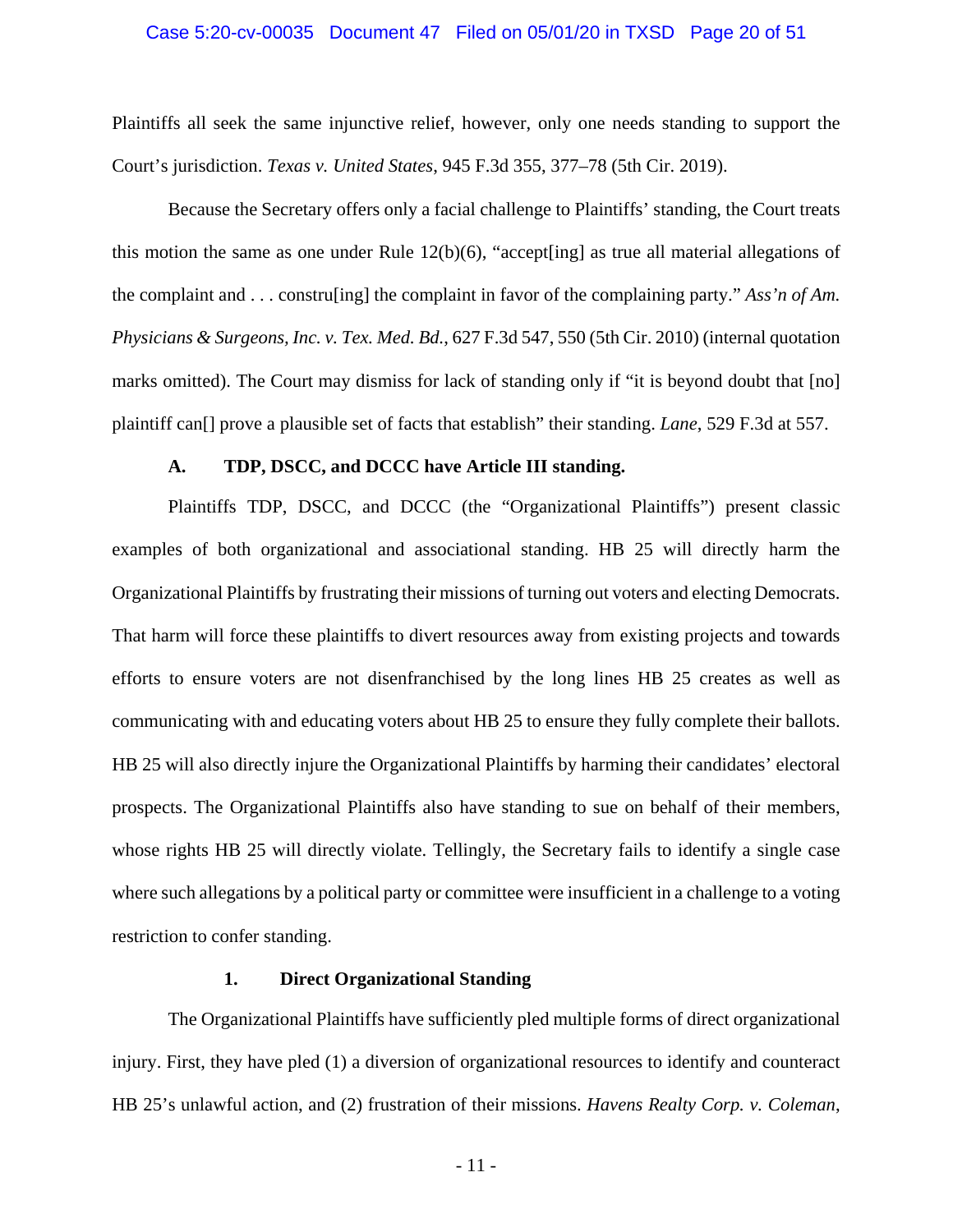### Case 5:20-cv-00035 Document 47 Filed on 05/01/20 in TXSD Page 20 of 51

<span id="page-19-4"></span>Plaintiffs all seek the same injunctive relief, however, only one needs standing to support the Court's jurisdiction. *Texas v. United States*, 945 F.3d 355, 377–78 (5th Cir. 2019).

Because the Secretary offers only a facial challenge to Plaintiffs' standing, the Court treats this motion the same as one under Rule 12(b)(6), "accept[ing] as true all material allegations of the complaint and . . . constru[ing] the complaint in favor of the complaining party." *Ass'n of Am. Physicians & Surgeons, Inc. v. Tex. Med. Bd.*, 627 F.3d 547, 550 (5th Cir. 2010) (internal quotation marks omitted). The Court may dismiss for lack of standing only if "it is beyond doubt that [no] plaintiff can[] prove a plausible set of facts that establish" their standing. *Lane*, 529 F.3d at 557.

## <span id="page-19-3"></span><span id="page-19-1"></span>**A. TDP, DSCC, and DCCC have Article III standing.**

<span id="page-19-0"></span>Plaintiffs TDP, DSCC, and DCCC (the "Organizational Plaintiffs") present classic examples of both organizational and associational standing. HB 25 will directly harm the Organizational Plaintiffs by frustrating their missions of turning out voters and electing Democrats. That harm will force these plaintiffs to divert resources away from existing projects and towards efforts to ensure voters are not disenfranchised by the long lines HB 25 creates as well as communicating with and educating voters about HB 25 to ensure they fully complete their ballots. HB 25 will also directly injure the Organizational Plaintiffs by harming their candidates' electoral prospects. The Organizational Plaintiffs also have standing to sue on behalf of their members, whose rights HB 25 will directly violate. Tellingly, the Secretary fails to identify a single case where such allegations by a political party or committee were insufficient in a challenge to a voting restriction to confer standing.

## <span id="page-19-2"></span>**1. Direct Organizational Standing**

The Organizational Plaintiffs have sufficiently pled multiple forms of direct organizational injury. First, they have pled (1) a diversion of organizational resources to identify and counteract HB 25's unlawful action, and (2) frustration of their missions. *Havens Realty Corp. v. Coleman*,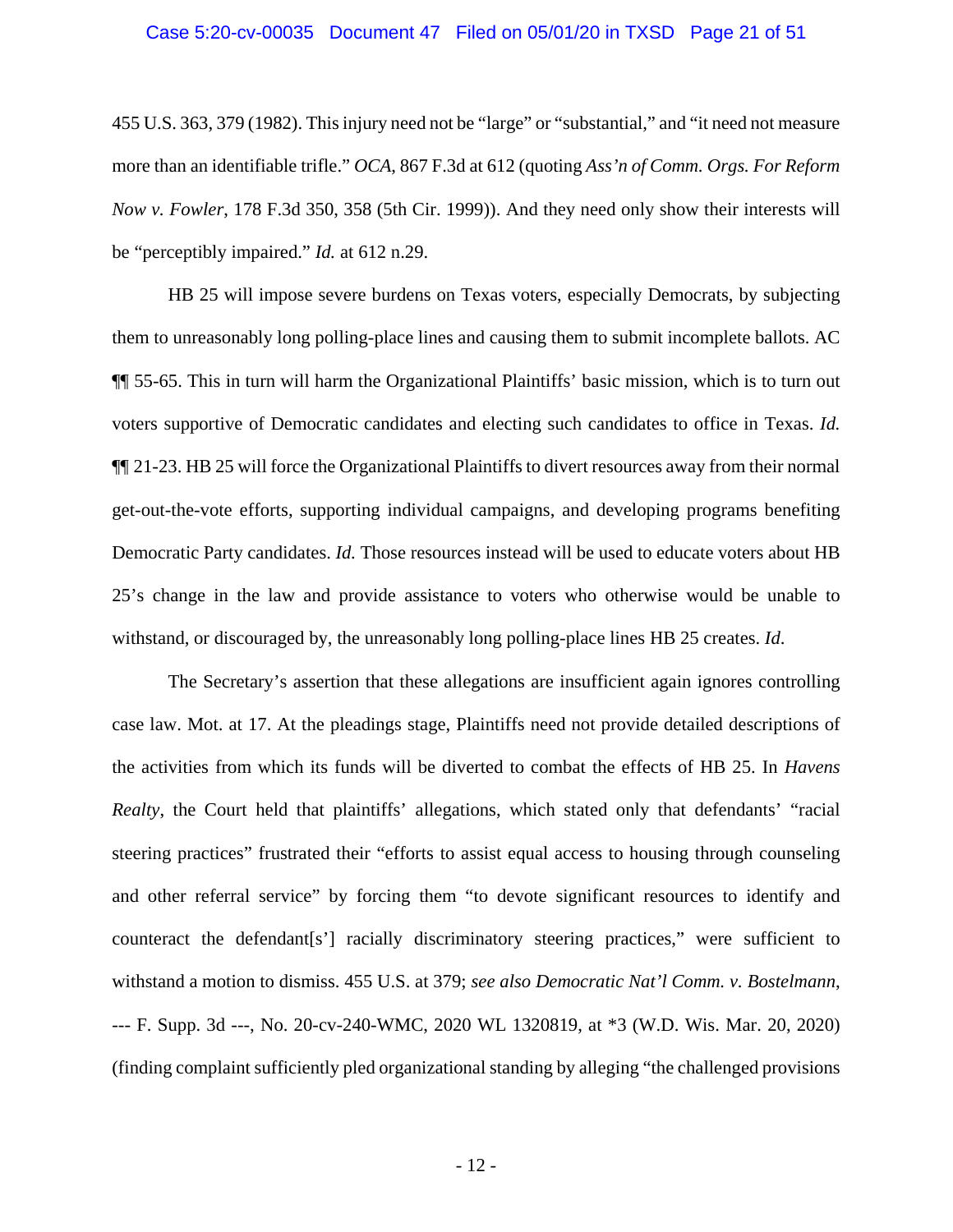### Case 5:20-cv-00035 Document 47 Filed on 05/01/20 in TXSD Page 21 of 51

455 U.S. 363, 379 (1982). Thisinjury need not be "large" or "substantial," and "it need not measure more than an identifiable trifle." *OCA*, 867 F.3d at 612 (quoting *Ass'n of Comm. Orgs. For Reform Now v. Fowler*, 178 F.3d 350, 358 (5th Cir. 1999)). And they need only show their interests will be "perceptibly impaired." *Id.* at 612 n.29.

HB 25 will impose severe burdens on Texas voters, especially Democrats, by subjecting them to unreasonably long polling-place lines and causing them to submit incomplete ballots. AC ¶¶ 55-65. This in turn will harm the Organizational Plaintiffs' basic mission, which is to turn out voters supportive of Democratic candidates and electing such candidates to office in Texas. *Id.* ¶¶ 21-23. HB 25 will force the Organizational Plaintiffs to divert resources away from their normal get-out-the-vote efforts, supporting individual campaigns, and developing programs benefiting Democratic Party candidates. *Id.* Those resources instead will be used to educate voters about HB 25's change in the law and provide assistance to voters who otherwise would be unable to withstand, or discouraged by, the unreasonably long polling-place lines HB 25 creates. *Id*.

<span id="page-20-0"></span>The Secretary's assertion that these allegations are insufficient again ignores controlling case law. Mot. at 17. At the pleadings stage, Plaintiffs need not provide detailed descriptions of the activities from which its funds will be diverted to combat the effects of HB 25. In *Havens Realty*, the Court held that plaintiffs' allegations, which stated only that defendants' "racial steering practices" frustrated their "efforts to assist equal access to housing through counseling and other referral service" by forcing them "to devote significant resources to identify and counteract the defendant[s'] racially discriminatory steering practices," were sufficient to withstand a motion to dismiss. 455 U.S. at 379; *see also Democratic Nat'l Comm. v. Bostelmann*, --- F. Supp. 3d ---, No. 20-cv-240-WMC, 2020 WL 1320819, at \*3 (W.D. Wis. Mar. 20, 2020) (finding complaint sufficiently pled organizational standing by alleging "the challenged provisions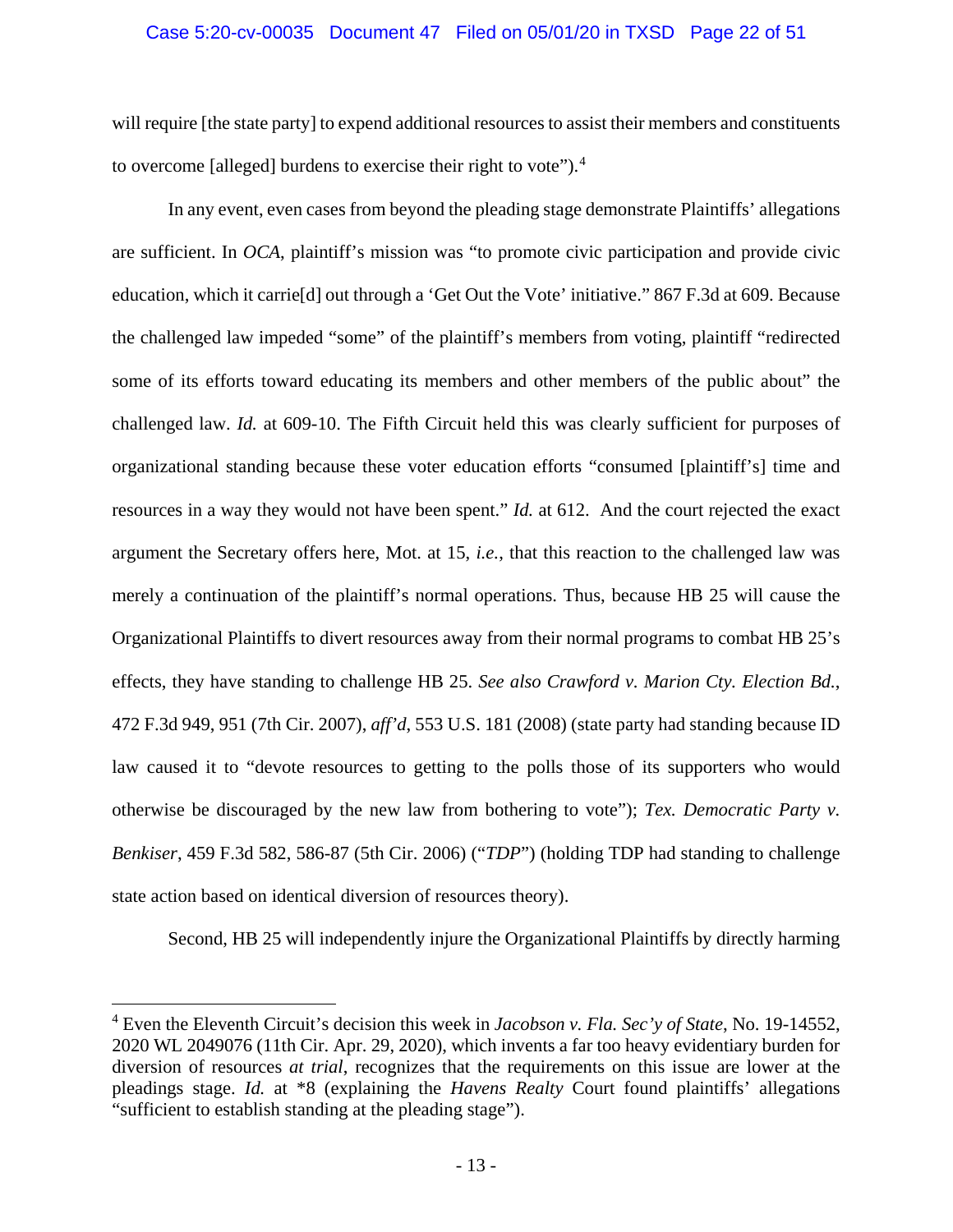## Case 5:20-cv-00035 Document 47 Filed on 05/01/20 in TXSD Page 22 of 51

will require [the state party] to expend additional resources to assist their members and constituents to overcome [alleged] burdens to exercise their right to vote"). [4](#page-21-4)

In any event, even cases from beyond the pleading stage demonstrate Plaintiffs' allegations are sufficient. In *OCA*, plaintiff's mission was "to promote civic participation and provide civic education, which it carrie[d] out through a 'Get Out the Vote' initiative." 867 F.3d at 609. Because the challenged law impeded "some" of the plaintiff's members from voting, plaintiff "redirected some of its efforts toward educating its members and other members of the public about" the challenged law. *Id.* at 609-10. The Fifth Circuit held this was clearly sufficient for purposes of organizational standing because these voter education efforts "consumed [plaintiff's] time and resources in a way they would not have been spent." *Id.* at 612. And the court rejected the exact argument the Secretary offers here, Mot. at 15, *i.e.*, that this reaction to the challenged law was merely a continuation of the plaintiff's normal operations. Thus, because HB 25 will cause the Organizational Plaintiffs to divert resources away from their normal programs to combat HB 25's effects, they have standing to challenge HB 25. *See also Crawford v. Marion Cty. Election Bd.*, 472 F.3d 949, 951 (7th Cir. 2007), *aff'd*, 553 U.S. 181 (2008) (state party had standing because ID law caused it to "devote resources to getting to the polls those of its supporters who would otherwise be discouraged by the new law from bothering to vote"); *Tex. Democratic Party v. Benkiser*, 459 F.3d 582, 586-87 (5th Cir. 2006) ("*TDP*") (holding TDP had standing to challenge state action based on identical diversion of resources theory).

<span id="page-21-3"></span><span id="page-21-2"></span><span id="page-21-1"></span><span id="page-21-0"></span>Second, HB 25 will independently injure the Organizational Plaintiffs by directly harming

<span id="page-21-4"></span> <sup>4</sup> Even the Eleventh Circuit's decision this week in *Jacobson v. Fla. Sec'y of State*, No. 19-14552, 2020 WL 2049076 (11th Cir. Apr. 29, 2020), which invents a far too heavy evidentiary burden for diversion of resources *at trial*, recognizes that the requirements on this issue are lower at the pleadings stage. *Id.* at \*8 (explaining the *Havens Realty* Court found plaintiffs' allegations "sufficient to establish standing at the pleading stage").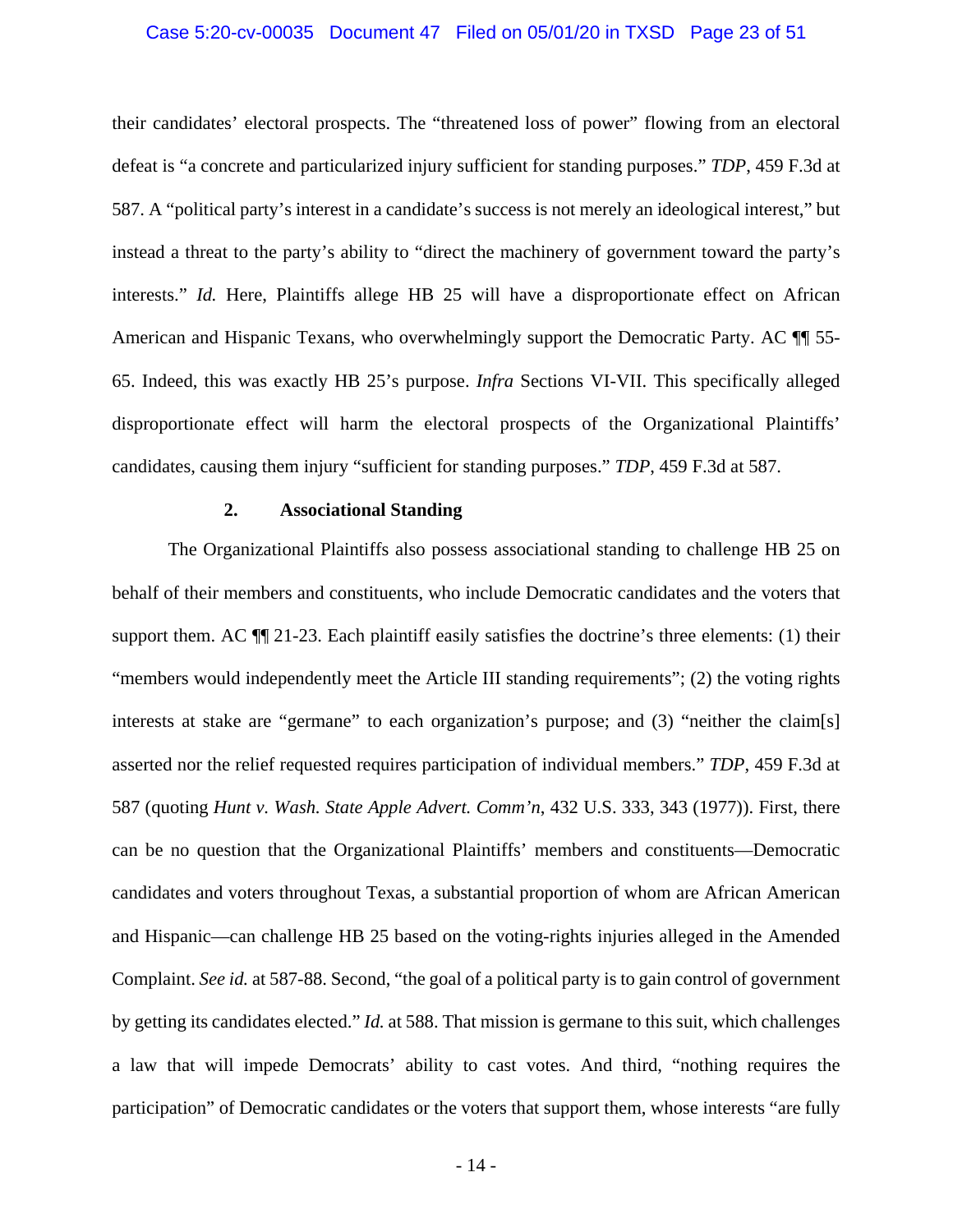### Case 5:20-cv-00035 Document 47 Filed on 05/01/20 in TXSD Page 23 of 51

their candidates' electoral prospects. The "threatened loss of power" flowing from an electoral defeat is "a concrete and particularized injury sufficient for standing purposes." *TDP*, 459 F.3d at 587. A "political party's interest in a candidate's success is not merely an ideological interest," but instead a threat to the party's ability to "direct the machinery of government toward the party's interests." *Id.* Here, Plaintiffs allege HB 25 will have a disproportionate effect on African American and Hispanic Texans, who overwhelmingly support the Democratic Party. AC  $\P$  55-65. Indeed, this was exactly HB 25's purpose. *Infra* Sections VI-VII. This specifically alleged disproportionate effect will harm the electoral prospects of the Organizational Plaintiffs' candidates, causing them injury "sufficient for standing purposes." *TDP*, 459 F.3d at 587.

## **2. Associational Standing**

The Organizational Plaintiffs also possess associational standing to challenge HB 25 on behalf of their members and constituents, who include Democratic candidates and the voters that support them. AC ¶¶ 21-23. Each plaintiff easily satisfies the doctrine's three elements: (1) their "members would independently meet the Article III standing requirements"; (2) the voting rights interests at stake are "germane" to each organization's purpose; and (3) "neither the claim[s] asserted nor the relief requested requires participation of individual members." *TDP*, 459 F.3d at 587 (quoting *Hunt v. Wash. State Apple Advert. Comm'n*, 432 U.S. 333, 343 (1977)). First, there can be no question that the Organizational Plaintiffs' members and constituents—Democratic candidates and voters throughout Texas, a substantial proportion of whom are African American and Hispanic—can challenge HB 25 based on the voting-rights injuries alleged in the Amended Complaint. *See id.* at 587-88. Second, "the goal of a political party is to gain control of government by getting its candidates elected." *Id.* at 588. That mission is germane to this suit, which challenges a law that will impede Democrats' ability to cast votes. And third, "nothing requires the participation" of Democratic candidates or the voters that support them, whose interests "are fully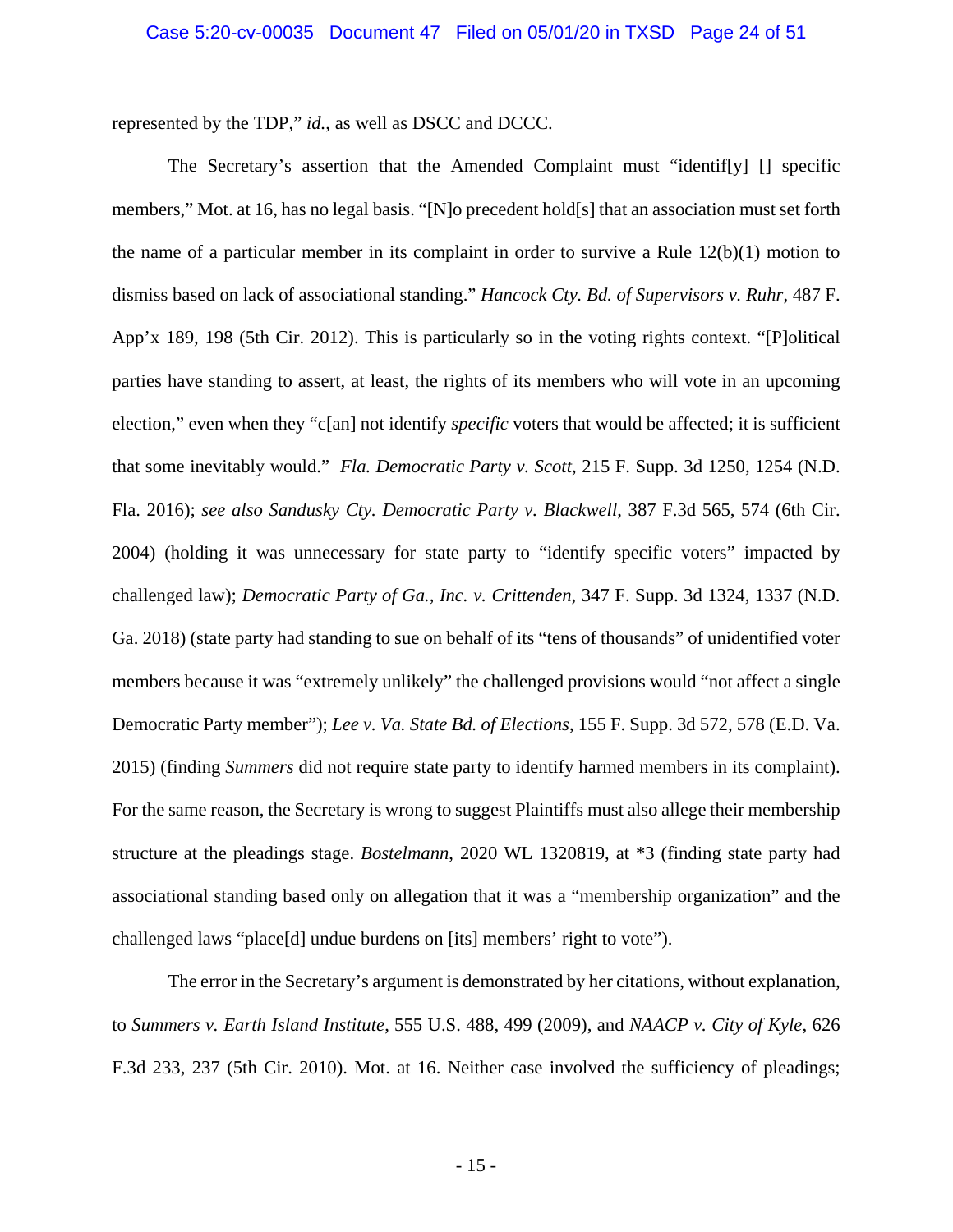represented by the TDP," *id.*, as well as DSCC and DCCC.

<span id="page-23-6"></span><span id="page-23-3"></span><span id="page-23-2"></span>The Secretary's assertion that the Amended Complaint must "identif[y] [] specific members," Mot. at 16, has no legal basis. "[N]o precedent hold[s] that an association must set forth the name of a particular member in its complaint in order to survive a Rule 12(b)(1) motion to dismiss based on lack of associational standing." *Hancock Cty. Bd. of Supervisors v. Ruhr*, 487 F. App'x 189, 198 (5th Cir. 2012). This is particularly so in the voting rights context. "[P]olitical parties have standing to assert, at least, the rights of its members who will vote in an upcoming election," even when they "c[an] not identify *specific* voters that would be affected; it is sufficient that some inevitably would." *Fla. Democratic Party v. Scott*, 215 F. Supp. 3d 1250, 1254 (N.D. Fla. 2016); *see also Sandusky Cty. Democratic Party v. Blackwell*, 387 F.3d 565, 574 (6th Cir. 2004) (holding it was unnecessary for state party to "identify specific voters" impacted by challenged law); *Democratic Party of Ga., Inc. v. Crittenden*, 347 F. Supp. 3d 1324, 1337 (N.D. Ga. 2018) (state party had standing to sue on behalf of its "tens of thousands" of unidentified voter members because it was "extremely unlikely" the challenged provisions would "not affect a single Democratic Party member"); *Lee v. Va. State Bd. of Elections*, 155 F. Supp. 3d 572, 578 (E.D. Va. 2015) (finding *Summers* did not require state party to identify harmed members in its complaint). For the same reason, the Secretary is wrong to suggest Plaintiffs must also allege their membership structure at the pleadings stage. *Bostelmann*, 2020 WL 1320819, at \*3 (finding state party had associational standing based only on allegation that it was a "membership organization" and the challenged laws "place[d] undue burdens on [its] members' right to vote").

<span id="page-23-8"></span><span id="page-23-7"></span><span id="page-23-5"></span><span id="page-23-4"></span><span id="page-23-1"></span><span id="page-23-0"></span>The error in the Secretary's argument is demonstrated by her citations, without explanation, to *Summers v. Earth Island Institute*, 555 U.S. 488, 499 (2009), and *NAACP v. City of Kyle*, 626 F.3d 233, 237 (5th Cir. 2010). Mot. at 16. Neither case involved the sufficiency of pleadings;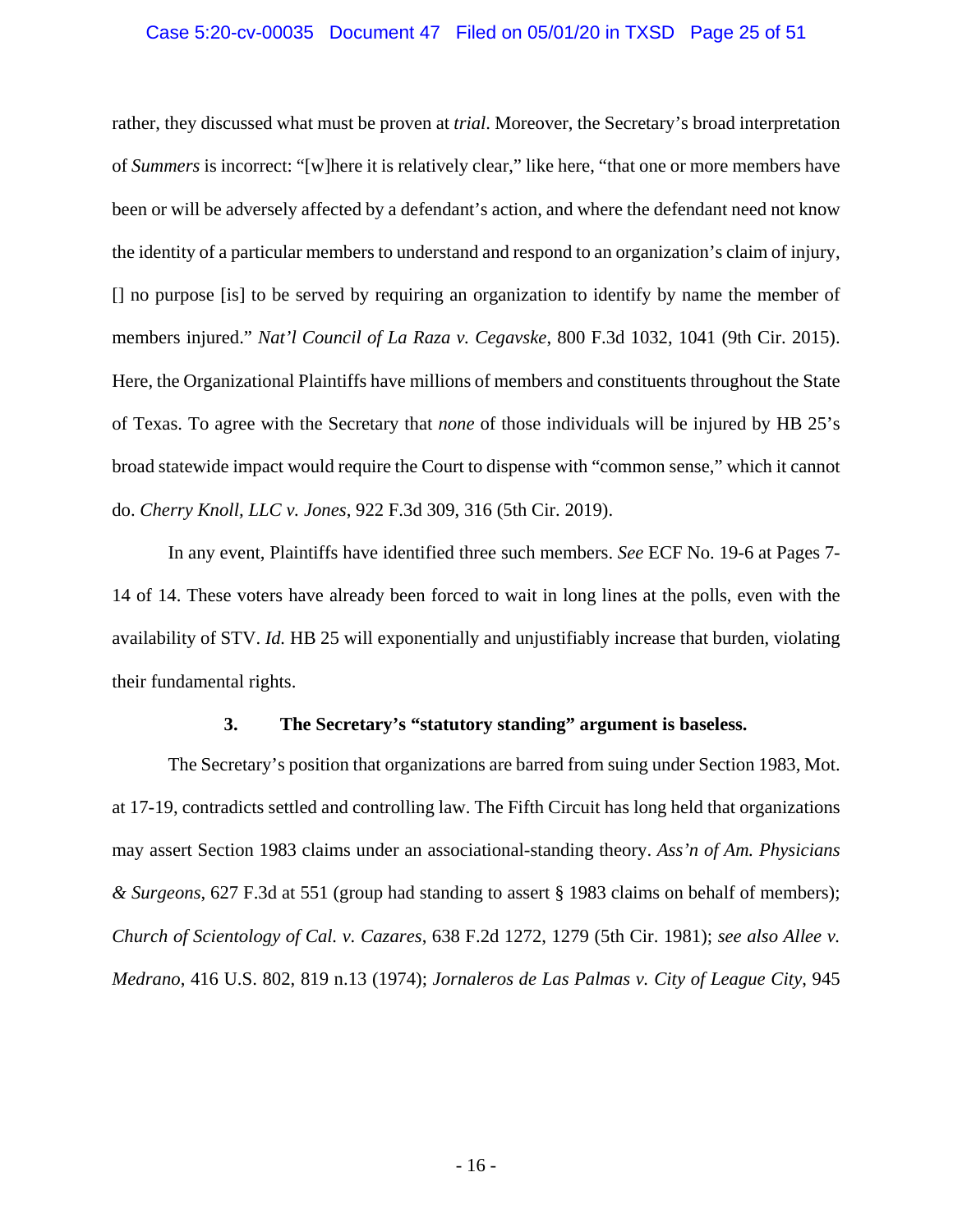## Case 5:20-cv-00035 Document 47 Filed on 05/01/20 in TXSD Page 25 of 51

<span id="page-24-5"></span>rather, they discussed what must be proven at *trial*. Moreover, the Secretary's broad interpretation of *Summers* is incorrect: "[w]here it is relatively clear," like here, "that one or more members have been or will be adversely affected by a defendant's action, and where the defendant need not know the identity of a particular members to understand and respond to an organization's claim of injury, [] no purpose [is] to be served by requiring an organization to identify by name the member of members injured." *Nat'l Council of La Raza v. Cegavske*, 800 F.3d 1032, 1041 (9th Cir. 2015). Here, the Organizational Plaintiffs have millions of members and constituents throughout the State of Texas. To agree with the Secretary that *none* of those individuals will be injured by HB 25's broad statewide impact would require the Court to dispense with "common sense," which it cannot do. *Cherry Knoll, LLC v. Jones*, 922 F.3d 309, 316 (5th Cir. 2019).

<span id="page-24-2"></span>In any event, Plaintiffs have identified three such members. *See* ECF No. 19-6 at Pages 7- 14 of 14. These voters have already been forced to wait in long lines at the polls, even with the availability of STV. *Id.* HB 25 will exponentially and unjustifiably increase that burden, violating their fundamental rights.

## <span id="page-24-4"></span><span id="page-24-1"></span><span id="page-24-0"></span>**3. The Secretary's "statutory standing" argument is baseless.**

<span id="page-24-3"></span>The Secretary's position that organizations are barred from suing under Section 1983, Mot. at 17-19, contradicts settled and controlling law. The Fifth Circuit has long held that organizations may assert Section 1983 claims under an associational-standing theory. *Ass'n of Am. Physicians & Surgeons*, 627 F.3d at 551 (group had standing to assert § 1983 claims on behalf of members); *Church of Scientology of Cal. v. Cazares*, 638 F.2d 1272, 1279 (5th Cir. 1981); *see also Allee v. Medrano*, 416 U.S. 802, 819 n.13 (1974); *Jornaleros de Las Palmas v. City of League City*, 945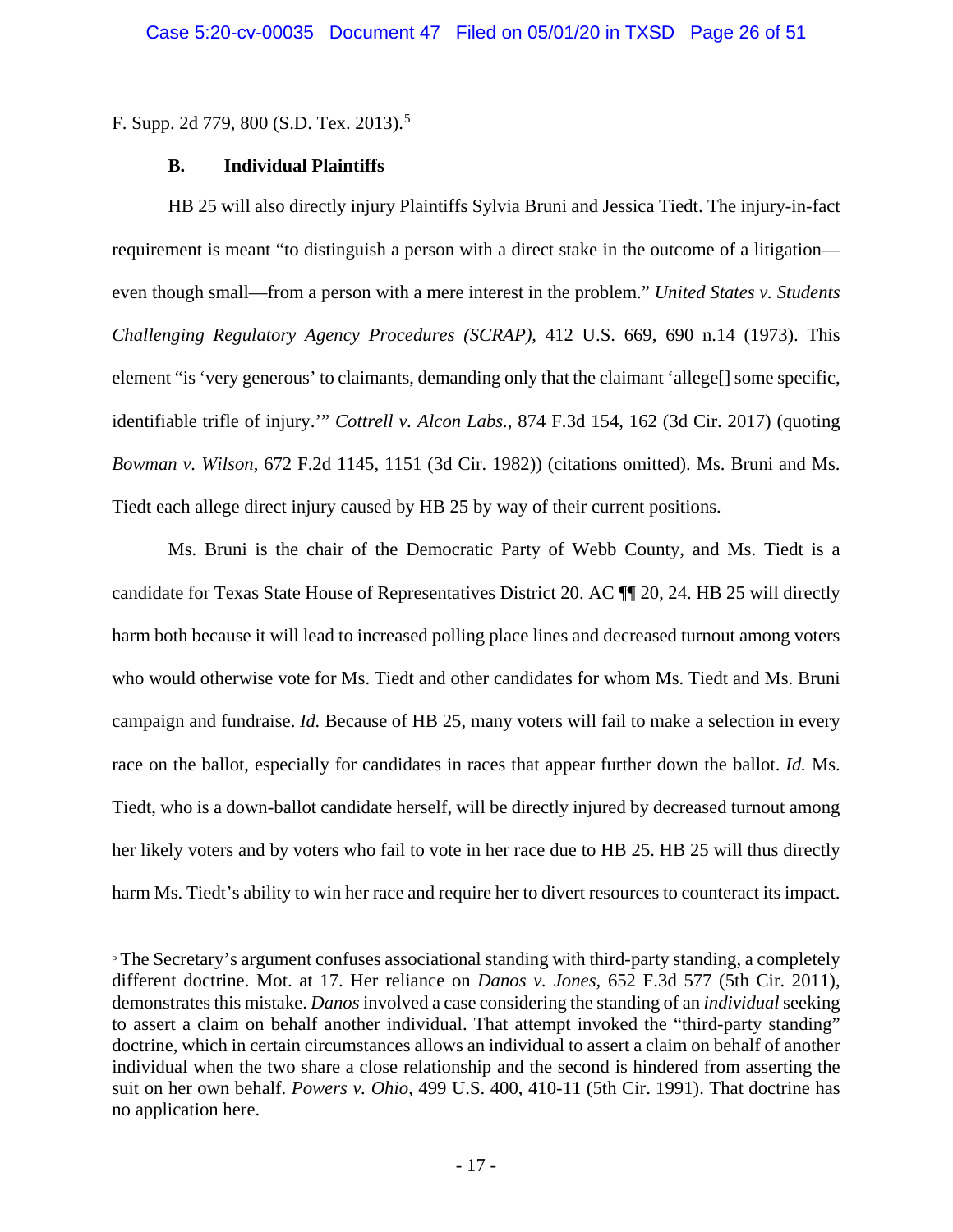F. Supp. 2d 779, 800 (S.D. Tex. 2013).<sup>[5](#page-25-5)</sup>

## <span id="page-25-4"></span>**B. Individual Plaintiffs**

<span id="page-25-0"></span>HB 25 will also directly injury Plaintiffs Sylvia Bruni and Jessica Tiedt. The injury-in-fact requirement is meant "to distinguish a person with a direct stake in the outcome of a litigation even though small—from a person with a mere interest in the problem." *United States v. Students Challenging Regulatory Agency Procedures (SCRAP)*, 412 U.S. 669, 690 n.14 (1973). This element "is 'very generous' to claimants, demanding only that the claimant 'allege<sup>[]</sup> some specific, identifiable trifle of injury.'" *Cottrell v. Alcon Labs.*, 874 F.3d 154, 162 (3d Cir. 2017) (quoting *Bowman v. Wilson*, 672 F.2d 1145, 1151 (3d Cir. 1982)) (citations omitted). Ms. Bruni and Ms. Tiedt each allege direct injury caused by HB 25 by way of their current positions.

<span id="page-25-1"></span>Ms. Bruni is the chair of the Democratic Party of Webb County, and Ms. Tiedt is a candidate for Texas State House of Representatives District 20. AC ¶¶ 20, 24. HB 25 will directly harm both because it will lead to increased polling place lines and decreased turnout among voters who would otherwise vote for Ms. Tiedt and other candidates for whom Ms. Tiedt and Ms. Bruni campaign and fundraise. *Id.* Because of HB 25, many voters will fail to make a selection in every race on the ballot, especially for candidates in races that appear further down the ballot. *Id.* Ms. Tiedt, who is a down-ballot candidate herself, will be directly injured by decreased turnout among her likely voters and by voters who fail to vote in her race due to HB 25. HB 25 will thus directly harm Ms. Tiedt's ability to win her race and require her to divert resources to counteract its impact.

<span id="page-25-5"></span><span id="page-25-3"></span><span id="page-25-2"></span><sup>&</sup>lt;sup>5</sup> The Secretary's argument confuses associational standing with third-party standing, a completely different doctrine. Mot. at 17. Her reliance on *Danos v. Jones*, 652 F.3d 577 (5th Cir. 2011), demonstrates this mistake. *Danos* involved a case considering the standing of an *individual* seeking to assert a claim on behalf another individual. That attempt invoked the "third-party standing" doctrine, which in certain circumstances allows an individual to assert a claim on behalf of another individual when the two share a close relationship and the second is hindered from asserting the suit on her own behalf. *Powers v. Ohio*, 499 U.S. 400, 410-11 (5th Cir. 1991). That doctrine has no application here.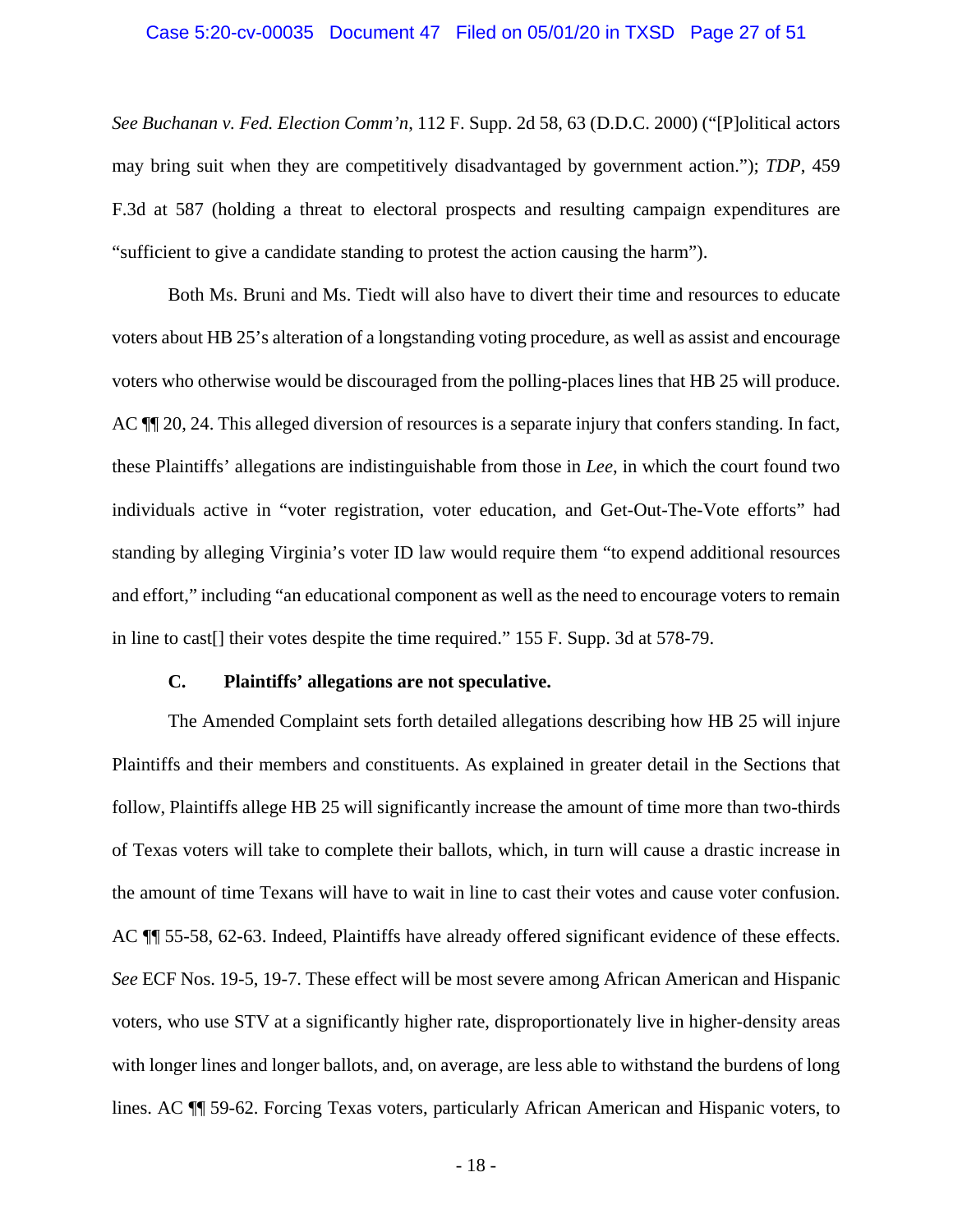### Case 5:20-cv-00035 Document 47 Filed on 05/01/20 in TXSD Page 27 of 51

<span id="page-26-1"></span>*See Buchanan v. Fed. Election Comm'n*, 112 F. Supp. 2d 58, 63 (D.D.C. 2000) ("[P]olitical actors may bring suit when they are competitively disadvantaged by government action."); *TDP*, 459 F.3d at 587 (holding a threat to electoral prospects and resulting campaign expenditures are "sufficient to give a candidate standing to protest the action causing the harm").

Both Ms. Bruni and Ms. Tiedt will also have to divert their time and resources to educate voters about HB 25's alteration of a longstanding voting procedure, as well as assist and encourage voters who otherwise would be discouraged from the polling-places lines that HB 25 will produce. AC ¶¶ 20, 24. This alleged diversion of resources is a separate injury that confers standing. In fact, these Plaintiffs' allegations are indistinguishable from those in *Lee*, in which the court found two individuals active in "voter registration, voter education, and Get-Out-The-Vote efforts" had standing by alleging Virginia's voter ID law would require them "to expend additional resources and effort," including "an educational component as well as the need to encourage voters to remain in line to cast[] their votes despite the time required." 155 F. Supp. 3d at 578-79.

### <span id="page-26-2"></span>**C. Plaintiffs' allegations are not speculative.**

<span id="page-26-0"></span>The Amended Complaint sets forth detailed allegations describing how HB 25 will injure Plaintiffs and their members and constituents. As explained in greater detail in the Sections that follow, Plaintiffs allege HB 25 will significantly increase the amount of time more than two-thirds of Texas voters will take to complete their ballots, which, in turn will cause a drastic increase in the amount of time Texans will have to wait in line to cast their votes and cause voter confusion. AC ¶¶ 55-58, 62-63. Indeed, Plaintiffs have already offered significant evidence of these effects. *See* ECF Nos. 19-5, 19-7. These effect will be most severe among African American and Hispanic voters, who use STV at a significantly higher rate, disproportionately live in higher-density areas with longer lines and longer ballots, and, on average, are less able to withstand the burdens of long lines. AC ¶¶ 59-62. Forcing Texas voters, particularly African American and Hispanic voters, to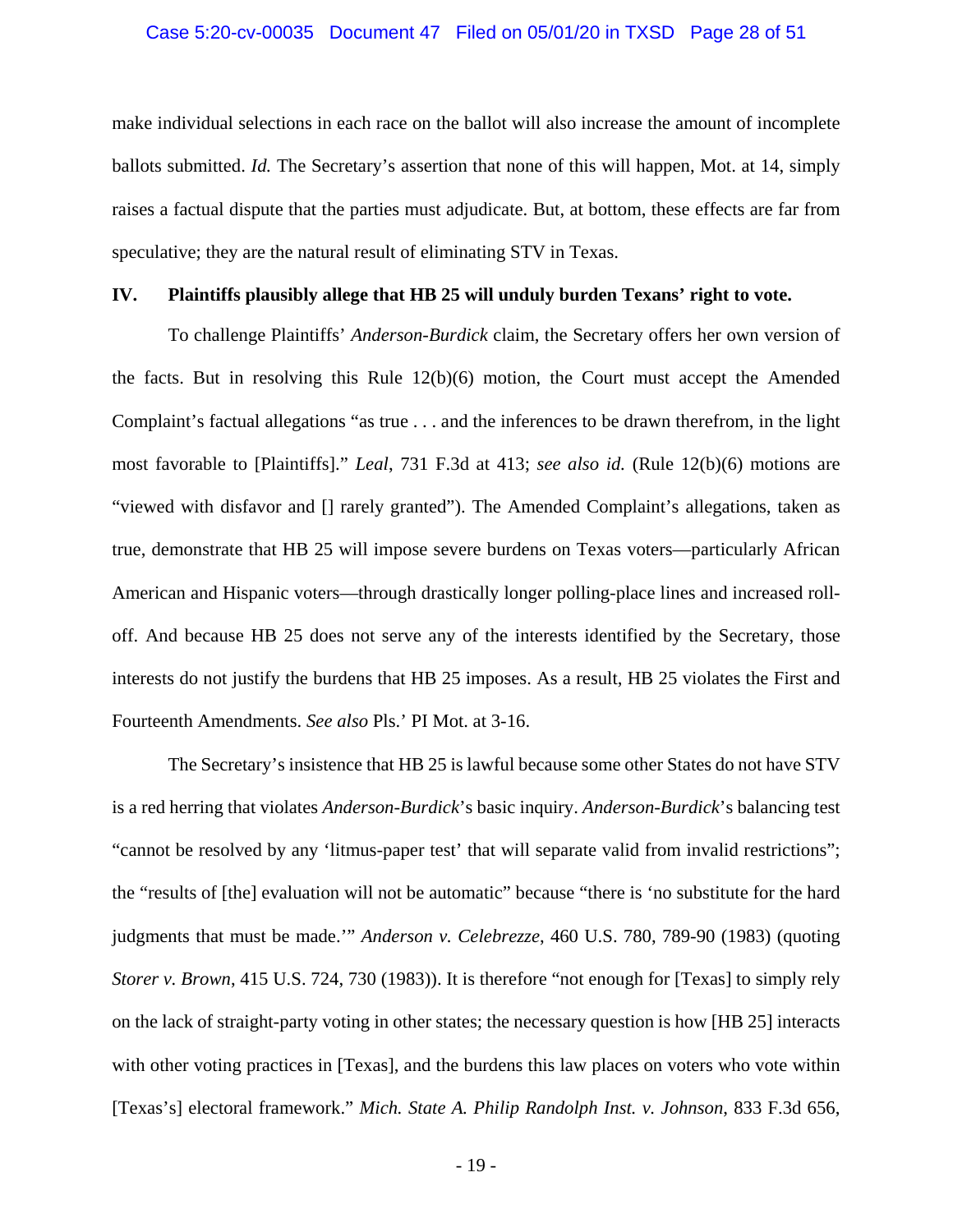### Case 5:20-cv-00035 Document 47 Filed on 05/01/20 in TXSD Page 28 of 51

make individual selections in each race on the ballot will also increase the amount of incomplete ballots submitted. *Id.* The Secretary's assertion that none of this will happen, Mot. at 14, simply raises a factual dispute that the parties must adjudicate. But, at bottom, these effects are far from speculative; they are the natural result of eliminating STV in Texas.

## <span id="page-27-0"></span>**IV. Plaintiffs plausibly allege that HB 25 will unduly burden Texans' right to vote.**

<span id="page-27-2"></span>To challenge Plaintiffs' *Anderson*-*Burdick* claim, the Secretary offers her own version of the facts. But in resolving this Rule  $12(b)(6)$  motion, the Court must accept the Amended Complaint's factual allegations "as true . . . and the inferences to be drawn therefrom, in the light most favorable to [Plaintiffs]." *Leal*, 731 F.3d at 413; *see also id.* (Rule 12(b)(6) motions are "viewed with disfavor and [] rarely granted"). The Amended Complaint's allegations, taken as true, demonstrate that HB 25 will impose severe burdens on Texas voters—particularly African American and Hispanic voters—through drastically longer polling-place lines and increased rolloff. And because HB 25 does not serve any of the interests identified by the Secretary, those interests do not justify the burdens that HB 25 imposes. As a result, HB 25 violates the First and Fourteenth Amendments. *See also* Pls.' PI Mot. at 3-16.

<span id="page-27-3"></span><span id="page-27-1"></span>The Secretary's insistence that HB 25 is lawful because some other States do not have STV is a red herring that violates *Anderson*-*Burdick*'s basic inquiry. *Anderson*-*Burdick*'s balancing test "cannot be resolved by any 'litmus-paper test' that will separate valid from invalid restrictions"; the "results of [the] evaluation will not be automatic" because "there is 'no substitute for the hard judgments that must be made.'" *Anderson v. Celebrezze*, 460 U.S. 780, 789-90 (1983) (quoting *Storer v. Brown*, 415 U.S. 724, 730 (1983)). It is therefore "not enough for [Texas] to simply rely on the lack of straight-party voting in other states; the necessary question is how [HB 25] interacts with other voting practices in [Texas], and the burdens this law places on voters who vote within [Texas's] electoral framework." *Mich. State A. Philip Randolph Inst. v. Johnson*, 833 F.3d 656,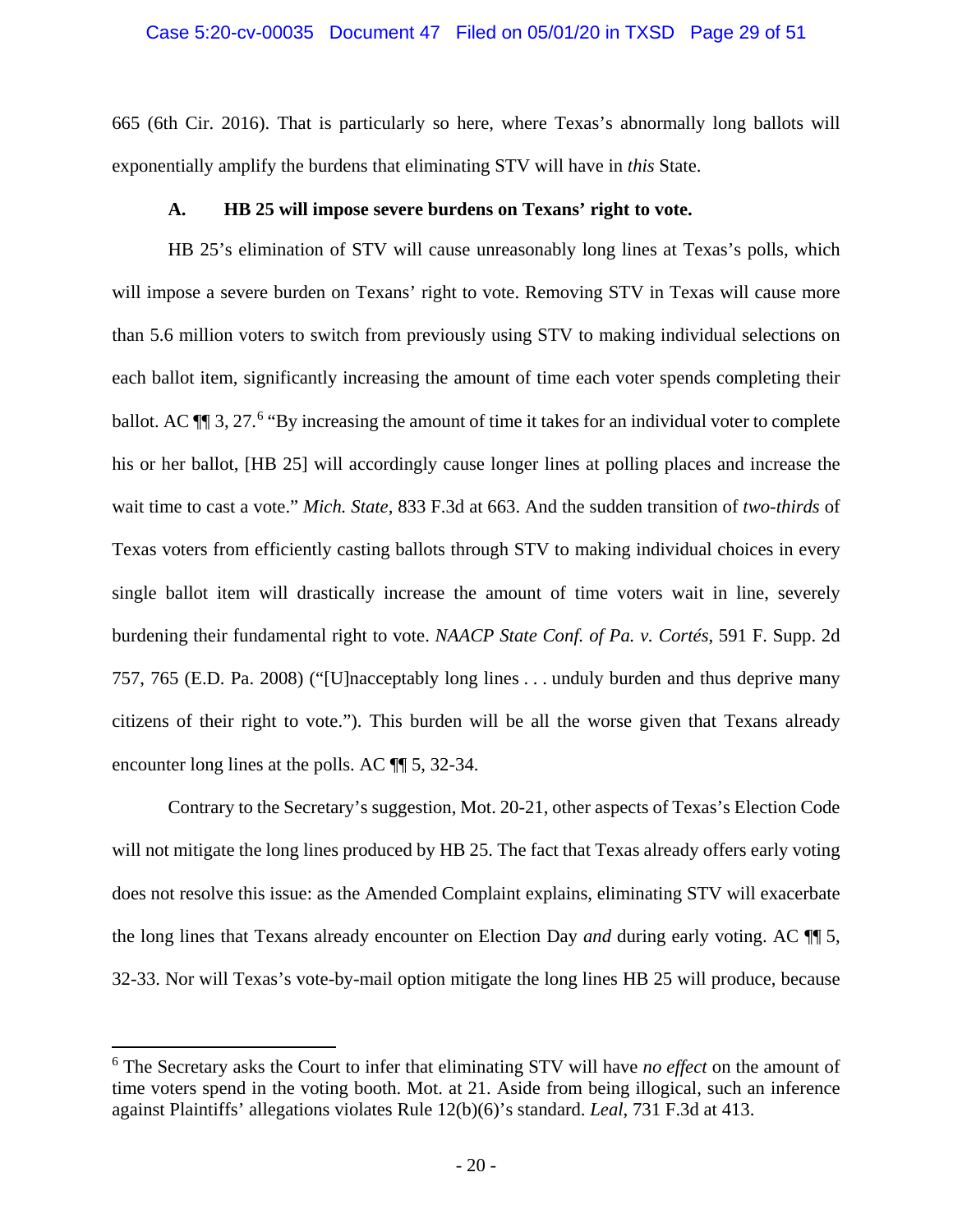## Case 5:20-cv-00035 Document 47 Filed on 05/01/20 in TXSD Page 29 of 51

665 (6th Cir. 2016). That is particularly so here, where Texas's abnormally long ballots will exponentially amplify the burdens that eliminating STV will have in *this* State.

## **A. HB 25 will impose severe burdens on Texans' right to vote.**

<span id="page-28-0"></span>HB 25's elimination of STV will cause unreasonably long lines at Texas's polls, which will impose a severe burden on Texans' right to vote. Removing STV in Texas will cause more than 5.6 million voters to switch from previously using STV to making individual selections on each ballot item, significantly increasing the amount of time each voter spends completing their ballot. AC  $\P$  3, 27.<sup>[6](#page-28-3)</sup> "By increasing the amount of time it takes for an individual voter to complete his or her ballot, [HB 25] will accordingly cause longer lines at polling places and increase the wait time to cast a vote." *Mich. State*, 833 F.3d at 663. And the sudden transition of *two-thirds* of Texas voters from efficiently casting ballots through STV to making individual choices in every single ballot item will drastically increase the amount of time voters wait in line, severely burdening their fundamental right to vote. *NAACP State Conf. of Pa. v. Cortés*, 591 F. Supp. 2d 757, 765 (E.D. Pa. 2008) ("[U]nacceptably long lines . . . unduly burden and thus deprive many citizens of their right to vote."). This burden will be all the worse given that Texans already encounter long lines at the polls. AC ¶¶ 5, 32-34.

<span id="page-28-2"></span>Contrary to the Secretary's suggestion, Mot. 20-21, other aspects of Texas's Election Code will not mitigate the long lines produced by HB 25. The fact that Texas already offers early voting does not resolve this issue: as the Amended Complaint explains, eliminating STV will exacerbate the long lines that Texans already encounter on Election Day *and* during early voting. AC ¶¶ 5, 32-33. Nor will Texas's vote-by-mail option mitigate the long lines HB 25 will produce, because

<span id="page-28-3"></span><span id="page-28-1"></span> <sup>6</sup> The Secretary asks the Court to infer that eliminating STV will have *no effect* on the amount of time voters spend in the voting booth. Mot. at 21. Aside from being illogical, such an inference against Plaintiffs' allegations violates Rule 12(b)(6)'s standard. *Leal*, 731 F.3d at 413.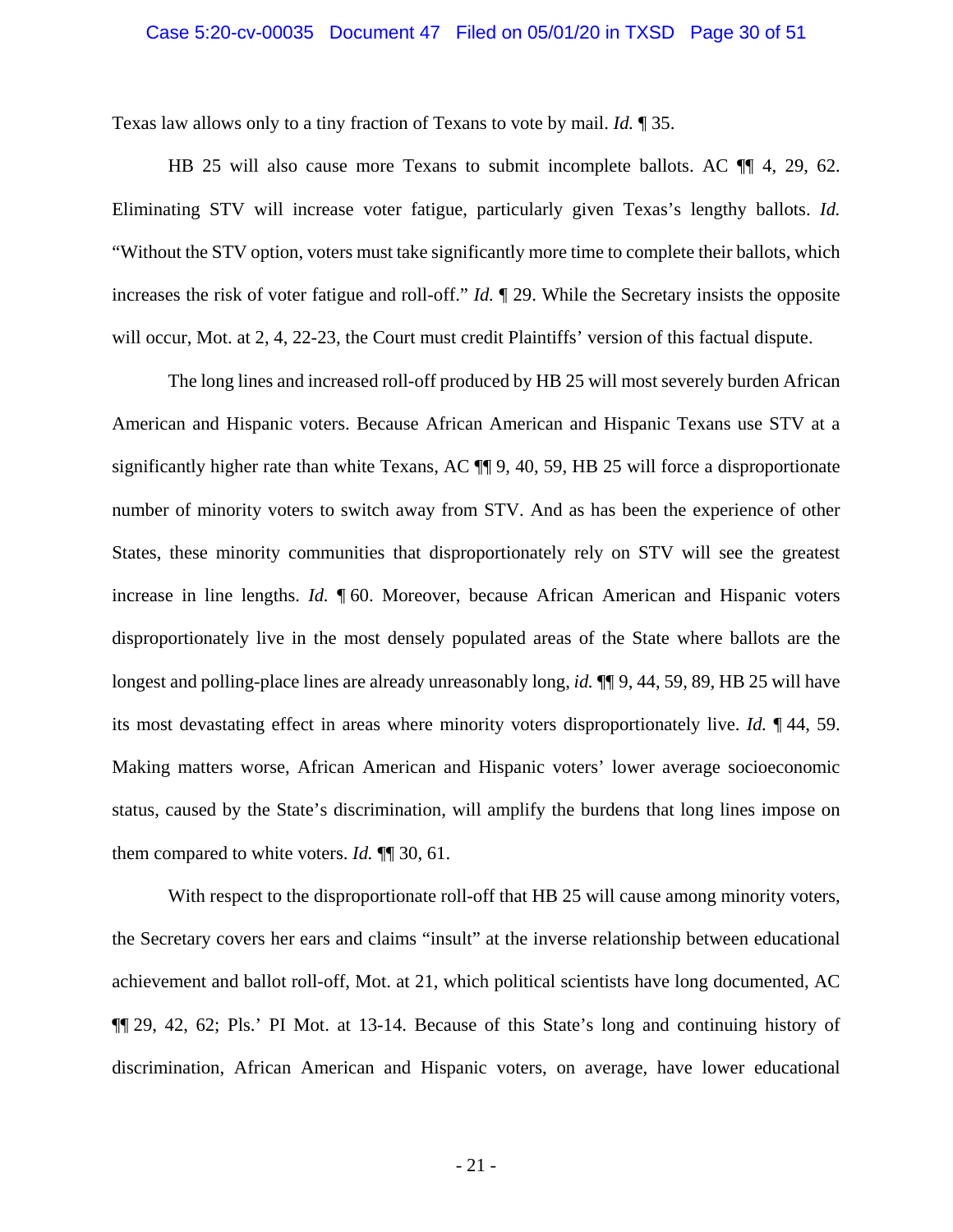### Case 5:20-cv-00035 Document 47 Filed on 05/01/20 in TXSD Page 30 of 51

Texas law allows only to a tiny fraction of Texans to vote by mail. *Id.* ¶ 35.

HB 25 will also cause more Texans to submit incomplete ballots. AC  $\P$  4, 29, 62. Eliminating STV will increase voter fatigue, particularly given Texas's lengthy ballots. *Id.* "Without the STV option, voters must take significantly more time to complete their ballots, which increases the risk of voter fatigue and roll-off." *Id.* ¶ 29. While the Secretary insists the opposite will occur, Mot. at 2, 4, 22-23, the Court must credit Plaintiffs' version of this factual dispute.

The long lines and increased roll-off produced by HB 25 will most severely burden African American and Hispanic voters. Because African American and Hispanic Texans use STV at a significantly higher rate than white Texans, AC ¶¶ 9, 40, 59, HB 25 will force a disproportionate number of minority voters to switch away from STV. And as has been the experience of other States, these minority communities that disproportionately rely on STV will see the greatest increase in line lengths. *Id.* ¶ 60. Moreover, because African American and Hispanic voters disproportionately live in the most densely populated areas of the State where ballots are the longest and polling-place lines are already unreasonably long, *id.* ¶¶ 9, 44, 59, 89, HB 25 will have its most devastating effect in areas where minority voters disproportionately live. *Id.* ¶ 44, 59. Making matters worse, African American and Hispanic voters' lower average socioeconomic status, caused by the State's discrimination, will amplify the burdens that long lines impose on them compared to white voters. *Id.* ¶¶ 30, 61.

With respect to the disproportionate roll-off that HB 25 will cause among minority voters, the Secretary covers her ears and claims "insult" at the inverse relationship between educational achievement and ballot roll-off, Mot. at 21, which political scientists have long documented, AC ¶¶ 29, 42, 62; Pls.' PI Mot. at 13-14. Because of this State's long and continuing history of discrimination, African American and Hispanic voters, on average, have lower educational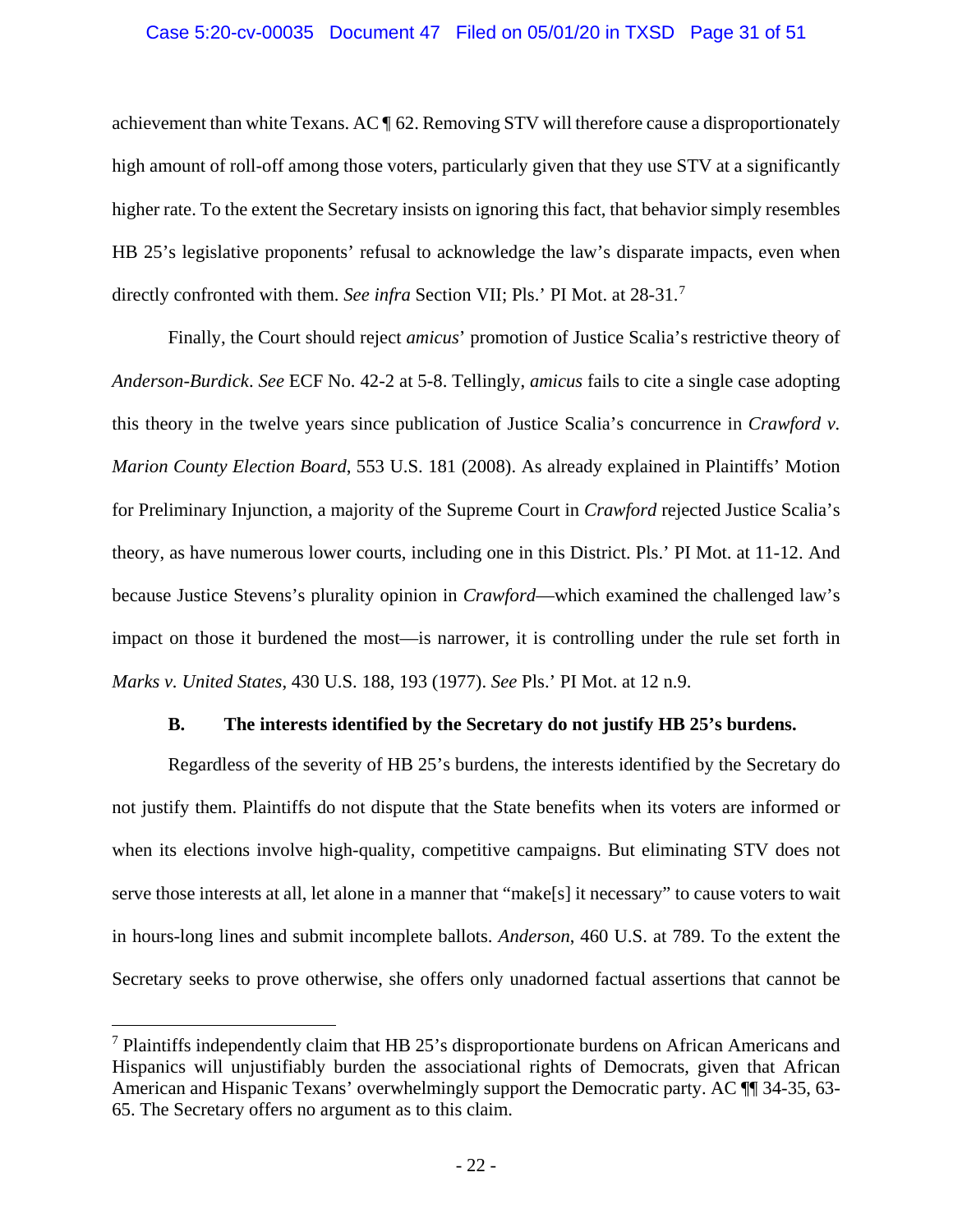## Case 5:20-cv-00035 Document 47 Filed on 05/01/20 in TXSD Page 31 of 51

achievement than white Texans. AC ¶ 62. Removing STV will therefore cause a disproportionately high amount of roll-off among those voters, particularly given that they use STV at a significantly higher rate. To the extent the Secretary insists on ignoring this fact, that behavior simply resembles HB 25's legislative proponents' refusal to acknowledge the law's disparate impacts, even when directly confronted with them. *See infra* Section VII; Pls.' PI Mot. at 28-31. [7](#page-30-5)

<span id="page-30-2"></span>Finally, the Court should reject *amicus*' promotion of Justice Scalia's restrictive theory of *Anderson*-*Burdick*. *See* ECF No. 42-2 at 5-8. Tellingly, *amicus* fails to cite a single case adopting this theory in the twelve years since publication of Justice Scalia's concurrence in *Crawford v. Marion County Election Board*, 553 U.S. 181 (2008). As already explained in Plaintiffs' Motion for Preliminary Injunction, a majority of the Supreme Court in *Crawford* rejected Justice Scalia's theory, as have numerous lower courts, including one in this District. Pls.' PI Mot. at 11-12. And because Justice Stevens's plurality opinion in *Crawford*—which examined the challenged law's impact on those it burdened the most—is narrower, it is controlling under the rule set forth in *Marks v. United States*, 430 U.S. 188, 193 (1977). *See* Pls.' PI Mot. at 12 n.9.

## <span id="page-30-4"></span><span id="page-30-3"></span><span id="page-30-1"></span>**B. The interests identified by the Secretary do not justify HB 25's burdens.**

<span id="page-30-0"></span>Regardless of the severity of HB 25's burdens, the interests identified by the Secretary do not justify them. Plaintiffs do not dispute that the State benefits when its voters are informed or when its elections involve high-quality, competitive campaigns. But eliminating STV does not serve those interests at all, let alone in a manner that "make[s] it necessary" to cause voters to wait in hours-long lines and submit incomplete ballots. *Anderson*, 460 U.S. at 789. To the extent the Secretary seeks to prove otherwise, she offers only unadorned factual assertions that cannot be

<span id="page-30-5"></span> <sup>7</sup> Plaintiffs independently claim that HB 25's disproportionate burdens on African Americans and Hispanics will unjustifiably burden the associational rights of Democrats, given that African American and Hispanic Texans' overwhelmingly support the Democratic party. AC ¶¶ 34-35, 63- 65. The Secretary offers no argument as to this claim.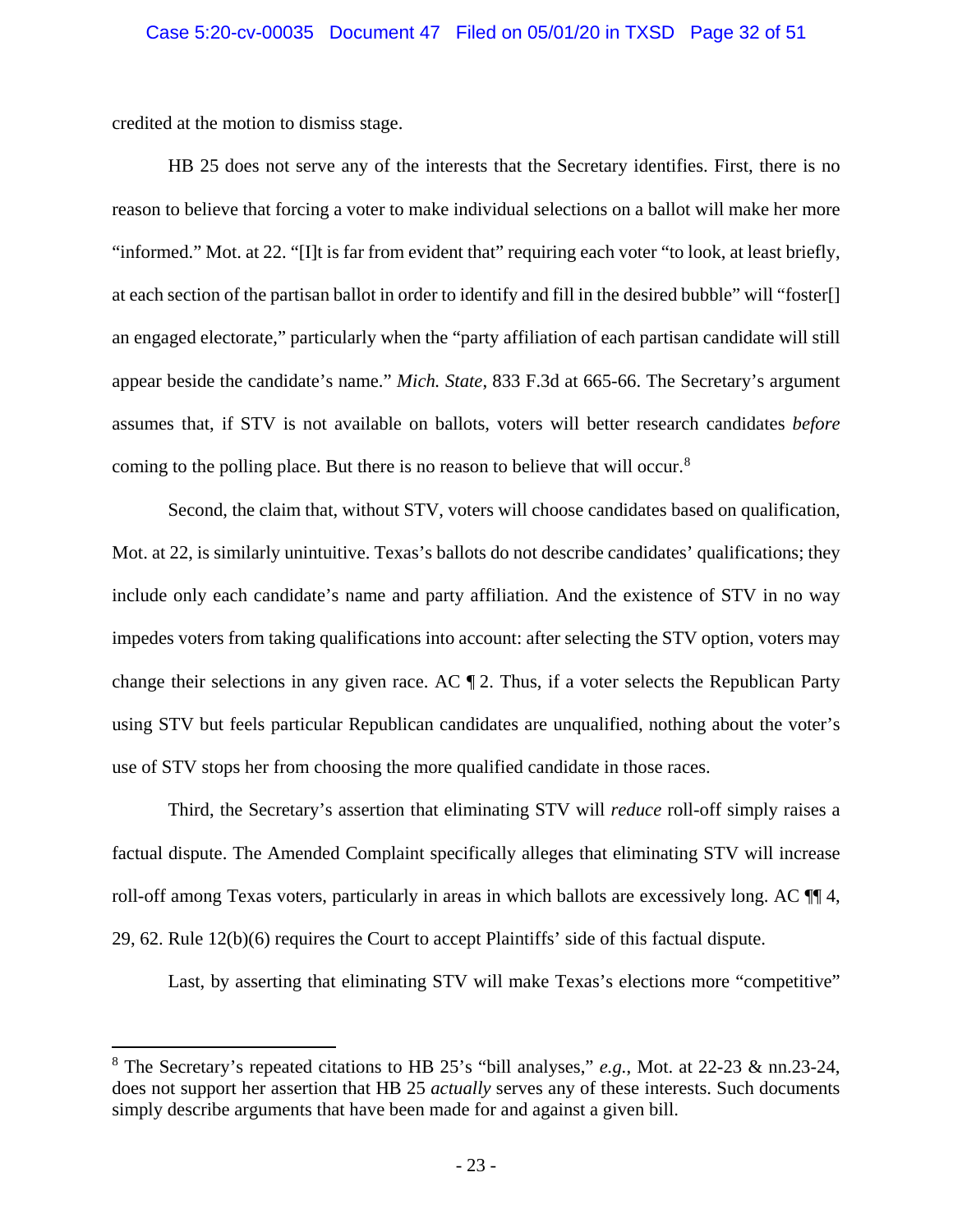credited at the motion to dismiss stage.

HB 25 does not serve any of the interests that the Secretary identifies. First, there is no reason to believe that forcing a voter to make individual selections on a ballot will make her more "informed." Mot. at 22. "[I]t is far from evident that" requiring each voter "to look, at least briefly, at each section of the partisan ballot in order to identify and fill in the desired bubble" will "foster[] an engaged electorate," particularly when the "party affiliation of each partisan candidate will still appear beside the candidate's name." *Mich. State*, 833 F.3d at 665-66. The Secretary's argument assumes that, if STV is not available on ballots, voters will better research candidates *before* coming to the polling place. But there is no reason to believe that will occur.<sup>[8](#page-31-0)</sup>

Second, the claim that, without STV, voters will choose candidates based on qualification, Mot. at 22, is similarly unintuitive. Texas's ballots do not describe candidates' qualifications; they include only each candidate's name and party affiliation. And the existence of STV in no way impedes voters from taking qualifications into account: after selecting the STV option, voters may change their selections in any given race. AC ¶ 2. Thus, if a voter selects the Republican Party using STV but feels particular Republican candidates are unqualified, nothing about the voter's use of STV stops her from choosing the more qualified candidate in those races.

Third, the Secretary's assertion that eliminating STV will *reduce* roll-off simply raises a factual dispute. The Amended Complaint specifically alleges that eliminating STV will increase roll-off among Texas voters, particularly in areas in which ballots are excessively long. AC ¶¶ 4, 29, 62. Rule 12(b)(6) requires the Court to accept Plaintiffs' side of this factual dispute.

Last, by asserting that eliminating STV will make Texas's elections more "competitive"

<span id="page-31-0"></span> <sup>8</sup> The Secretary's repeated citations to HB 25's "bill analyses," *e.g.*, Mot. at 22-23 & nn.23-24, does not support her assertion that HB 25 *actually* serves any of these interests. Such documents simply describe arguments that have been made for and against a given bill.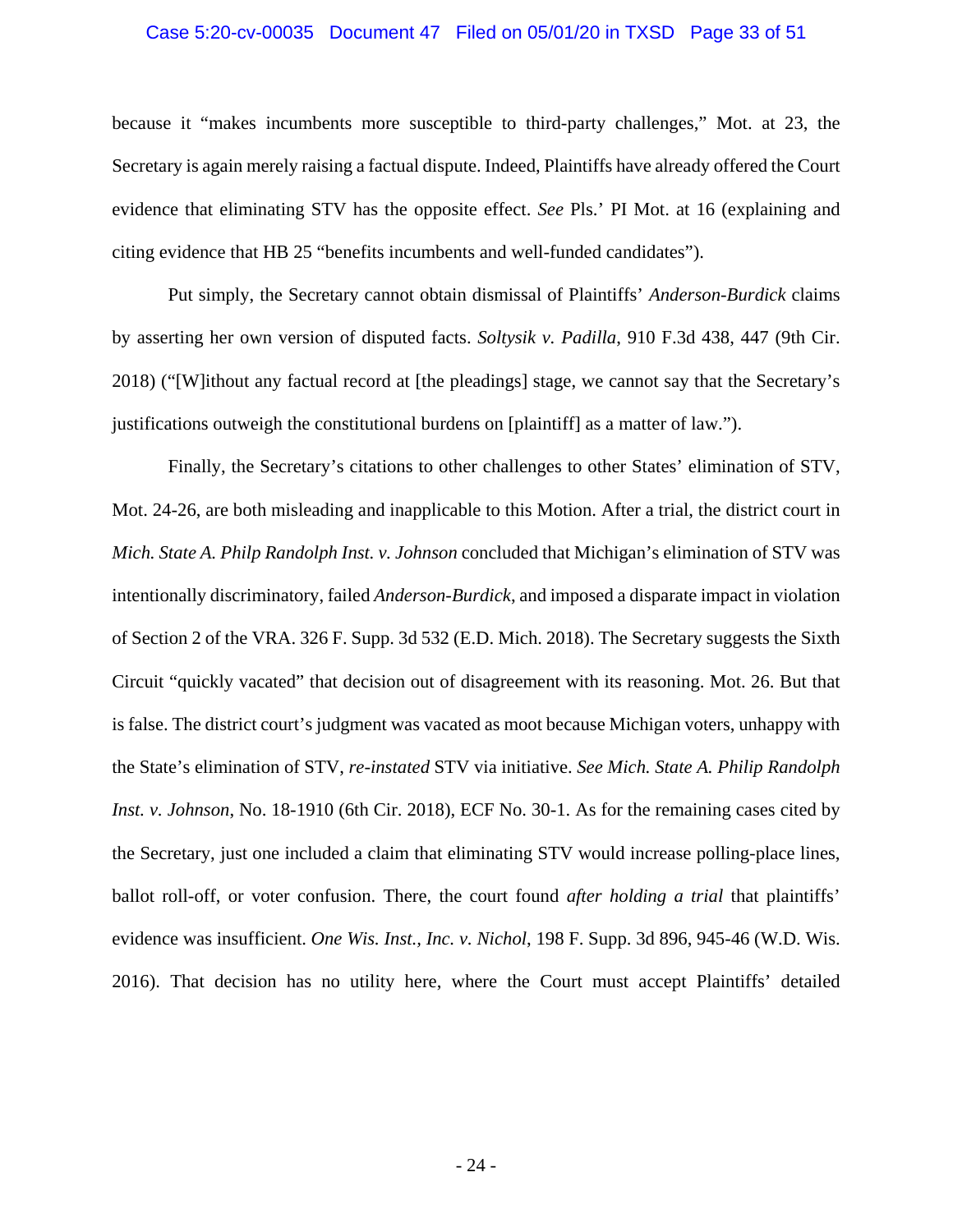#### Case 5:20-cv-00035 Document 47 Filed on 05/01/20 in TXSD Page 33 of 51

because it "makes incumbents more susceptible to third-party challenges," Mot. at 23, the Secretary is again merely raising a factual dispute. Indeed, Plaintiffs have already offered the Court evidence that eliminating STV has the opposite effect. *See* Pls.' PI Mot. at 16 (explaining and citing evidence that HB 25 "benefits incumbents and well-funded candidates").

<span id="page-32-2"></span>Put simply, the Secretary cannot obtain dismissal of Plaintiffs' *Anderson*-*Burdick* claims by asserting her own version of disputed facts. *Soltysik v. Padilla*, 910 F.3d 438, 447 (9th Cir. 2018) ("[W]ithout any factual record at [the pleadings] stage, we cannot say that the Secretary's justifications outweigh the constitutional burdens on [plaintiff] as a matter of law.").

<span id="page-32-1"></span><span id="page-32-0"></span>Finally, the Secretary's citations to other challenges to other States' elimination of STV, Mot. 24-26, are both misleading and inapplicable to this Motion. After a trial, the district court in *Mich. State A. Philp Randolph Inst. v. Johnson* concluded that Michigan's elimination of STV was intentionally discriminatory, failed *Anderson*-*Burdick*, and imposed a disparate impact in violation of Section 2 of the VRA. 326 F. Supp. 3d 532 (E.D. Mich. 2018). The Secretary suggests the Sixth Circuit "quickly vacated" that decision out of disagreement with its reasoning. Mot. 26. But that is false. The district court's judgment was vacated as moot because Michigan voters, unhappy with the State's elimination of STV, *re-instated* STV via initiative. *See Mich. State A. Philip Randolph Inst. v. Johnson*, No. 18-1910 (6th Cir. 2018), ECF No. 30-1. As for the remaining cases cited by the Secretary, just one included a claim that eliminating STV would increase polling-place lines, ballot roll-off, or voter confusion. There, the court found *after holding a trial* that plaintiffs' evidence was insufficient. *One Wis. Inst., Inc. v. Nichol*, 198 F. Supp. 3d 896, 945-46 (W.D. Wis. 2016). That decision has no utility here, where the Court must accept Plaintiffs' detailed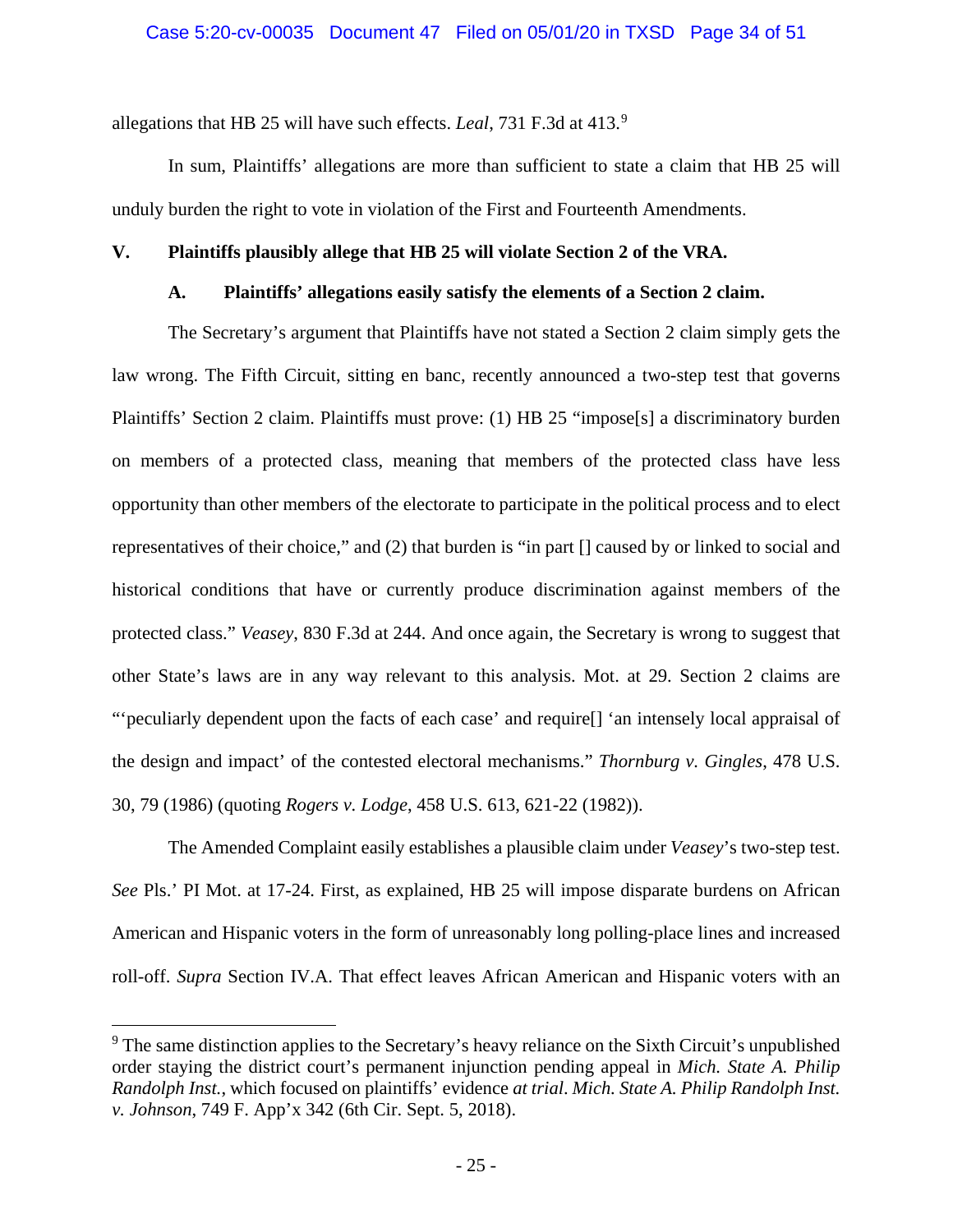allegations that HB 25 will have such effects. *Leal*, 731 F.3d at 413.[9](#page-33-5)

In sum, Plaintiffs' allegations are more than sufficient to state a claim that HB 25 will unduly burden the right to vote in violation of the First and Fourteenth Amendments.

## <span id="page-33-1"></span><span id="page-33-0"></span>**V. Plaintiffs plausibly allege that HB 25 will violate Section 2 of the VRA.**

## <span id="page-33-2"></span>**A. Plaintiffs' allegations easily satisfy the elements of a Section 2 claim.**

The Secretary's argument that Plaintiffs have not stated a Section 2 claim simply gets the law wrong. The Fifth Circuit, sitting en banc, recently announced a two-step test that governs Plaintiffs' Section 2 claim. Plaintiffs must prove: (1) HB 25 "impose[s] a discriminatory burden on members of a protected class, meaning that members of the protected class have less opportunity than other members of the electorate to participate in the political process and to elect representatives of their choice," and (2) that burden is "in part [] caused by or linked to social and historical conditions that have or currently produce discrimination against members of the protected class." *Veasey*, 830 F.3d at 244. And once again, the Secretary is wrong to suggest that other State's laws are in any way relevant to this analysis. Mot. at 29. Section 2 claims are "'peculiarly dependent upon the facts of each case' and require[] 'an intensely local appraisal of the design and impact' of the contested electoral mechanisms." *Thornburg v. Gingles*, 478 U.S. 30, 79 (1986) (quoting *Rogers v. Lodge*, 458 U.S. 613, 621-22 (1982)).

<span id="page-33-4"></span>The Amended Complaint easily establishes a plausible claim under *Veasey*'s two-step test. *See* Pls.' PI Mot. at 17-24. First, as explained, HB 25 will impose disparate burdens on African American and Hispanic voters in the form of unreasonably long polling-place lines and increased roll-off. *Supra* Section IV.A. That effect leaves African American and Hispanic voters with an

<span id="page-33-5"></span><span id="page-33-3"></span> $9<sup>9</sup>$  The same distinction applies to the Secretary's heavy reliance on the Sixth Circuit's unpublished order staying the district court's permanent injunction pending appeal in *Mich. State A. Philip Randolph Inst.*, which focused on plaintiffs' evidence *at trial*. *Mich. State A. Philip Randolph Inst. v. Johnson*, 749 F. App'x 342 (6th Cir. Sept. 5, 2018).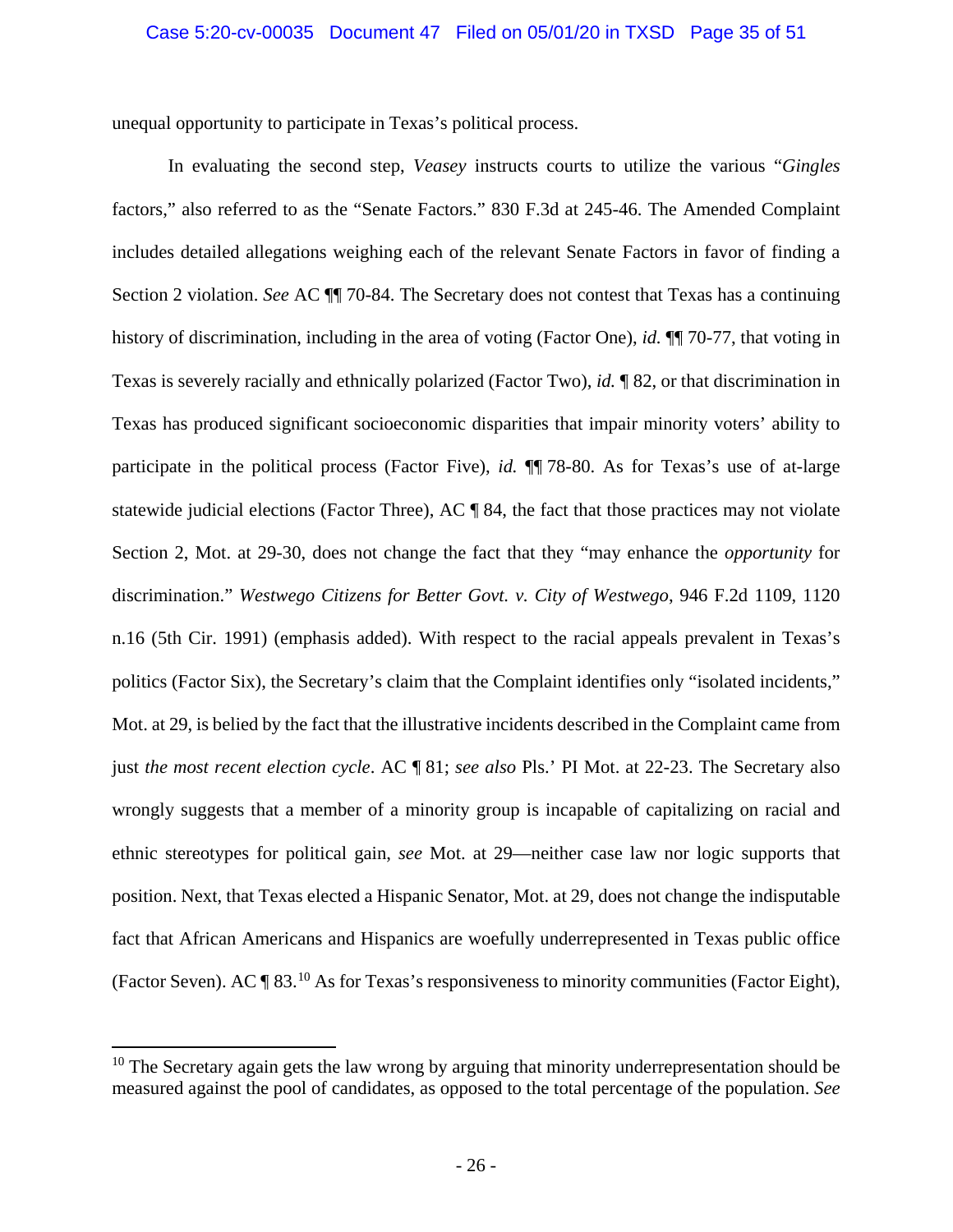unequal opportunity to participate in Texas's political process.

<span id="page-34-1"></span><span id="page-34-0"></span>In evaluating the second step, *Veasey* instructs courts to utilize the various "*Gingles* factors," also referred to as the "Senate Factors." 830 F.3d at 245-46. The Amended Complaint includes detailed allegations weighing each of the relevant Senate Factors in favor of finding a Section 2 violation. *See* AC ¶¶ 70-84. The Secretary does not contest that Texas has a continuing history of discrimination, including in the area of voting (Factor One), *id.* ¶¶ 70-77, that voting in Texas is severely racially and ethnically polarized (Factor Two), *id.* ¶ 82, or that discrimination in Texas has produced significant socioeconomic disparities that impair minority voters' ability to participate in the political process (Factor Five), *id.* ¶¶ 78-80. As for Texas's use of at-large statewide judicial elections (Factor Three), AC ¶ 84, the fact that those practices may not violate Section 2, Mot. at 29-30, does not change the fact that they "may enhance the *opportunity* for discrimination." *Westwego Citizens for Better Govt. v. City of Westwego*, 946 F.2d 1109, 1120 n.16 (5th Cir. 1991) (emphasis added). With respect to the racial appeals prevalent in Texas's politics (Factor Six), the Secretary's claim that the Complaint identifies only "isolated incidents," Mot. at 29, is belied by the fact that the illustrative incidents described in the Complaint came from just *the most recent election cycle*. AC ¶ 81; *see also* Pls.' PI Mot. at 22-23. The Secretary also wrongly suggests that a member of a minority group is incapable of capitalizing on racial and ethnic stereotypes for political gain, *see* Mot. at 29—neither case law nor logic supports that position. Next, that Texas elected a Hispanic Senator, Mot. at 29, does not change the indisputable fact that African Americans and Hispanics are woefully underrepresented in Texas public office (Factor Seven). AC  $\P$  83.<sup>[10](#page-34-2)</sup> As for Texas's responsiveness to minority communities (Factor Eight),

<span id="page-34-2"></span> $10$  The Secretary again gets the law wrong by arguing that minority underrepresentation should be measured against the pool of candidates, as opposed to the total percentage of the population. *See*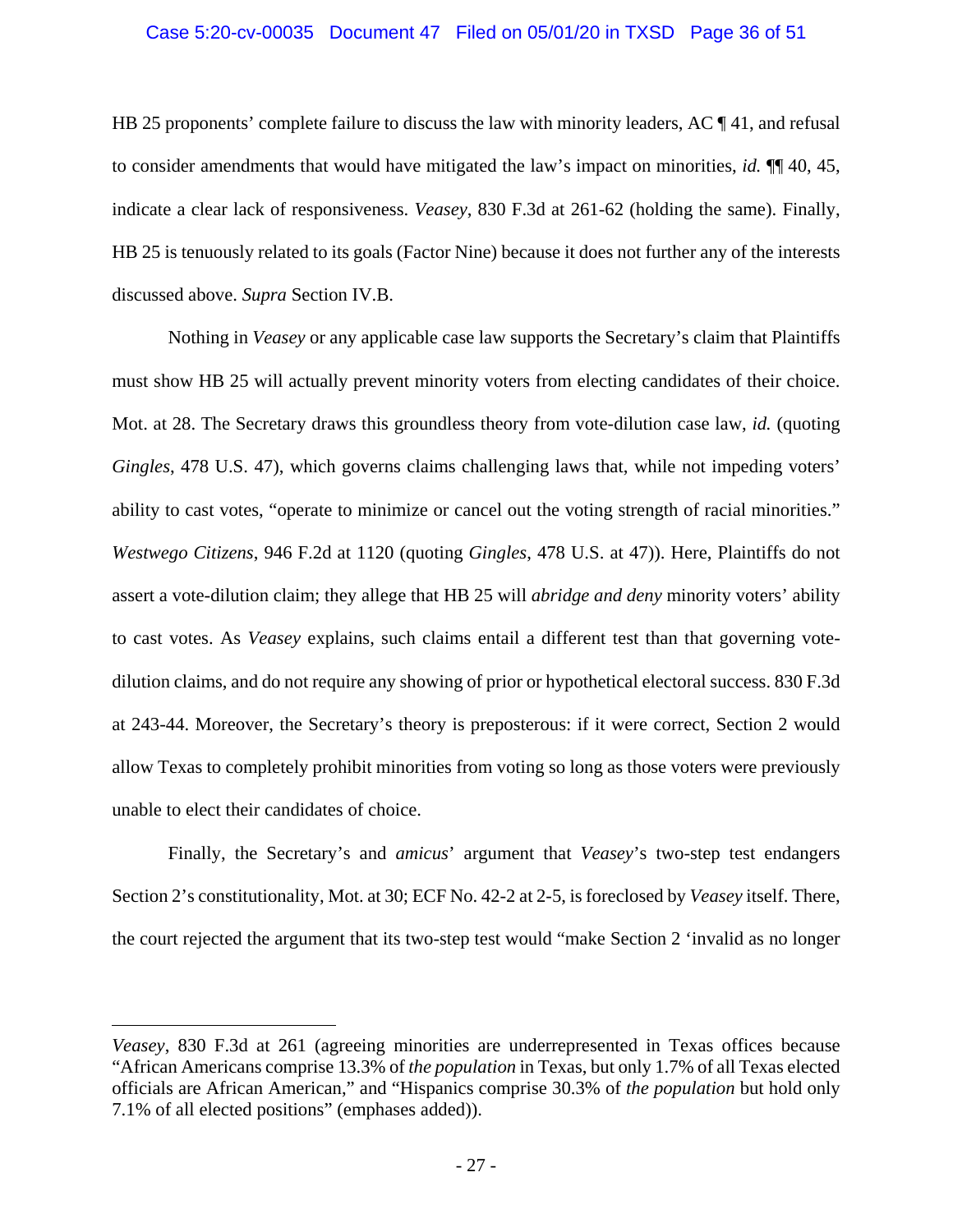## Case 5:20-cv-00035 Document 47 Filed on 05/01/20 in TXSD Page 36 of 51

HB 25 proponents' complete failure to discuss the law with minority leaders, AC  $\P$  41, and refusal to consider amendments that would have mitigated the law's impact on minorities, *id.* ¶¶ 40, 45, indicate a clear lack of responsiveness. *Veasey*, 830 F.3d at 261-62 (holding the same). Finally, HB 25 is tenuously related to its goals (Factor Nine) because it does not further any of the interests discussed above. *Supra* Section IV.B.

<span id="page-35-0"></span>Nothing in *Veasey* or any applicable case law supports the Secretary's claim that Plaintiffs must show HB 25 will actually prevent minority voters from electing candidates of their choice. Mot. at 28. The Secretary draws this groundless theory from vote-dilution case law, *id.* (quoting *Gingles*, 478 U.S. 47), which governs claims challenging laws that, while not impeding voters' ability to cast votes, "operate to minimize or cancel out the voting strength of racial minorities." *Westwego Citizens*, 946 F.2d at 1120 (quoting *Gingles*, 478 U.S. at 47)). Here, Plaintiffs do not assert a vote-dilution claim; they allege that HB 25 will *abridge and deny* minority voters' ability to cast votes. As *Veasey* explains, such claims entail a different test than that governing votedilution claims, and do not require any showing of prior or hypothetical electoral success. 830 F.3d at 243-44. Moreover, the Secretary's theory is preposterous: if it were correct, Section 2 would allow Texas to completely prohibit minorities from voting so long as those voters were previously unable to elect their candidates of choice.

Finally, the Secretary's and *amicus*' argument that *Veasey*'s two-step test endangers Section 2's constitutionality, Mot. at 30; ECF No. 42-2 at 2-5, is foreclosed by *Veasey* itself. There, the court rejected the argument that its two-step test would "make Section 2 'invalid as no longer

 $\overline{a}$ 

*Veasey*, 830 F.3d at 261 (agreeing minorities are underrepresented in Texas offices because "African Americans comprise 13.3% of *the population* in Texas, but only 1.7% of all Texas elected officials are African American," and "Hispanics comprise 30.3% of *the population* but hold only 7.1% of all elected positions" (emphases added)).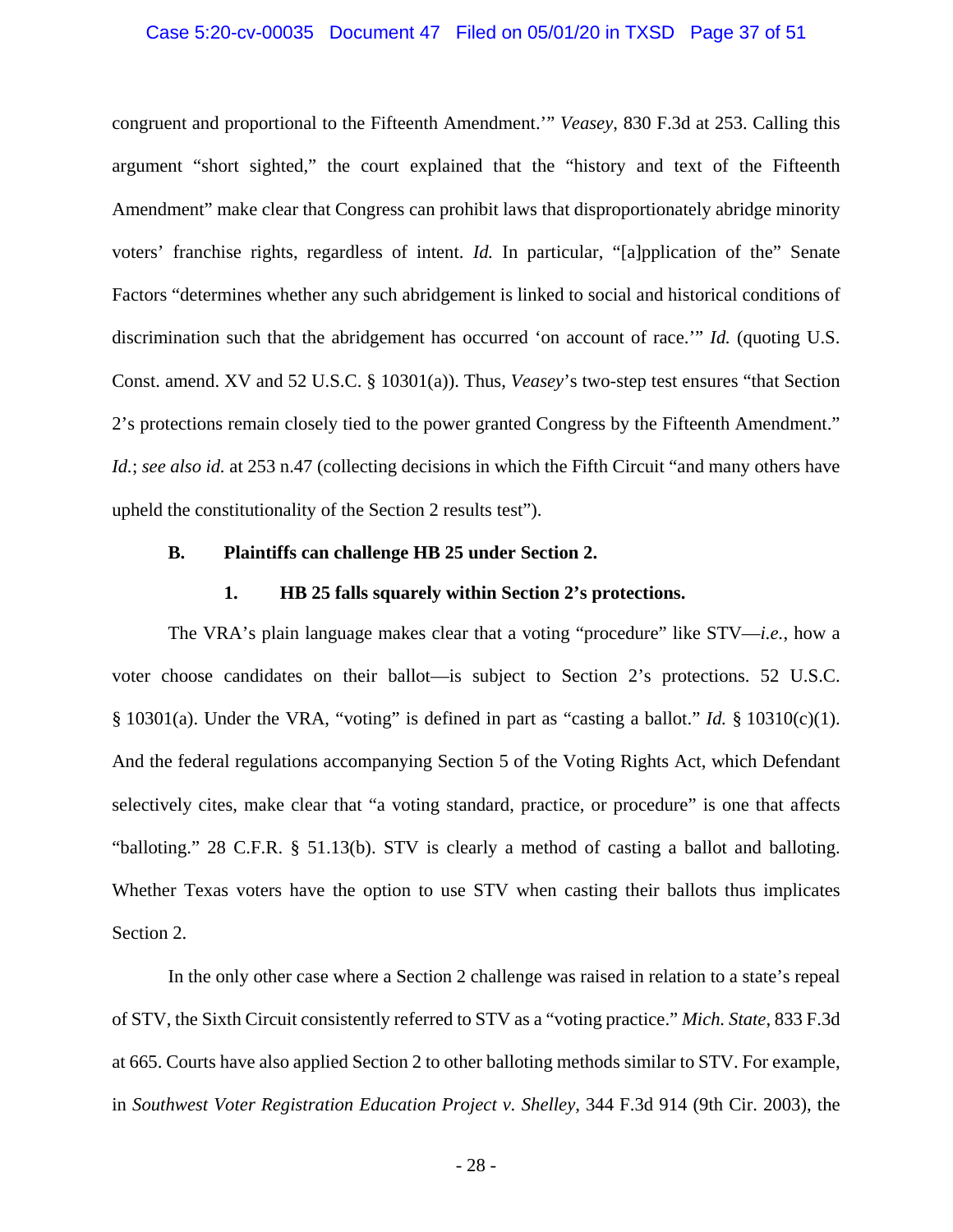### Case 5:20-cv-00035 Document 47 Filed on 05/01/20 in TXSD Page 37 of 51

congruent and proportional to the Fifteenth Amendment.'" *Veasey*, 830 F.3d at 253. Calling this argument "short sighted," the court explained that the "history and text of the Fifteenth Amendment" make clear that Congress can prohibit laws that disproportionately abridge minority voters' franchise rights, regardless of intent. *Id.* In particular, "[a]pplication of the" Senate Factors "determines whether any such abridgement is linked to social and historical conditions of discrimination such that the abridgement has occurred 'on account of race.'" *Id.* (quoting U.S. Const. amend. XV and 52 U.S.C. § 10301(a)). Thus, *Veasey*'s two-step test ensures "that Section 2's protections remain closely tied to the power granted Congress by the Fifteenth Amendment." *Id.*; *see also id.* at 253 n.47 (collecting decisions in which the Fifth Circuit "and many others have upheld the constitutionality of the Section 2 results test").

### <span id="page-36-0"></span>**B. Plaintiffs can challenge HB 25 under Section 2.**

#### <span id="page-36-2"></span>**1. HB 25 falls squarely within Section 2's protections.**

The VRA's plain language makes clear that a voting "procedure" like STV—*i.e.*, how a voter choose candidates on their ballot—is subject to Section 2's protections. 52 U.S.C. § 10301(a). Under the VRA, "voting" is defined in part as "casting a ballot." *Id.* § 10310(c)(1). And the federal regulations accompanying Section 5 of the Voting Rights Act, which Defendant selectively cites, make clear that "a voting standard, practice, or procedure" is one that affects "balloting." 28 C.F.R. § 51.13(b). STV is clearly a method of casting a ballot and balloting. Whether Texas voters have the option to use STV when casting their ballots thus implicates Section 2.

<span id="page-36-3"></span><span id="page-36-1"></span>In the only other case where a Section 2 challenge was raised in relation to a state's repeal of STV, the Sixth Circuit consistently referred to STV as a "voting practice." *Mich. State*, 833 F.3d at 665. Courts have also applied Section 2 to other balloting methods similar to STV. For example, in *Southwest Voter Registration Education Project v. Shelley*, 344 F.3d 914 (9th Cir. 2003), the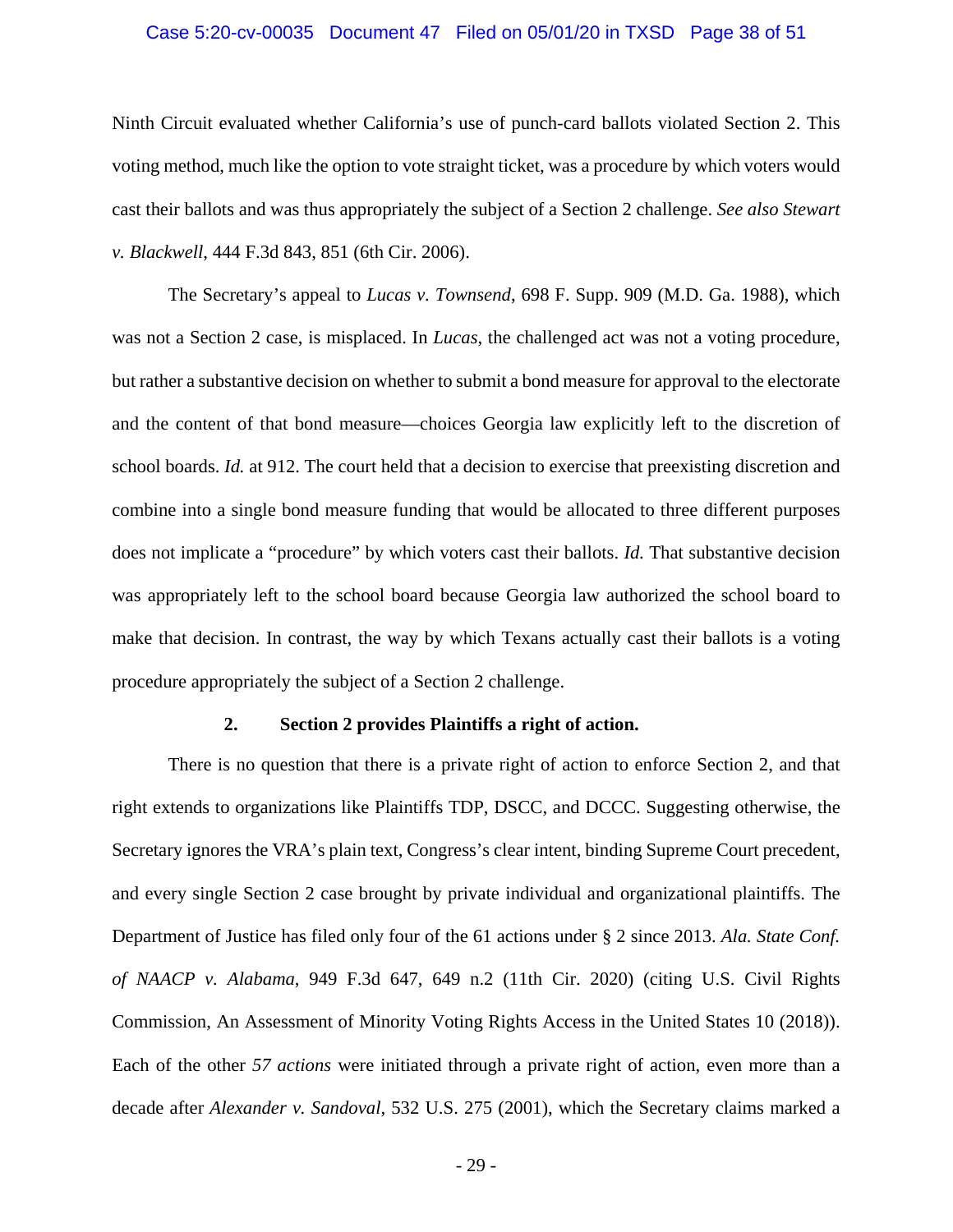### <span id="page-37-3"></span>Case 5:20-cv-00035 Document 47 Filed on 05/01/20 in TXSD Page 38 of 51

Ninth Circuit evaluated whether California's use of punch-card ballots violated Section 2. This voting method, much like the option to vote straight ticket, was a procedure by which voters would cast their ballots and was thus appropriately the subject of a Section 2 challenge. *See also Stewart v. Blackwell*, 444 F.3d 843, 851 (6th Cir. 2006).

<span id="page-37-2"></span>The Secretary's appeal to *Lucas v. Townsend*, 698 F. Supp. 909 (M.D. Ga. 1988), which was not a Section 2 case, is misplaced. In *Lucas*, the challenged act was not a voting procedure, but rather a substantive decision on whether to submit a bond measure for approval to the electorate and the content of that bond measure—choices Georgia law explicitly left to the discretion of school boards. *Id.* at 912. The court held that a decision to exercise that preexisting discretion and combine into a single bond measure funding that would be allocated to three different purposes does not implicate a "procedure" by which voters cast their ballots. *Id.* That substantive decision was appropriately left to the school board because Georgia law authorized the school board to make that decision. In contrast, the way by which Texans actually cast their ballots is a voting procedure appropriately the subject of a Section 2 challenge.

#### <span id="page-37-0"></span>**2. Section 2 provides Plaintiffs a right of action.**

<span id="page-37-1"></span>There is no question that there is a private right of action to enforce Section 2, and that right extends to organizations like Plaintiffs TDP, DSCC, and DCCC. Suggesting otherwise, the Secretary ignores the VRA's plain text, Congress's clear intent, binding Supreme Court precedent, and every single Section 2 case brought by private individual and organizational plaintiffs. The Department of Justice has filed only four of the 61 actions under § 2 since 2013. *Ala. State Conf. of NAACP v. Alabama*, 949 F.3d 647, 649 n.2 (11th Cir. 2020) (citing U.S. Civil Rights Commission, An Assessment of Minority Voting Rights Access in the United States 10 (2018)). Each of the other *57 actions* were initiated through a private right of action, even more than a decade after *Alexander v. Sandoval*, 532 U.S. 275 (2001), which the Secretary claims marked a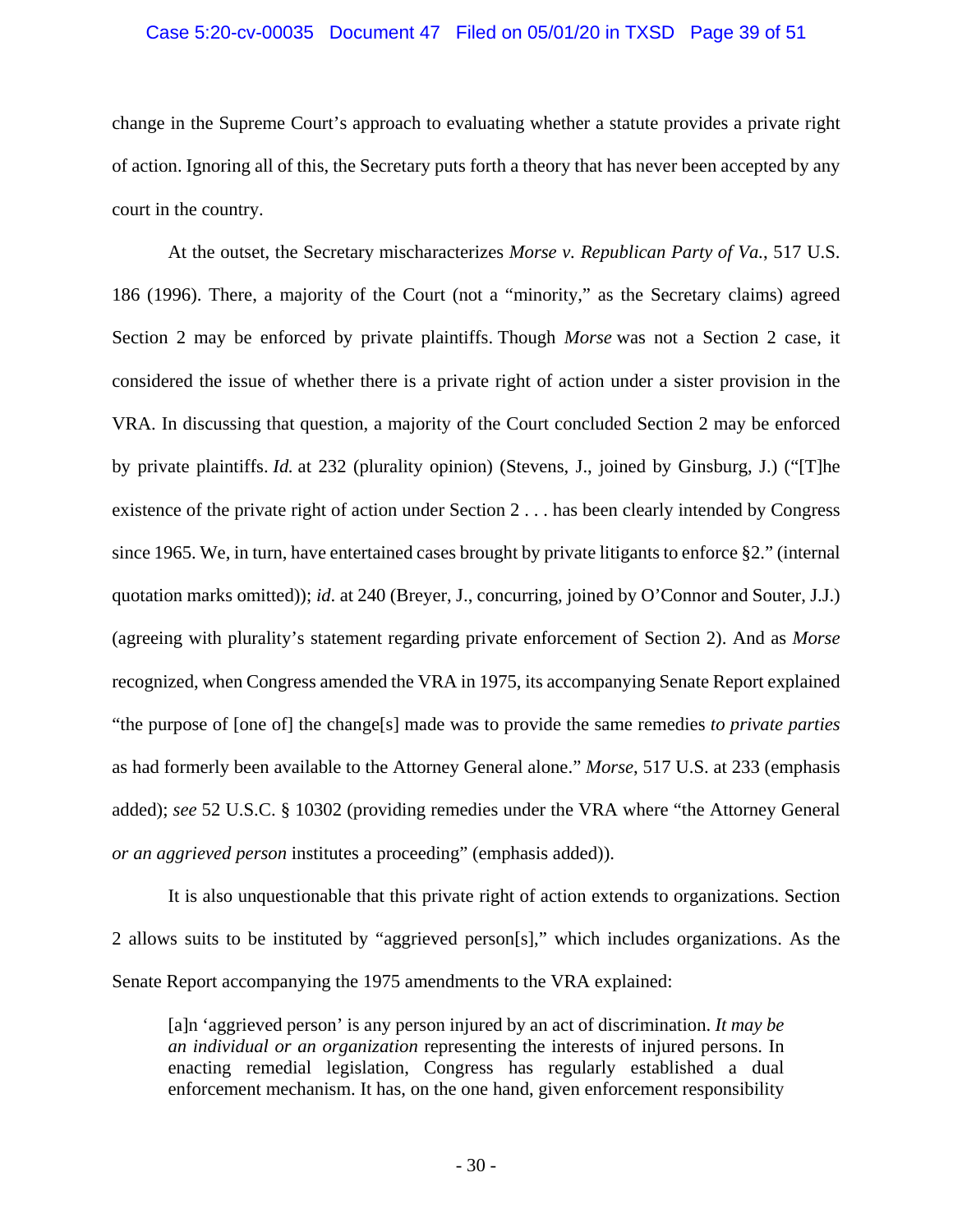#### Case 5:20-cv-00035 Document 47 Filed on 05/01/20 in TXSD Page 39 of 51

change in the Supreme Court's approach to evaluating whether a statute provides a private right of action. Ignoring all of this, the Secretary puts forth a theory that has never been accepted by any court in the country.

<span id="page-38-0"></span>At the outset, the Secretary mischaracterizes *Morse v. Republican Party of Va.*, 517 U.S. 186 (1996). There, a majority of the Court (not a "minority," as the Secretary claims) agreed Section 2 may be enforced by private plaintiffs. Though *Morse* was not a Section 2 case, it considered the issue of whether there is a private right of action under a sister provision in the VRA. In discussing that question, a majority of the Court concluded Section 2 may be enforced by private plaintiffs. *Id.* at 232 (plurality opinion) (Stevens, J., joined by Ginsburg, J.) ("[T]he existence of the private right of action under Section 2 . . . has been clearly intended by Congress since 1965. We, in turn, have entertained cases brought by private litigants to enforce §2." (internal quotation marks omitted)); *id*. at 240 (Breyer, J., concurring, joined by O'Connor and Souter, J.J.) (agreeing with plurality's statement regarding private enforcement of Section 2). And as *Morse*  recognized, when Congress amended the VRA in 1975, its accompanying Senate Report explained "the purpose of [one of] the change[s] made was to provide the same remedies *to private parties* as had formerly been available to the Attorney General alone." *Morse*, 517 U.S. at 233 (emphasis added); *see* 52 U.S.C. § 10302 (providing remedies under the VRA where "the Attorney General *or an aggrieved person* institutes a proceeding" (emphasis added)).

<span id="page-38-1"></span>It is also unquestionable that this private right of action extends to organizations. Section 2 allows suits to be instituted by "aggrieved person[s]," which includes organizations. As the Senate Report accompanying the 1975 amendments to the VRA explained:

[a]n 'aggrieved person' is any person injured by an act of discrimination. *It may be an individual or an organization* representing the interests of injured persons. In enacting remedial legislation, Congress has regularly established a dual enforcement mechanism. It has, on the one hand, given enforcement responsibility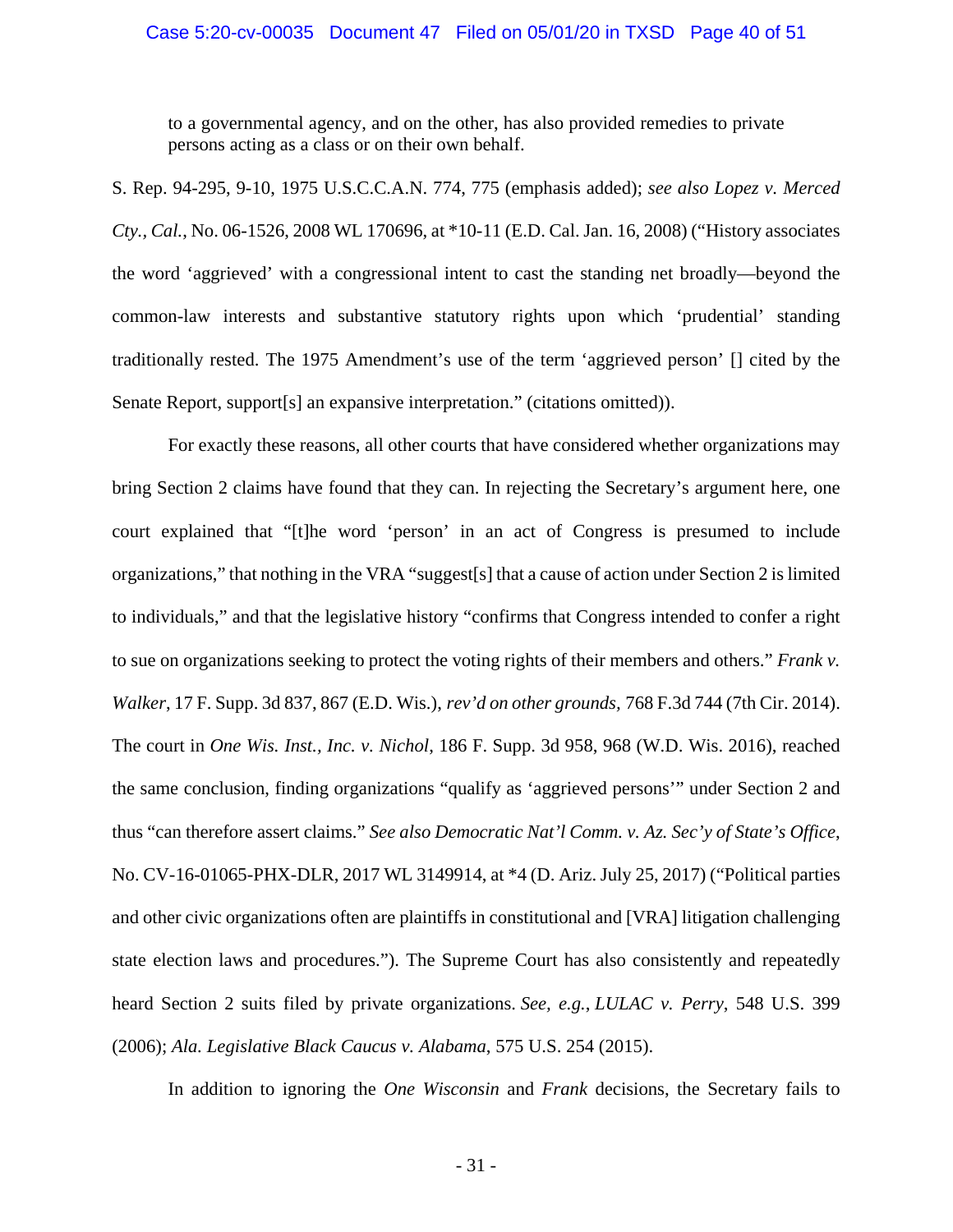### Case 5:20-cv-00035 Document 47 Filed on 05/01/20 in TXSD Page 40 of 51

<span id="page-39-3"></span>to a governmental agency, and on the other, has also provided remedies to private persons acting as a class or on their own behalf.

S. Rep. 94-295, 9-10, 1975 U.S.C.C.A.N. 774, 775 (emphasis added); *see also Lopez v. Merced Cty., Cal.*, No. 06-1526, 2008 WL 170696, at \*10-11 (E.D. Cal. Jan. 16, 2008) ("History associates the word 'aggrieved' with a congressional intent to cast the standing net broadly—beyond the common-law interests and substantive statutory rights upon which 'prudential' standing traditionally rested. The 1975 Amendment's use of the term 'aggrieved person' [] cited by the Senate Report, support[s] an expansive interpretation." (citations omitted)).

<span id="page-39-5"></span><span id="page-39-2"></span>For exactly these reasons, all other courts that have considered whether organizations may bring Section 2 claims have found that they can. In rejecting the Secretary's argument here, one court explained that "[t]he word 'person' in an act of Congress is presumed to include organizations," that nothing in the VRA "suggest[s] that a cause of action under Section 2 is limited to individuals," and that the legislative history "confirms that Congress intended to confer a right to sue on organizations seeking to protect the voting rights of their members and others." *Frank v. Walker*, 17 F. Supp. 3d 837, 867 (E.D. Wis.), *rev'd on other grounds,* 768 F.3d 744 (7th Cir. 2014). The court in *One Wis. Inst., Inc. v. Nichol*, 186 F. Supp. 3d 958, 968 (W.D. Wis. 2016), reached the same conclusion, finding organizations "qualify as 'aggrieved persons'" under Section 2 and thus "can therefore assert claims." *See also Democratic Nat'l Comm. v. Az. Sec'y of State's Office*, No. CV-16-01065-PHX-DLR, 2017 WL 3149914, at \*4 (D. Ariz. July 25, 2017) ("Political parties and other civic organizations often are plaintiffs in constitutional and [VRA] litigation challenging state election laws and procedures."). The Supreme Court has also consistently and repeatedly heard Section 2 suits filed by private organizations. *See, e.g.*, *LULAC v. Perry*, 548 U.S. 399 (2006); *Ala. Legislative Black Caucus v. Alabama*, 575 U.S. 254 (2015).

<span id="page-39-4"></span><span id="page-39-1"></span><span id="page-39-0"></span>In addition to ignoring the *One Wisconsin* and *Frank* decisions, the Secretary fails to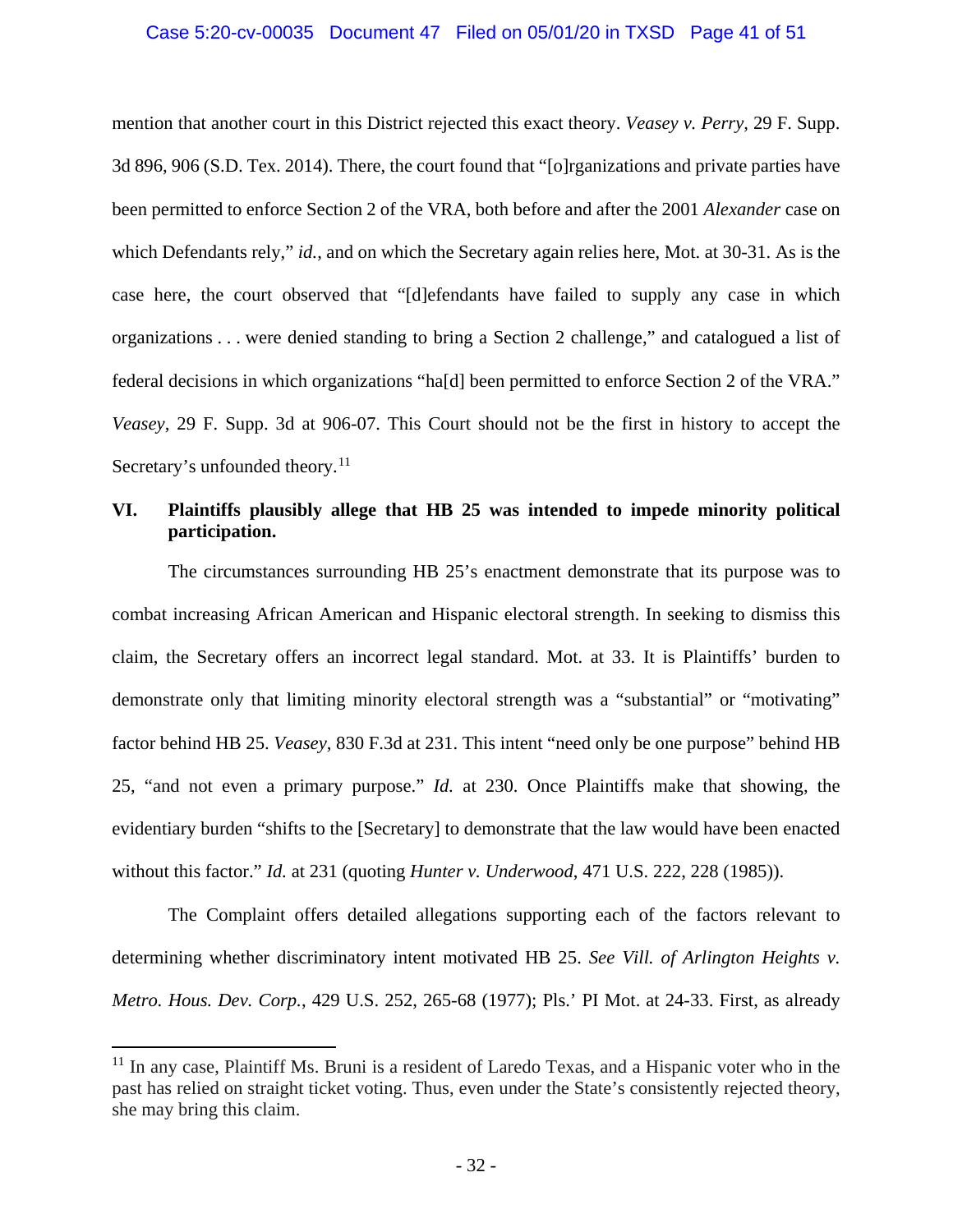### <span id="page-40-2"></span><span id="page-40-1"></span>Case 5:20-cv-00035 Document 47 Filed on 05/01/20 in TXSD Page 41 of 51

mention that another court in this District rejected this exact theory. *Veasey v. Perry*, 29 F. Supp. 3d 896, 906 (S.D. Tex. 2014). There, the court found that "[o]rganizations and private parties have been permitted to enforce Section 2 of the VRA, both before and after the 2001 *Alexander* case on which Defendants rely," *id.*, and on which the Secretary again relies here, Mot. at 30-31. As is the case here, the court observed that "[d]efendants have failed to supply any case in which organizations . . . were denied standing to bring a Section 2 challenge," and catalogued a list of federal decisions in which organizations "ha[d] been permitted to enforce Section 2 of the VRA." *Veasey*, 29 F. Supp. 3d at 906-07. This Court should not be the first in history to accept the Secretary's unfounded theory.<sup>[11](#page-40-4)</sup>

## <span id="page-40-0"></span>**VI. Plaintiffs plausibly allege that HB 25 was intended to impede minority political participation.**

The circumstances surrounding HB 25's enactment demonstrate that its purpose was to combat increasing African American and Hispanic electoral strength. In seeking to dismiss this claim, the Secretary offers an incorrect legal standard. Mot. at 33. It is Plaintiffs' burden to demonstrate only that limiting minority electoral strength was a "substantial" or "motivating" factor behind HB 25. *Veasey*, 830 F.3d at 231. This intent "need only be one purpose" behind HB 25, "and not even a primary purpose." *Id.* at 230. Once Plaintiffs make that showing, the evidentiary burden "shifts to the [Secretary] to demonstrate that the law would have been enacted without this factor." *Id.* at 231 (quoting *Hunter v. Underwood*, 471 U.S. 222, 228 (1985)).

<span id="page-40-3"></span>The Complaint offers detailed allegations supporting each of the factors relevant to determining whether discriminatory intent motivated HB 25. *See Vill. of Arlington Heights v. Metro. Hous. Dev. Corp.*, 429 U.S. 252, 265-68 (1977); Pls.' PI Mot. at 24-33. First, as already

<span id="page-40-4"></span><sup>&</sup>lt;sup>11</sup> In any case, Plaintiff Ms. Bruni is a resident of Laredo Texas, and a Hispanic voter who in the past has relied on straight ticket voting. Thus, even under the State's consistently rejected theory, she may bring this claim.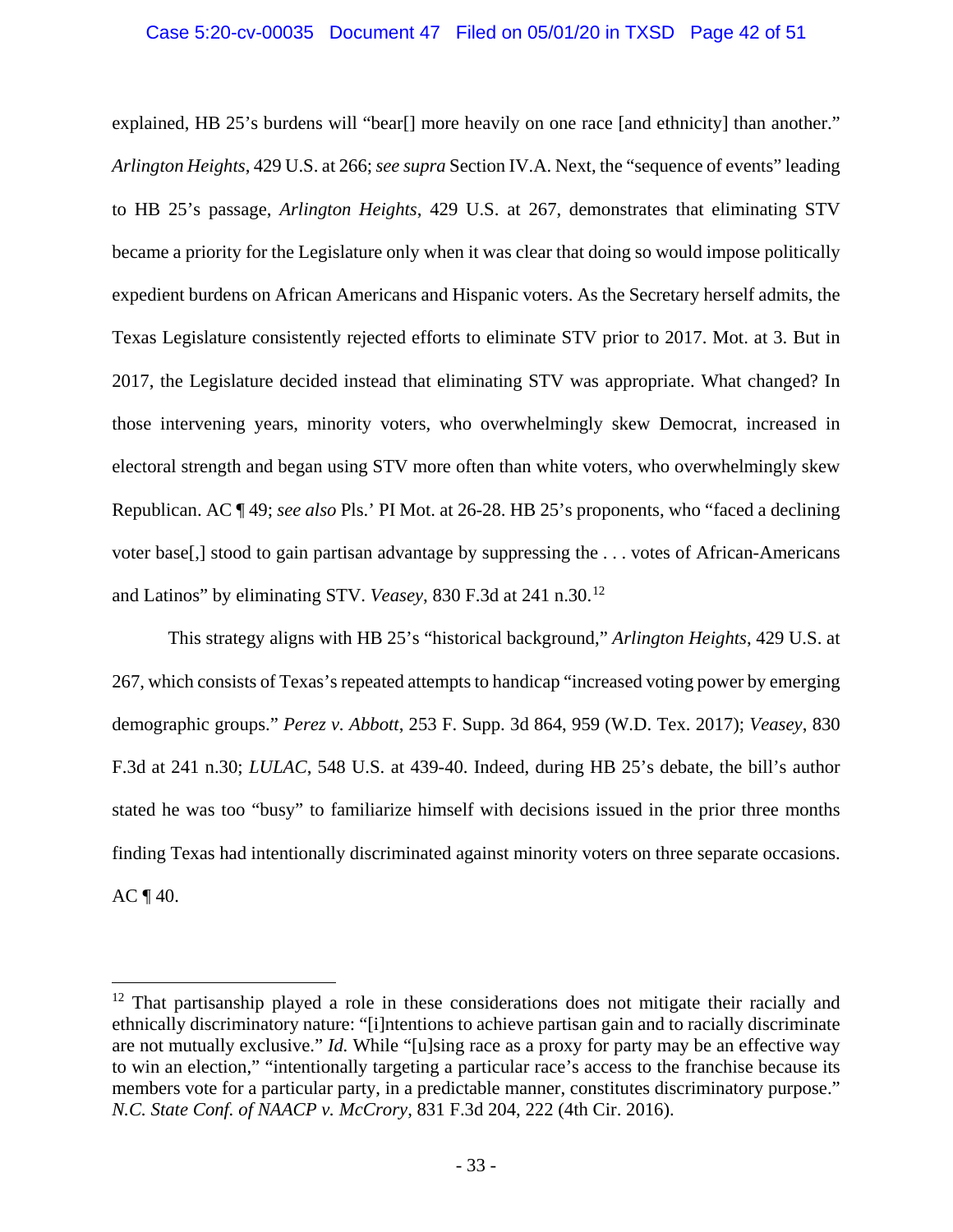## Case 5:20-cv-00035 Document 47 Filed on 05/01/20 in TXSD Page 42 of 51

explained, HB 25's burdens will "bear[] more heavily on one race [and ethnicity] than another." *Arlington Heights*, 429 U.S. at 266; *see supra* Section IV.A. Next, the "sequence of events" leading to HB 25's passage, *Arlington Heights*, 429 U.S. at 267, demonstrates that eliminating STV became a priority for the Legislature only when it was clear that doing so would impose politically expedient burdens on African Americans and Hispanic voters. As the Secretary herself admits, the Texas Legislature consistently rejected efforts to eliminate STV prior to 2017. Mot. at 3. But in 2017, the Legislature decided instead that eliminating STV was appropriate. What changed? In those intervening years, minority voters, who overwhelmingly skew Democrat, increased in electoral strength and began using STV more often than white voters, who overwhelmingly skew Republican. AC ¶ 49; *see also* Pls.' PI Mot. at 26-28. HB 25's proponents, who "faced a declining voter base[,] stood to gain partisan advantage by suppressing the . . . votes of African-Americans and Latinos" by eliminating STV. *Veasey*, 830 F.3d at 241 n.30. [12](#page-41-3)

<span id="page-41-2"></span><span id="page-41-0"></span>This strategy aligns with HB 25's "historical background," *Arlington Heights*, 429 U.S. at 267, which consists of Texas's repeated attempts to handicap "increased voting power by emerging demographic groups." *Perez v. Abbott*, 253 F. Supp. 3d 864, 959 (W.D. Tex. 2017); *Veasey*, 830 F.3d at 241 n.30; *LULAC*, 548 U.S. at 439-40. Indeed, during HB 25's debate, the bill's author stated he was too "busy" to familiarize himself with decisions issued in the prior three months finding Texas had intentionally discriminated against minority voters on three separate occasions.  $AC \P 40.$ 

<span id="page-41-3"></span><span id="page-41-1"></span> $12$  That partisanship played a role in these considerations does not mitigate their racially and ethnically discriminatory nature: "[i]ntentions to achieve partisan gain and to racially discriminate are not mutually exclusive." *Id.* While "[u]sing race as a proxy for party may be an effective way to win an election," "intentionally targeting a particular race's access to the franchise because its members vote for a particular party, in a predictable manner, constitutes discriminatory purpose." *N.C. State Conf. of NAACP v. McCrory*, 831 F.3d 204, 222 (4th Cir. 2016).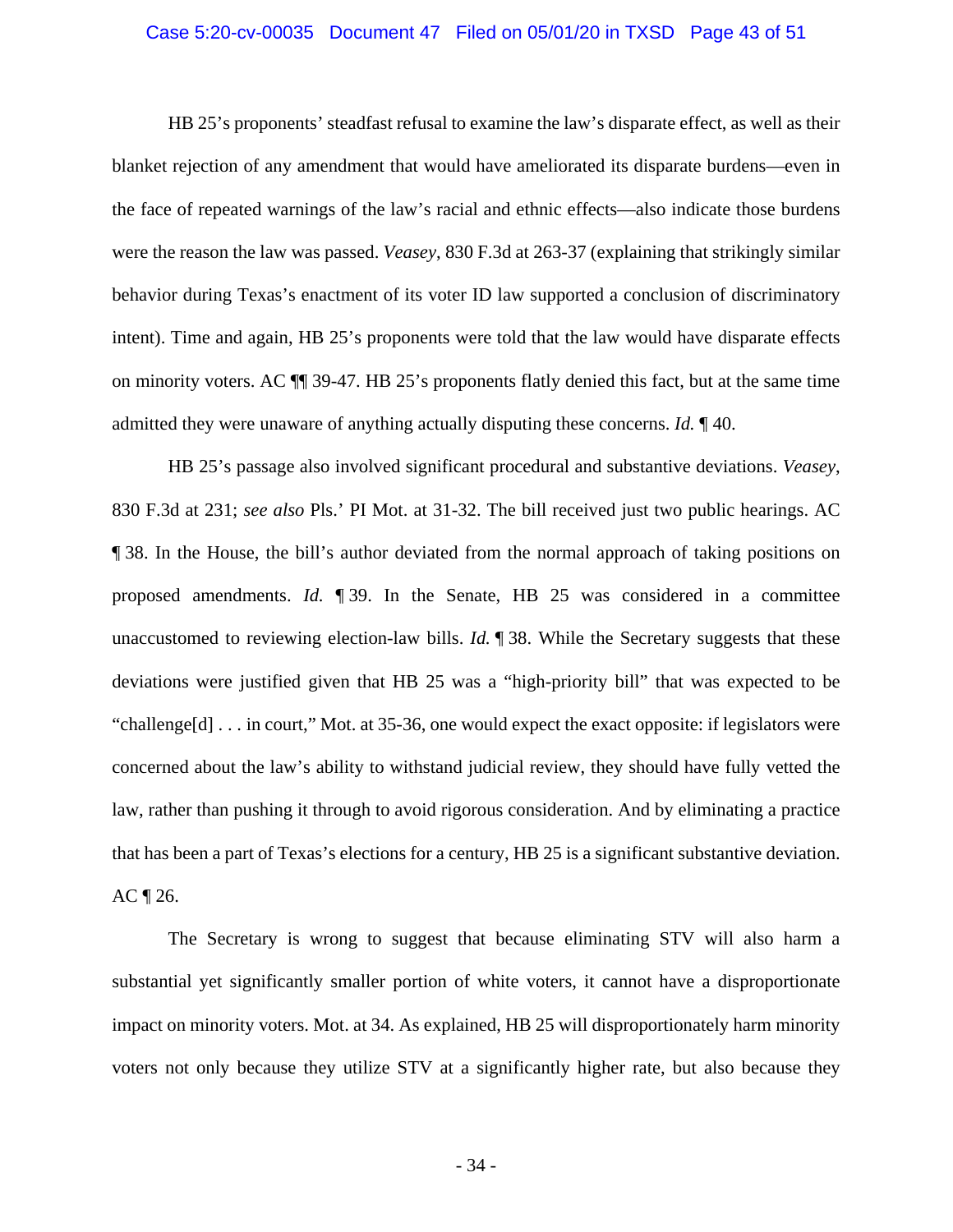### Case 5:20-cv-00035 Document 47 Filed on 05/01/20 in TXSD Page 43 of 51

HB 25's proponents' steadfast refusal to examine the law's disparate effect, as well as their blanket rejection of any amendment that would have ameliorated its disparate burdens—even in the face of repeated warnings of the law's racial and ethnic effects—also indicate those burdens were the reason the law was passed. *Veasey*, 830 F.3d at 263-37 (explaining that strikingly similar behavior during Texas's enactment of its voter ID law supported a conclusion of discriminatory intent). Time and again, HB 25's proponents were told that the law would have disparate effects on minority voters. AC ¶¶ 39-47. HB 25's proponents flatly denied this fact, but at the same time admitted they were unaware of anything actually disputing these concerns. *Id.* ¶ 40.

HB 25's passage also involved significant procedural and substantive deviations. *Veasey*, 830 F.3d at 231; *see also* Pls.' PI Mot. at 31-32. The bill received just two public hearings. AC ¶ 38. In the House, the bill's author deviated from the normal approach of taking positions on proposed amendments. *Id.* ¶ 39. In the Senate, HB 25 was considered in a committee unaccustomed to reviewing election-law bills. *Id.* ¶ 38. While the Secretary suggests that these deviations were justified given that HB 25 was a "high-priority bill" that was expected to be "challenge[d] . . . in court," Mot. at 35-36, one would expect the exact opposite: if legislators were concerned about the law's ability to withstand judicial review, they should have fully vetted the law, rather than pushing it through to avoid rigorous consideration. And by eliminating a practice that has been a part of Texas's elections for a century, HB 25 is a significant substantive deviation.  $AC \sqrt{26}$ .

The Secretary is wrong to suggest that because eliminating STV will also harm a substantial yet significantly smaller portion of white voters, it cannot have a disproportionate impact on minority voters. Mot. at 34. As explained, HB 25 will disproportionately harm minority voters not only because they utilize STV at a significantly higher rate, but also because they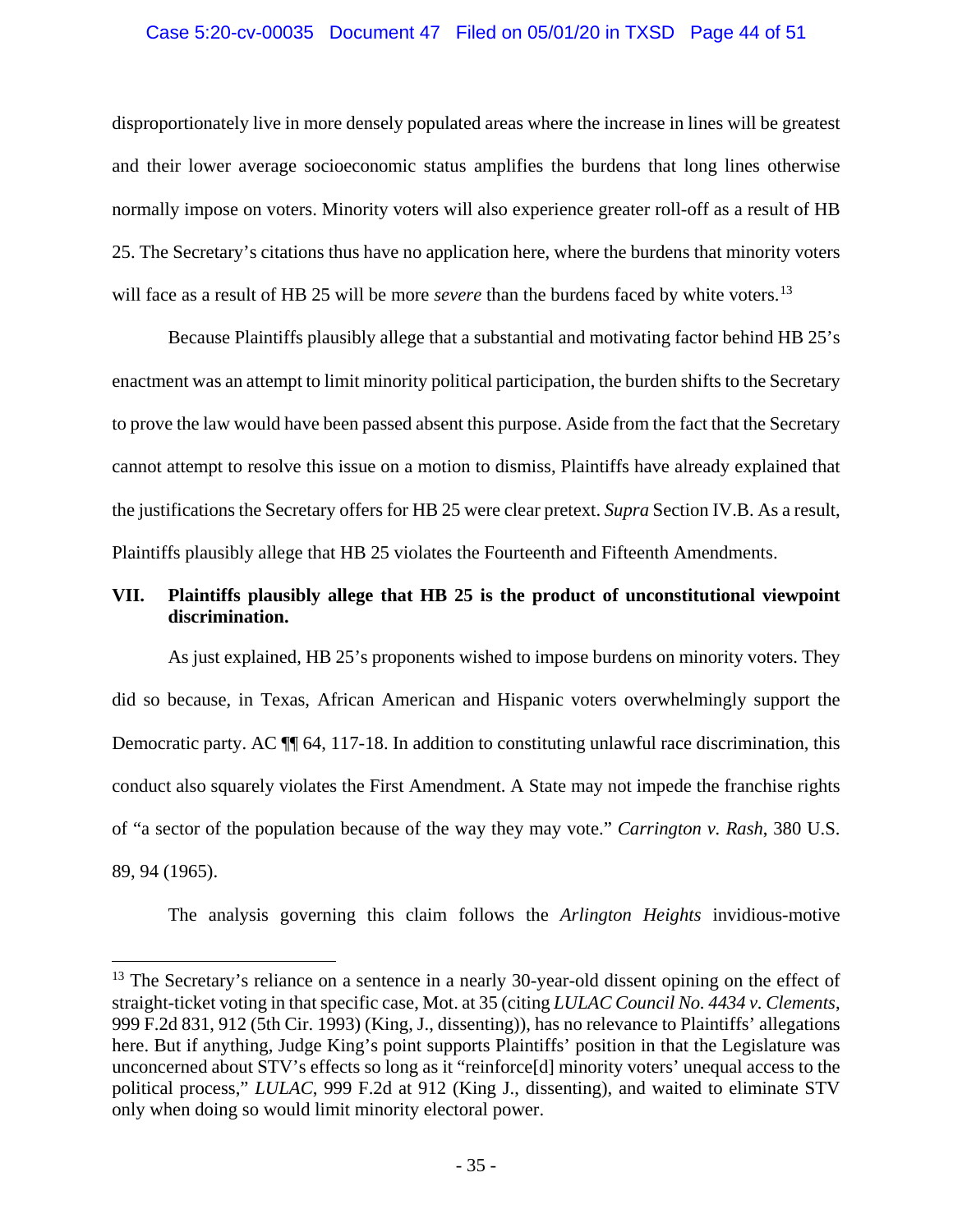## Case 5:20-cv-00035 Document 47 Filed on 05/01/20 in TXSD Page 44 of 51

disproportionately live in more densely populated areas where the increase in lines will be greatest and their lower average socioeconomic status amplifies the burdens that long lines otherwise normally impose on voters. Minority voters will also experience greater roll-off as a result of HB 25. The Secretary's citations thus have no application here, where the burdens that minority voters will face as a result of HB 25 will be more *severe* than the burdens faced by white voters.<sup>[13](#page-43-3)</sup>

Because Plaintiffs plausibly allege that a substantial and motivating factor behind HB 25's enactment was an attempt to limit minority political participation, the burden shifts to the Secretary to prove the law would have been passed absent this purpose. Aside from the fact that the Secretary cannot attempt to resolve this issue on a motion to dismiss, Plaintiffs have already explained that the justifications the Secretary offers for HB 25 were clear pretext. *Supra* Section IV.B. As a result, Plaintiffs plausibly allege that HB 25 violates the Fourteenth and Fifteenth Amendments.

## <span id="page-43-0"></span>**VII. Plaintiffs plausibly allege that HB 25 is the product of unconstitutional viewpoint discrimination.**

As just explained, HB 25's proponents wished to impose burdens on minority voters. They did so because, in Texas, African American and Hispanic voters overwhelmingly support the Democratic party. AC  $\P$  64, 117-18. In addition to constituting unlawful race discrimination, this conduct also squarely violates the First Amendment. A State may not impede the franchise rights of "a sector of the population because of the way they may vote." *Carrington v. Rash*, 380 U.S. 89, 94 (1965).

<span id="page-43-1"></span>The analysis governing this claim follows the *Arlington Heights* invidious-motive

<span id="page-43-3"></span><span id="page-43-2"></span><sup>&</sup>lt;sup>13</sup> The Secretary's reliance on a sentence in a nearly 30-year-old dissent opining on the effect of straight-ticket voting in that specific case, Mot. at 35 (citing *LULAC Council No. 4434 v. Clements*, 999 F.2d 831, 912 (5th Cir. 1993) (King, J., dissenting)), has no relevance to Plaintiffs' allegations here. But if anything, Judge King's point supports Plaintiffs' position in that the Legislature was unconcerned about STV's effects so long as it "reinforce[d] minority voters' unequal access to the political process," *LULAC*, 999 F.2d at 912 (King J., dissenting), and waited to eliminate STV only when doing so would limit minority electoral power.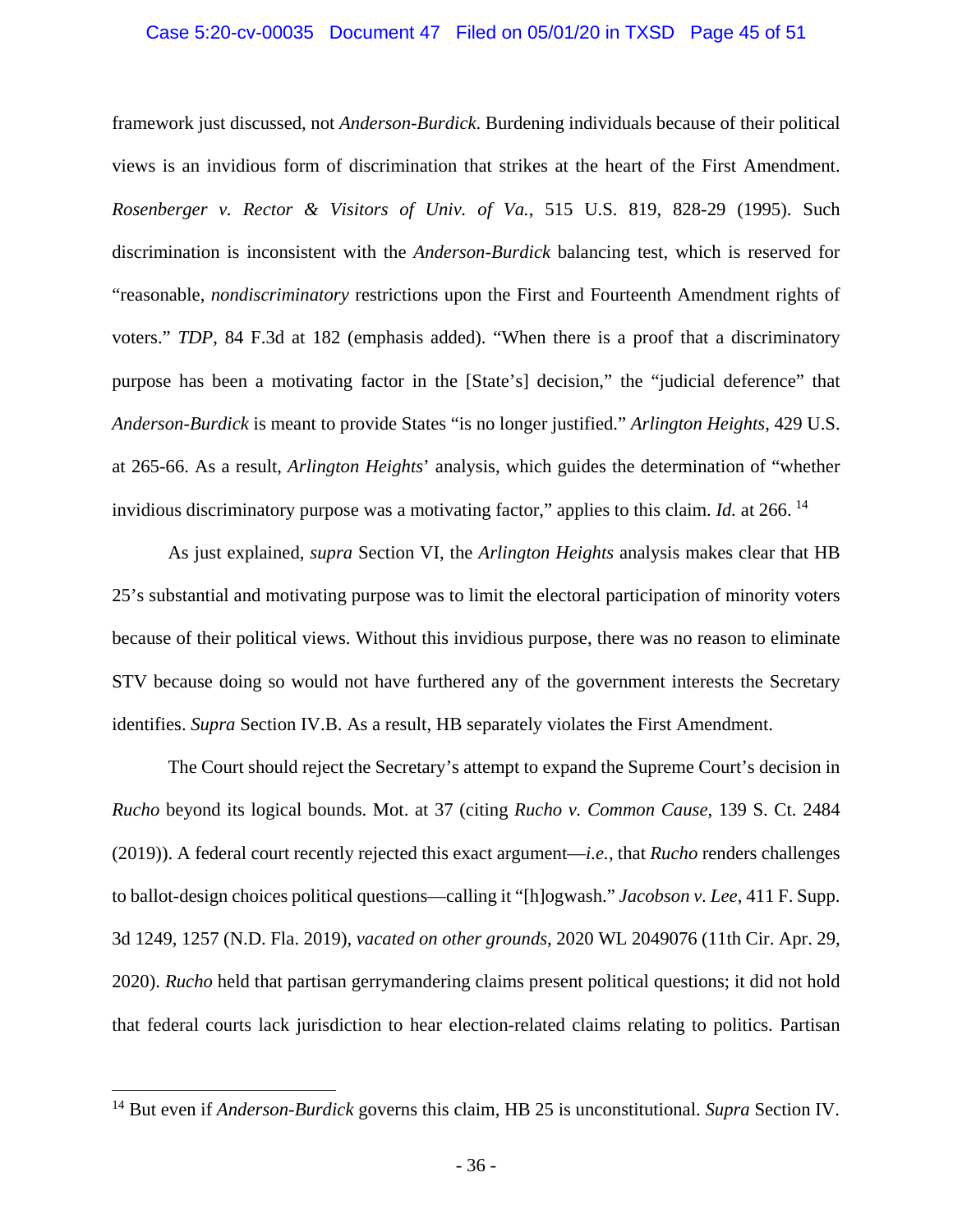### Case 5:20-cv-00035 Document 47 Filed on 05/01/20 in TXSD Page 45 of 51

<span id="page-44-1"></span>framework just discussed, not *Anderson*-*Burdick*. Burdening individuals because of their political views is an invidious form of discrimination that strikes at the heart of the First Amendment. *Rosenberger v. Rector & Visitors of Univ. of Va.*, 515 U.S. 819, 828-29 (1995). Such discrimination is inconsistent with the *Anderson*-*Burdick* balancing test, which is reserved for "reasonable, *nondiscriminatory* restrictions upon the First and Fourteenth Amendment rights of voters." *TDP*, 84 F.3d at 182 (emphasis added). "When there is a proof that a discriminatory purpose has been a motivating factor in the [State's] decision," the "judicial deference" that *Anderson*-*Burdick* is meant to provide States "is no longer justified." *Arlington Heights*, 429 U.S. at 265-66. As a result, *Arlington Heights*' analysis, which guides the determination of "whether invidious discriminatory purpose was a motivating factor," applies to this claim. *Id.* at 266.<sup>[14](#page-44-3)</sup>

As just explained, *supra* Section VI, the *Arlington Heights* analysis makes clear that HB 25's substantial and motivating purpose was to limit the electoral participation of minority voters because of their political views. Without this invidious purpose, there was no reason to eliminate STV because doing so would not have furthered any of the government interests the Secretary identifies. *Supra* Section IV.B. As a result, HB separately violates the First Amendment.

<span id="page-44-2"></span><span id="page-44-0"></span>The Court should reject the Secretary's attempt to expand the Supreme Court's decision in *Rucho* beyond its logical bounds. Mot. at 37 (citing *Rucho v. Common Cause*, 139 S. Ct. 2484 (2019)). A federal court recently rejected this exact argument—*i.e.*, that *Rucho* renders challenges to ballot-design choices political questions—calling it "[h]ogwash." *Jacobson v. Lee*, 411 F. Supp. 3d 1249, 1257 (N.D. Fla. 2019), *vacated on other grounds*, 2020 WL 2049076 (11th Cir. Apr. 29, 2020). *Rucho* held that partisan gerrymandering claims present political questions; it did not hold that federal courts lack jurisdiction to hear election-related claims relating to politics. Partisan

<span id="page-44-3"></span> <sup>14</sup> But even if *Anderson*-*Burdick* governs this claim, HB 25 is unconstitutional. *Supra* Section IV.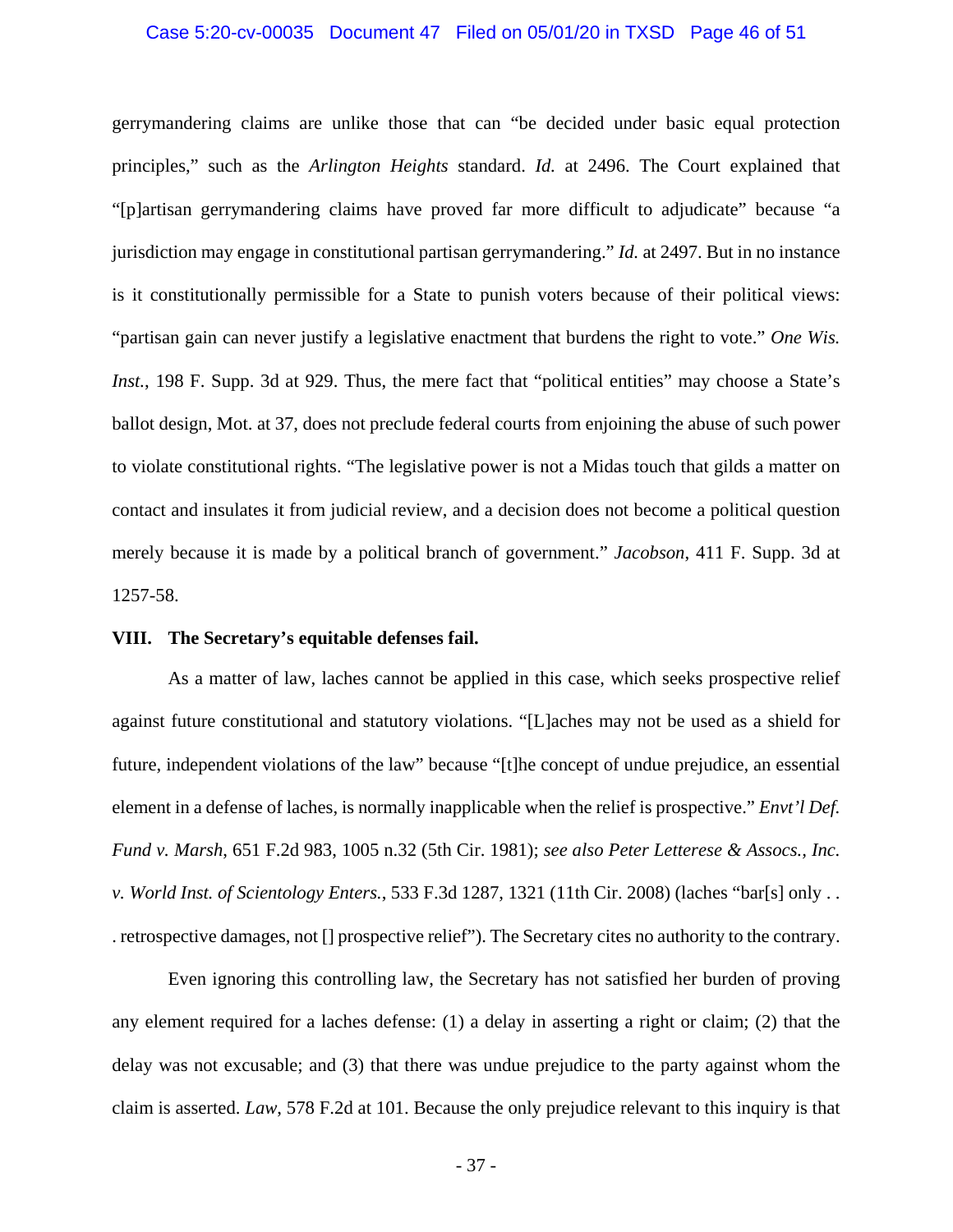### <span id="page-45-6"></span>Case 5:20-cv-00035 Document 47 Filed on 05/01/20 in TXSD Page 46 of 51

<span id="page-45-4"></span>gerrymandering claims are unlike those that can "be decided under basic equal protection principles," such as the *Arlington Heights* standard. *Id.* at 2496. The Court explained that "[p]artisan gerrymandering claims have proved far more difficult to adjudicate" because "a jurisdiction may engage in constitutional partisan gerrymandering." *Id.* at 2497. But in no instance is it constitutionally permissible for a State to punish voters because of their political views: "partisan gain can never justify a legislative enactment that burdens the right to vote." *One Wis. Inst.*, 198 F. Supp. 3d at 929. Thus, the mere fact that "political entities" may choose a State's ballot design, Mot. at 37, does not preclude federal courts from enjoining the abuse of such power to violate constitutional rights. "The legislative power is not a Midas touch that gilds a matter on contact and insulates it from judicial review, and a decision does not become a political question merely because it is made by a political branch of government." *Jacobson*, 411 F. Supp. 3d at 1257-58.

## <span id="page-45-2"></span><span id="page-45-0"></span>**VIII. The Secretary's equitable defenses fail.**

<span id="page-45-1"></span>As a matter of law, laches cannot be applied in this case, which seeks prospective relief against future constitutional and statutory violations. "[L]aches may not be used as a shield for future, independent violations of the law" because "[t]he concept of undue prejudice, an essential element in a defense of laches, is normally inapplicable when the relief is prospective." *Envt'l Def. Fund v. Marsh*, 651 F.2d 983, 1005 n.32 (5th Cir. 1981); *see also Peter Letterese & Assocs., Inc. v. World Inst. of Scientology Enters.*, 533 F.3d 1287, 1321 (11th Cir. 2008) (laches "bar[s] only . . . retrospective damages, not [] prospective relief"). The Secretary cites no authority to the contrary.

<span id="page-45-5"></span><span id="page-45-3"></span>Even ignoring this controlling law, the Secretary has not satisfied her burden of proving any element required for a laches defense: (1) a delay in asserting a right or claim; (2) that the delay was not excusable; and (3) that there was undue prejudice to the party against whom the claim is asserted. *Law*, 578 F.2d at 101. Because the only prejudice relevant to this inquiry is that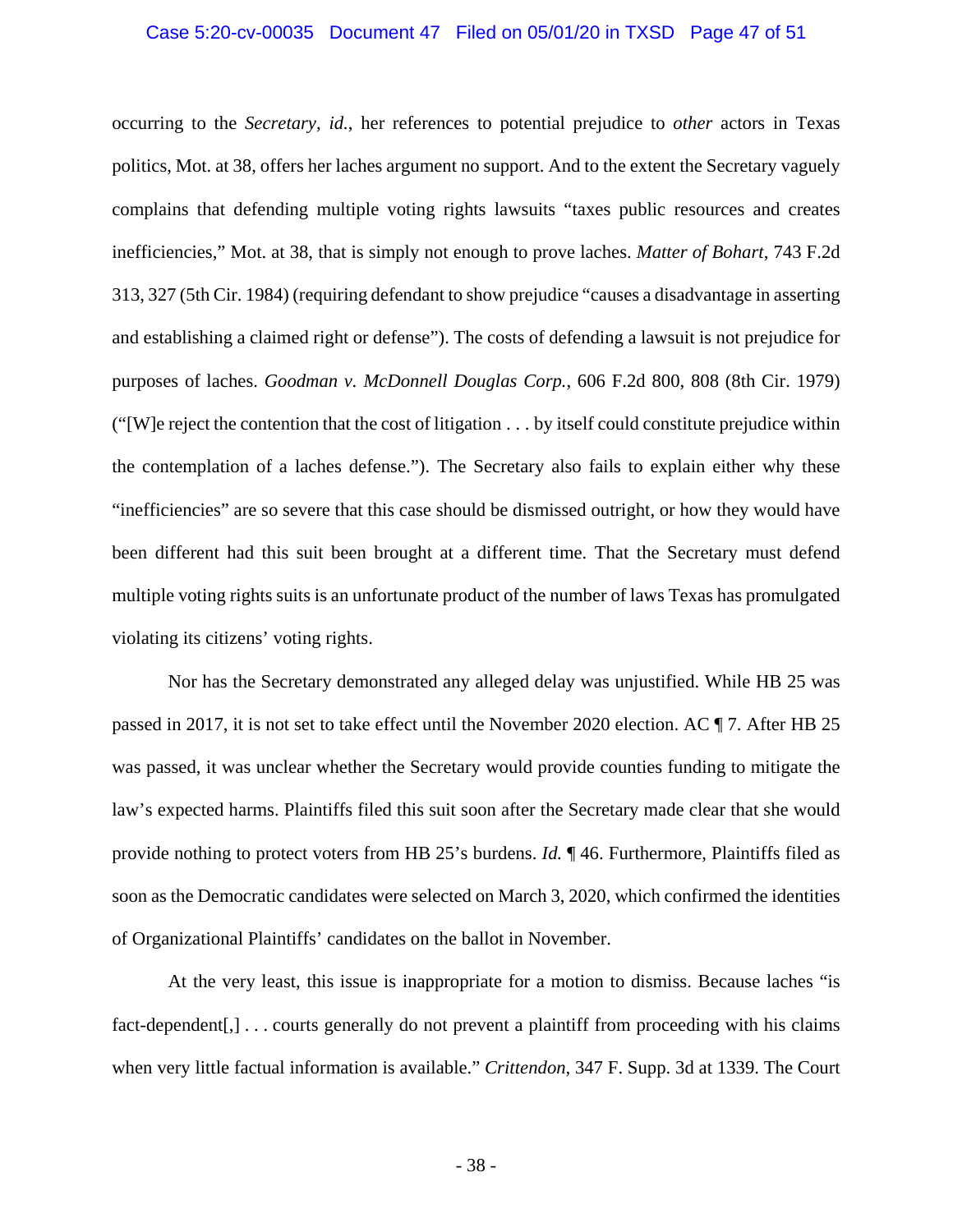### <span id="page-46-3"></span><span id="page-46-2"></span>Case 5:20-cv-00035 Document 47 Filed on 05/01/20 in TXSD Page 47 of 51

<span id="page-46-1"></span>occurring to the *Secretary*, *id.*, her references to potential prejudice to *other* actors in Texas politics, Mot. at 38, offers her laches argument no support. And to the extent the Secretary vaguely complains that defending multiple voting rights lawsuits "taxes public resources and creates inefficiencies," Mot. at 38, that is simply not enough to prove laches. *Matter of Bohart*, 743 F.2d 313, 327 (5th Cir. 1984) (requiring defendant to show prejudice "causes a disadvantage in asserting and establishing a claimed right or defense"). The costs of defending a lawsuit is not prejudice for purposes of laches. *Goodman v. McDonnell Douglas Corp.*, 606 F.2d 800, 808 (8th Cir. 1979) ("[W]e reject the contention that the cost of litigation . . . by itself could constitute prejudice within the contemplation of a laches defense."). The Secretary also fails to explain either why these "inefficiencies" are so severe that this case should be dismissed outright, or how they would have been different had this suit been brought at a different time. That the Secretary must defend multiple voting rights suits is an unfortunate product of the number of laws Texas has promulgated violating its citizens' voting rights.

Nor has the Secretary demonstrated any alleged delay was unjustified. While HB 25 was passed in 2017, it is not set to take effect until the November 2020 election. AC ¶ 7. After HB 25 was passed, it was unclear whether the Secretary would provide counties funding to mitigate the law's expected harms. Plaintiffs filed this suit soon after the Secretary made clear that she would provide nothing to protect voters from HB 25's burdens. *Id.* ¶ 46. Furthermore, Plaintiffs filed as soon as the Democratic candidates were selected on March 3, 2020, which confirmed the identities of Organizational Plaintiffs' candidates on the ballot in November.

<span id="page-46-0"></span>At the very least, this issue is inappropriate for a motion to dismiss. Because laches "is fact-dependent[,]... courts generally do not prevent a plaintiff from proceeding with his claims when very little factual information is available." *Crittendon*, 347 F. Supp. 3d at 1339. The Court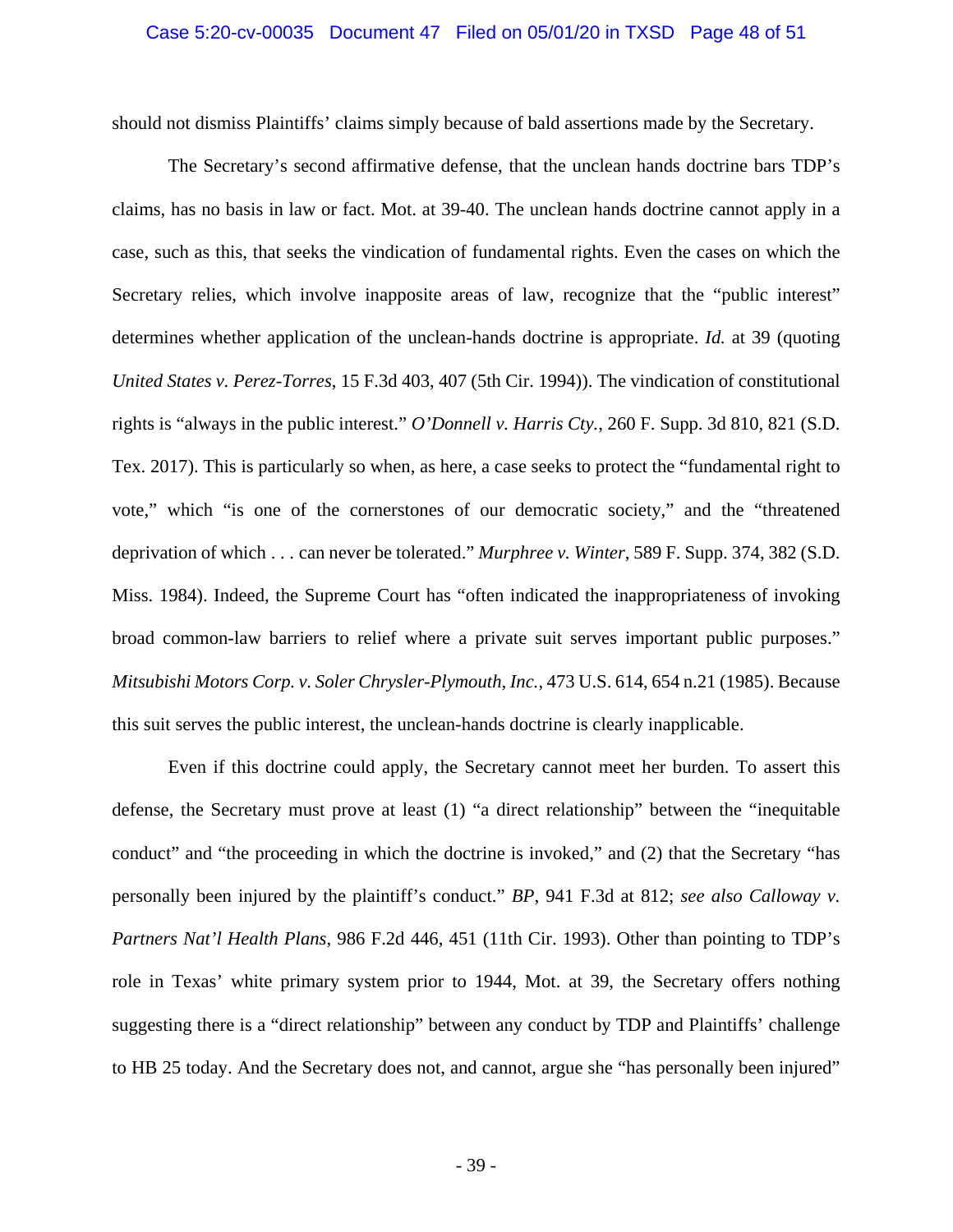### Case 5:20-cv-00035 Document 47 Filed on 05/01/20 in TXSD Page 48 of 51

should not dismiss Plaintiffs' claims simply because of bald assertions made by the Secretary.

<span id="page-47-4"></span>The Secretary's second affirmative defense, that the unclean hands doctrine bars TDP's claims, has no basis in law or fact. Mot. at 39-40. The unclean hands doctrine cannot apply in a case, such as this, that seeks the vindication of fundamental rights. Even the cases on which the Secretary relies, which involve inapposite areas of law, recognize that the "public interest" determines whether application of the unclean-hands doctrine is appropriate. *Id.* at 39 (quoting *United States v. Perez-Torres*, 15 F.3d 403, 407 (5th Cir. 1994)). The vindication of constitutional rights is "always in the public interest." *O'Donnell v. Harris Cty.*, 260 F. Supp. 3d 810, 821 (S.D. Tex. 2017). This is particularly so when, as here, a case seeks to protect the "fundamental right to vote," which "is one of the cornerstones of our democratic society," and the "threatened deprivation of which . . . can never be tolerated." *Murphree v. Winter*, 589 F. Supp. 374, 382 (S.D. Miss. 1984). Indeed, the Supreme Court has "often indicated the inappropriateness of invoking broad common-law barriers to relief where a private suit serves important public purposes." *Mitsubishi Motors Corp. v. Soler Chrysler-Plymouth, Inc.*, 473 U.S. 614, 654 n.21 (1985). Because this suit serves the public interest, the unclean-hands doctrine is clearly inapplicable.

<span id="page-47-3"></span><span id="page-47-2"></span><span id="page-47-1"></span><span id="page-47-0"></span>Even if this doctrine could apply, the Secretary cannot meet her burden. To assert this defense, the Secretary must prove at least (1) "a direct relationship" between the "inequitable conduct" and "the proceeding in which the doctrine is invoked," and (2) that the Secretary "has personally been injured by the plaintiff's conduct." *BP*, 941 F.3d at 812; *see also Calloway v. Partners Nat'l Health Plans*, 986 F.2d 446, 451 (11th Cir. 1993). Other than pointing to TDP's role in Texas' white primary system prior to 1944, Mot. at 39, the Secretary offers nothing suggesting there is a "direct relationship" between any conduct by TDP and Plaintiffs' challenge to HB 25 today. And the Secretary does not, and cannot, argue she "has personally been injured"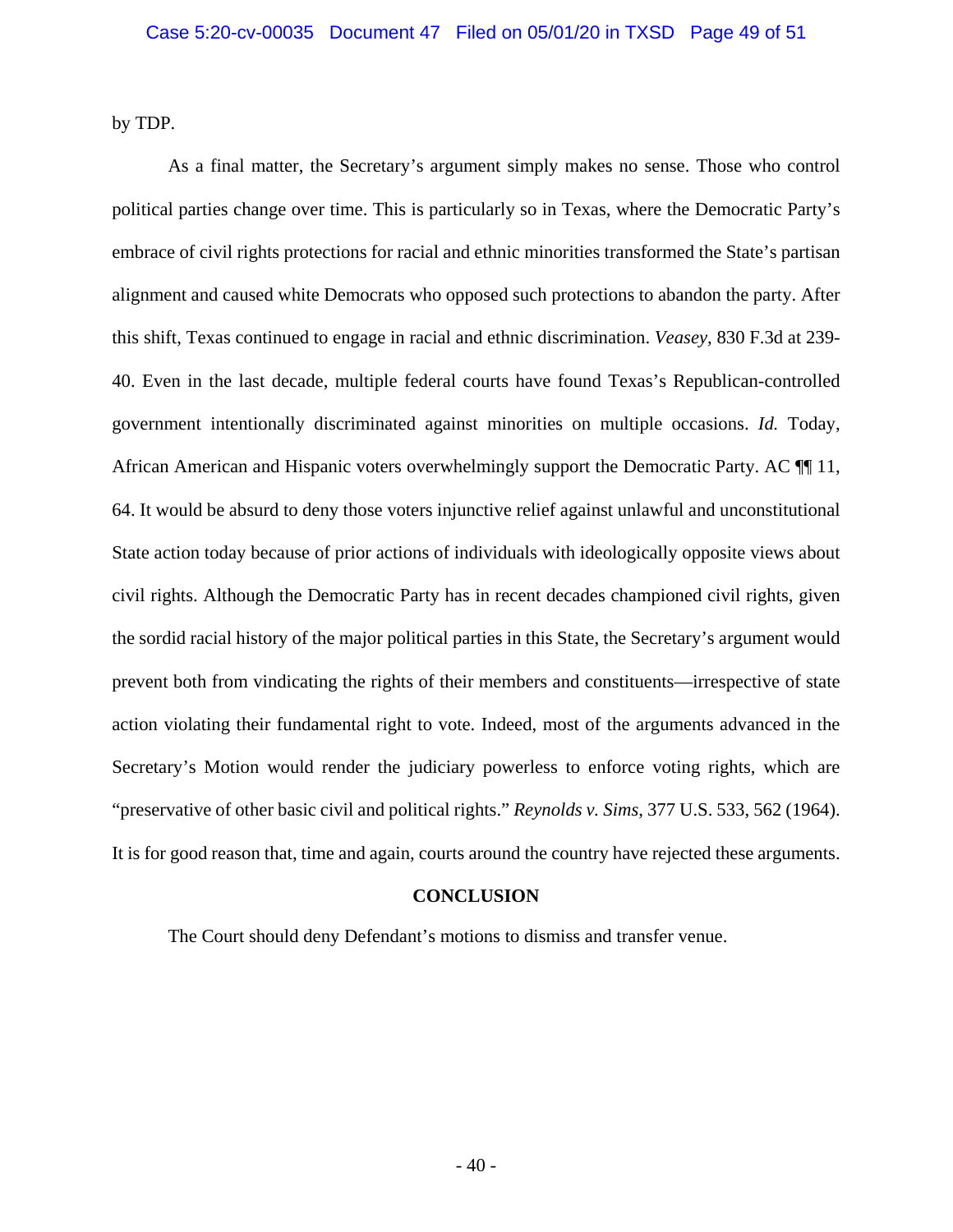by TDP.

As a final matter, the Secretary's argument simply makes no sense. Those who control political parties change over time. This is particularly so in Texas, where the Democratic Party's embrace of civil rights protections for racial and ethnic minorities transformed the State's partisan alignment and caused white Democrats who opposed such protections to abandon the party. After this shift, Texas continued to engage in racial and ethnic discrimination. *Veasey*, 830 F.3d at 239- 40. Even in the last decade, multiple federal courts have found Texas's Republican-controlled government intentionally discriminated against minorities on multiple occasions. *Id.* Today, African American and Hispanic voters overwhelmingly support the Democratic Party. AC  $\P$  11, 64. It would be absurd to deny those voters injunctive relief against unlawful and unconstitutional State action today because of prior actions of individuals with ideologically opposite views about civil rights. Although the Democratic Party has in recent decades championed civil rights, given the sordid racial history of the major political parties in this State, the Secretary's argument would prevent both from vindicating the rights of their members and constituents—irrespective of state action violating their fundamental right to vote. Indeed, most of the arguments advanced in the Secretary's Motion would render the judiciary powerless to enforce voting rights, which are "preservative of other basic civil and political rights." *Reynolds v. Sims*, 377 U.S. 533, 562 (1964). It is for good reason that, time and again, courts around the country have rejected these arguments.

## <span id="page-48-1"></span>**CONCLUSION**

<span id="page-48-0"></span>The Court should deny Defendant's motions to dismiss and transfer venue.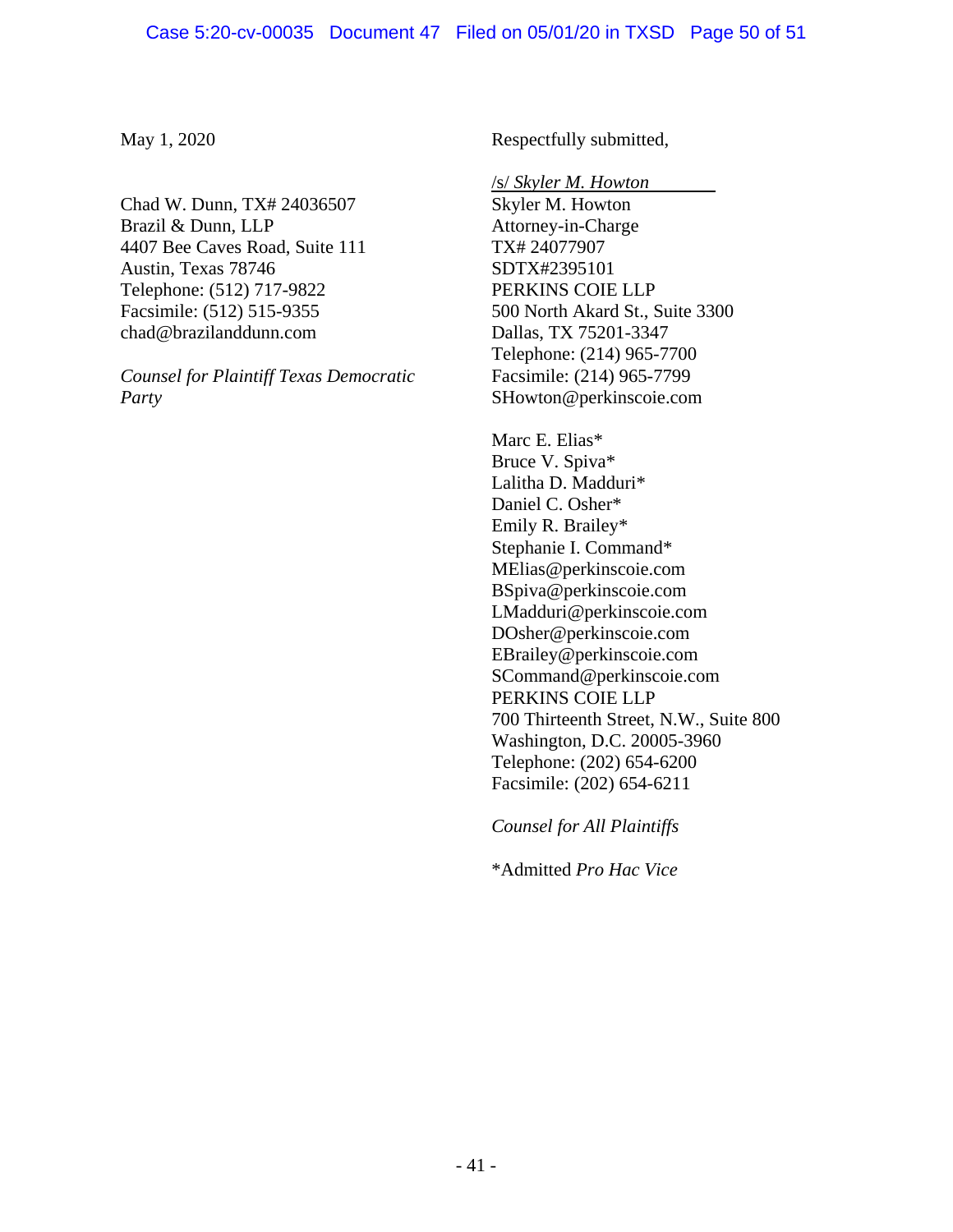May 1, 2020

Chad W. Dunn, TX# 24036507 Brazil & Dunn, LLP 4407 Bee Caves Road, Suite 111 Austin, Texas 78746 Telephone: (512) 717-9822 Facsimile: (512) 515-9355 chad@brazilanddunn.com

*Counsel for Plaintiff Texas Democratic Party*

Respectfully submitted,

/s/ *Skyler M. Howton* Skyler M. Howton Attorney-in-Charge TX# 24077907 SDTX#2395101 PERKINS COIE LLP 500 North Akard St., Suite 3300 Dallas, TX 75201-3347 Telephone: (214) 965-7700 Facsimile: (214) 965-7799 SHowton@perkinscoie.com

Marc E. Elias\* Bruce V. Spiva\* Lalitha D. Madduri\* Daniel C. Osher\* Emily R. Brailey\* Stephanie I. Command\* MElias@perkinscoie.com BSpiva@perkinscoie.com LMadduri@perkinscoie.com DOsher@perkinscoie.com EBrailey@perkinscoie.com SCommand@perkinscoie.com PERKINS COIE LLP 700 Thirteenth Street, N.W., Suite 800 Washington, D.C. 20005-3960 Telephone: (202) 654-6200 Facsimile: (202) 654-6211

*Counsel for All Plaintiffs*

\*Admitted *Pro Hac Vice*